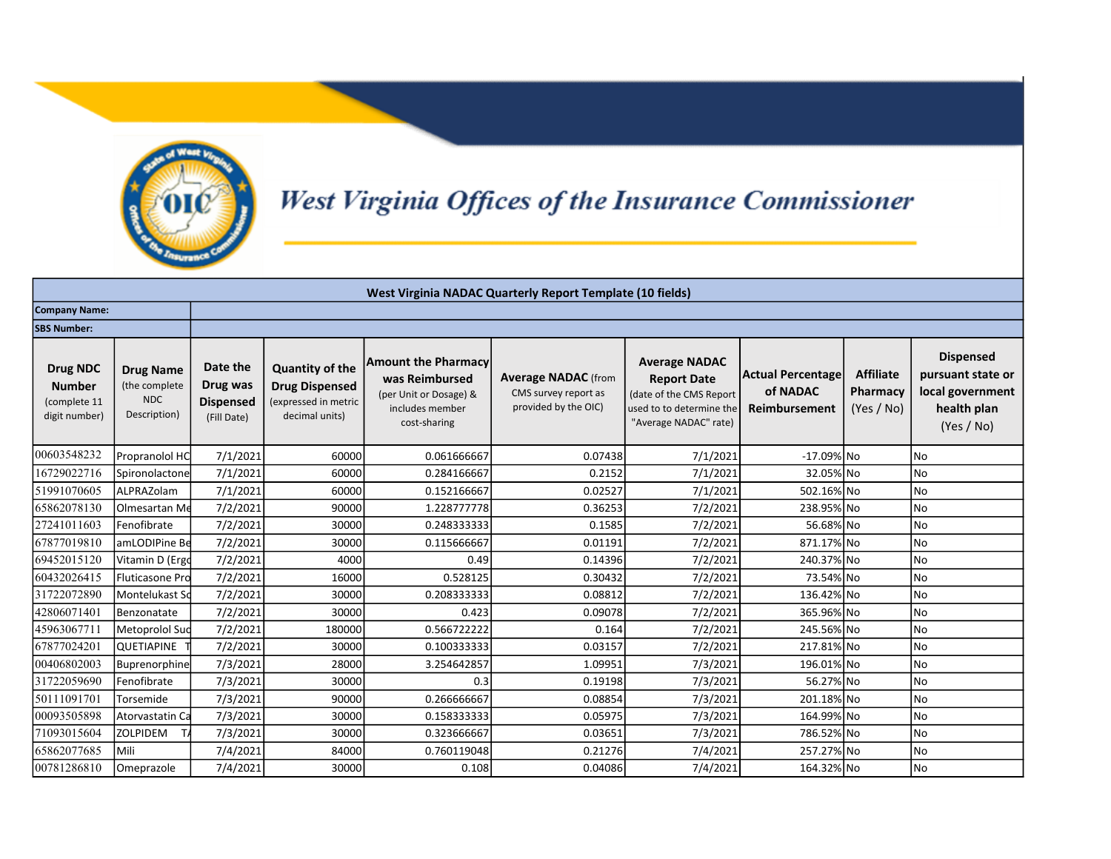

## West Virginia Offices of the Insurance Commissioner

|                                                            |                                                                 |                                                         |                                                                                           |                                                                                                           | <b>West Virginia NADAC Quarterly Report Template (10 fields)</b>           |                                                                                                                            |                                                |                                            |                                                                                        |
|------------------------------------------------------------|-----------------------------------------------------------------|---------------------------------------------------------|-------------------------------------------------------------------------------------------|-----------------------------------------------------------------------------------------------------------|----------------------------------------------------------------------------|----------------------------------------------------------------------------------------------------------------------------|------------------------------------------------|--------------------------------------------|----------------------------------------------------------------------------------------|
| <b>Company Name:</b>                                       |                                                                 |                                                         |                                                                                           |                                                                                                           |                                                                            |                                                                                                                            |                                                |                                            |                                                                                        |
| <b>SBS Number:</b>                                         |                                                                 |                                                         |                                                                                           |                                                                                                           |                                                                            |                                                                                                                            |                                                |                                            |                                                                                        |
| Drug NDC<br><b>Number</b><br>(complete 11<br>digit number) | <b>Drug Name</b><br>(the complete<br><b>NDC</b><br>Description) | Date the<br>Drug was<br><b>Dispensed</b><br>(Fill Date) | <b>Quantity of the</b><br><b>Drug Dispensed</b><br>(expressed in metric<br>decimal units) | <b>Amount the Pharmacy</b><br>was Reimbursed<br>(per Unit or Dosage) &<br>includes member<br>cost-sharing | <b>Average NADAC</b> (from<br>CMS survey report as<br>provided by the OIC) | <b>Average NADAC</b><br><b>Report Date</b><br>(date of the CMS Report<br>used to to determine the<br>"Average NADAC" rate) | Actual Percentage<br>of NADAC<br>Reimbursement | <b>Affiliate</b><br>Pharmacy<br>(Yes / No) | <b>Dispensed</b><br>pursuant state or<br>local government<br>health plan<br>(Yes / No) |
| 00603548232                                                | Propranolol HC                                                  | 7/1/2021                                                | 60000                                                                                     | 0.061666667                                                                                               | 0.07438                                                                    | 7/1/2021                                                                                                                   | $-17.09\%$ No                                  |                                            | No                                                                                     |
| 16729022716                                                | Spironolactone                                                  | 7/1/2021                                                | 60000                                                                                     | 0.284166667                                                                                               | 0.2152                                                                     | 7/1/2021                                                                                                                   | 32.05% No                                      |                                            | No                                                                                     |
| 51991070605                                                | ALPRAZolam                                                      | 7/1/2021                                                | 60000                                                                                     | 0.152166667                                                                                               | 0.02527                                                                    | 7/1/2021                                                                                                                   | 502.16% No                                     |                                            | No                                                                                     |
| 65862078130                                                | Olmesartan Me                                                   | 7/2/2021                                                | 90000                                                                                     | 1.228777778                                                                                               | 0.36253                                                                    | 7/2/2021                                                                                                                   | 238.95% No                                     |                                            | No                                                                                     |
| 27241011603                                                | Fenofibrate                                                     | 7/2/2021                                                | 30000                                                                                     | 0.248333333                                                                                               | 0.1585                                                                     | 7/2/2021                                                                                                                   | 56.68% No                                      |                                            | No                                                                                     |
| 67877019810                                                | amLODIPine Be                                                   | 7/2/2021                                                | 30000                                                                                     | 0.115666667                                                                                               | 0.01191                                                                    | 7/2/2021                                                                                                                   | 871.17% No                                     |                                            | No                                                                                     |
| 69452015120                                                | Vitamin D (Ergo                                                 | 7/2/2021                                                | 4000                                                                                      | 0.49                                                                                                      | 0.14396                                                                    | 7/2/2021                                                                                                                   | 240.37% No                                     |                                            | No                                                                                     |
| 60432026415                                                | Fluticasone Pro                                                 | 7/2/2021                                                | 16000                                                                                     | 0.528125                                                                                                  | 0.30432                                                                    | 7/2/2021                                                                                                                   | 73.54% No                                      |                                            | No                                                                                     |
| 31722072890                                                | Montelukast Sd                                                  | 7/2/2021                                                | 30000                                                                                     | 0.208333333                                                                                               | 0.08812                                                                    | 7/2/2021                                                                                                                   | 136.42% No                                     |                                            | No                                                                                     |
| 42806071401                                                | Benzonatate                                                     | 7/2/2021                                                | 30000                                                                                     | 0.423                                                                                                     | 0.09078                                                                    | 7/2/2021                                                                                                                   | 365.96% No                                     |                                            | No                                                                                     |
| 45963067711                                                | Metoprolol Sud                                                  | 7/2/2021                                                | 180000                                                                                    | 0.566722222                                                                                               | 0.164                                                                      | 7/2/2021                                                                                                                   | 245.56% No                                     |                                            | No                                                                                     |
| 67877024201                                                | <b>QUETIAPINE</b>                                               | 7/2/2021                                                | 30000                                                                                     | 0.100333333                                                                                               | 0.03157                                                                    | 7/2/2021                                                                                                                   | 217.81% No                                     |                                            | No                                                                                     |
| 00406802003                                                | Buprenorphine                                                   | 7/3/2021                                                | 28000                                                                                     | 3.254642857                                                                                               | 1.09951                                                                    | 7/3/2021                                                                                                                   | 196.01% No                                     |                                            | <b>No</b>                                                                              |
| 31722059690                                                | Fenofibrate                                                     | 7/3/2021                                                | 30000                                                                                     | 0.3                                                                                                       | 0.19198                                                                    | 7/3/2021                                                                                                                   | 56.27% No                                      |                                            | No                                                                                     |
| 50111091701                                                | Torsemide                                                       | 7/3/2021                                                | 90000                                                                                     | 0.266666667                                                                                               | 0.08854                                                                    | 7/3/2021                                                                                                                   | 201.18% No                                     |                                            | No                                                                                     |
| 00093505898                                                | Atorvastatin Ca                                                 | 7/3/2021                                                | 30000                                                                                     | 0.158333333                                                                                               | 0.05975                                                                    | 7/3/2021                                                                                                                   | 164.99% No                                     |                                            | No                                                                                     |
| 71093015604                                                | <b>ZOLPIDEM</b>                                                 | 7/3/2021                                                | 30000                                                                                     | 0.323666667                                                                                               | 0.03651                                                                    | 7/3/2021                                                                                                                   | 786.52% No                                     |                                            | No                                                                                     |
| 65862077685                                                | l Mili                                                          | 7/4/2021                                                | 84000                                                                                     | 0.760119048                                                                                               | 0.21276                                                                    | 7/4/2021                                                                                                                   | 257.27% No                                     |                                            | No                                                                                     |
| 00781286810                                                | Omeprazole                                                      | 7/4/2021                                                | 30000                                                                                     | 0.108                                                                                                     | 0.04086                                                                    | 7/4/2021                                                                                                                   | 164.32% No                                     |                                            | No                                                                                     |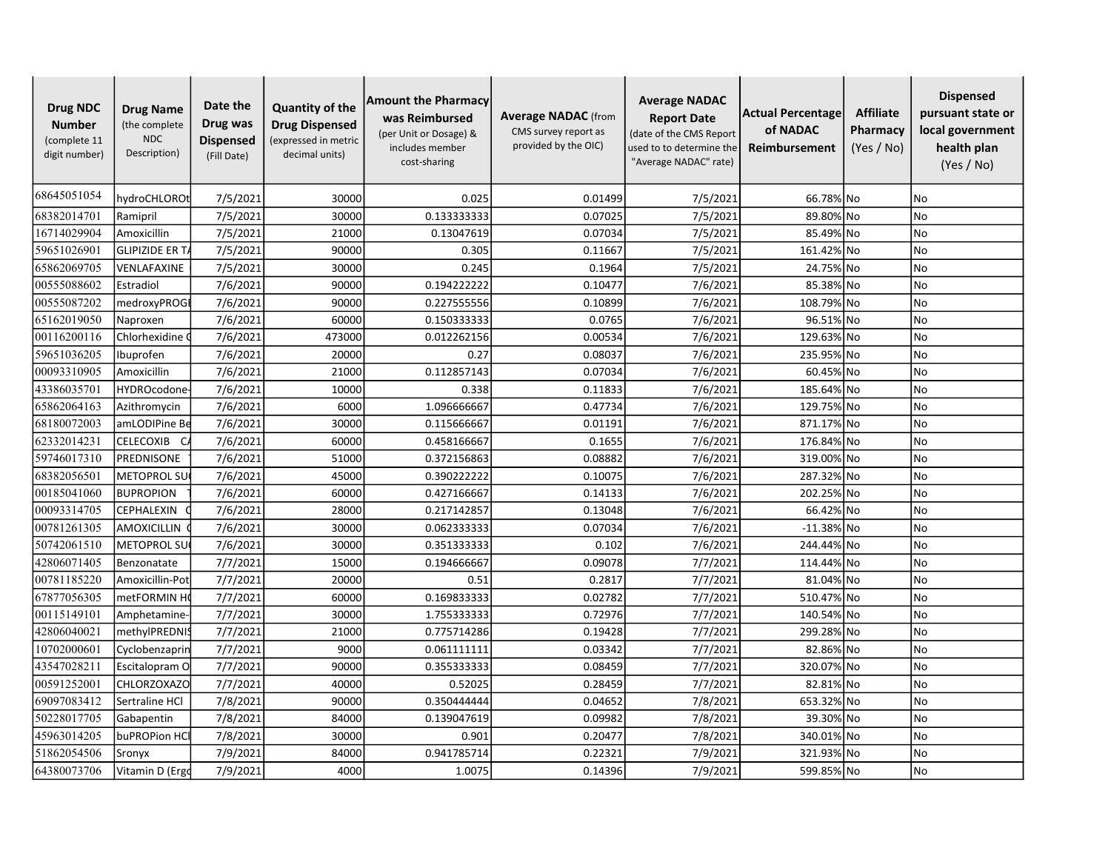| <b>Drug NDC</b><br><b>Number</b><br>(complete 11<br>digit number) | <b>Drug Name</b><br>(the complete<br><b>NDC</b><br>Description) | Date the<br>Drug was<br><b>Dispensed</b><br>(Fill Date) | <b>Quantity of the</b><br><b>Drug Dispensed</b><br>(expressed in metric<br>decimal units) | <b>Amount the Pharmacy</b><br>was Reimbursed<br>(per Unit or Dosage) &<br>includes member<br>cost-sharing | <b>Average NADAC</b> (from<br>CMS survey report as<br>provided by the OIC) | <b>Average NADAC</b><br><b>Report Date</b><br>(date of the CMS Report<br>used to to determine the<br>"Average NADAC" rate) | Actual Percentage<br>of NADAC<br>Reimbursement | <b>Affiliate</b><br>Pharmacy<br>(Yes / No) | <b>Dispensed</b><br>pursuant state or<br>local government<br>health plan<br>(Yes / No) |
|-------------------------------------------------------------------|-----------------------------------------------------------------|---------------------------------------------------------|-------------------------------------------------------------------------------------------|-----------------------------------------------------------------------------------------------------------|----------------------------------------------------------------------------|----------------------------------------------------------------------------------------------------------------------------|------------------------------------------------|--------------------------------------------|----------------------------------------------------------------------------------------|
| 68645051054                                                       | hydroCHLOROt                                                    | 7/5/2021                                                | 30000                                                                                     | 0.025                                                                                                     | 0.01499                                                                    | 7/5/2021                                                                                                                   | 66.78% No                                      |                                            | No.                                                                                    |
| 68382014701                                                       | Ramipril                                                        | 7/5/2021                                                | 30000                                                                                     | 0.133333333                                                                                               | 0.07025                                                                    | 7/5/2021                                                                                                                   | 89.80% No                                      |                                            | <b>No</b>                                                                              |
| 16714029904                                                       | Amoxicillin                                                     | 7/5/2021                                                | 21000                                                                                     | 0.13047619                                                                                                | 0.07034                                                                    | 7/5/2021                                                                                                                   | 85.49% No                                      |                                            | No                                                                                     |
| 59651026901                                                       | <b>GLIPIZIDE ER T/</b>                                          | 7/5/2021                                                | 90000                                                                                     | 0.305                                                                                                     | 0.11667                                                                    | 7/5/2021                                                                                                                   | 161.42% No                                     |                                            | <b>No</b>                                                                              |
| 65862069705                                                       | VENLAFAXINE                                                     | 7/5/2021                                                | 30000                                                                                     | 0.245                                                                                                     | 0.1964                                                                     | 7/5/2021                                                                                                                   | 24.75% No                                      |                                            | <b>No</b>                                                                              |
| 00555088602                                                       | Estradiol                                                       | 7/6/2021                                                | 90000                                                                                     | 0.194222222                                                                                               | 0.10477                                                                    | 7/6/2021                                                                                                                   | 85.38% No                                      |                                            | <b>No</b>                                                                              |
| 00555087202                                                       | medroxyPROG                                                     | 7/6/2021                                                | 90000                                                                                     | 0.227555556                                                                                               | 0.10899                                                                    | 7/6/2021                                                                                                                   | 108.79% No                                     |                                            | No                                                                                     |
| 65162019050                                                       | Naproxen                                                        | 7/6/2021                                                | 60000                                                                                     | 0.150333333                                                                                               | 0.0765                                                                     | 7/6/2021                                                                                                                   | 96.51% No                                      |                                            | <b>No</b>                                                                              |
| 00116200116                                                       | Chlorhexidine                                                   | 7/6/2021                                                | 473000                                                                                    | 0.012262156                                                                                               | 0.00534                                                                    | 7/6/2021                                                                                                                   | 129.63% No                                     |                                            | <b>No</b>                                                                              |
| 59651036205                                                       | Ibuprofen                                                       | 7/6/2021                                                | 20000                                                                                     | 0.27                                                                                                      | 0.08037                                                                    | 7/6/2021                                                                                                                   | 235.95% No                                     |                                            | <b>No</b>                                                                              |
| 00093310905                                                       | Amoxicillin                                                     | 7/6/2021                                                | 21000                                                                                     | 0.112857143                                                                                               | 0.07034                                                                    | 7/6/2021                                                                                                                   | 60.45% No                                      |                                            | <b>No</b>                                                                              |
| 43386035701                                                       | <b>HYDROcodone</b>                                              | 7/6/2021                                                | 10000                                                                                     | 0.338                                                                                                     | 0.11833                                                                    | 7/6/2021                                                                                                                   | 185.64% No                                     |                                            | No                                                                                     |
| 65862064163                                                       | Azithromycin                                                    | 7/6/2021                                                | 6000                                                                                      | 1.096666667                                                                                               | 0.47734                                                                    | 7/6/2021                                                                                                                   | 129.75% No                                     |                                            | No                                                                                     |
| 68180072003                                                       | amLODIPine Be                                                   | 7/6/2021                                                | 30000                                                                                     | 0.115666667                                                                                               | 0.01191                                                                    | 7/6/2021                                                                                                                   | 871.17% No                                     |                                            | No                                                                                     |
| 62332014231                                                       | CELECOXIB<br>- C                                                | 7/6/2021                                                | 60000                                                                                     | 0.458166667                                                                                               | 0.1655                                                                     | 7/6/2021                                                                                                                   | 176.84% No                                     |                                            | <b>No</b>                                                                              |
| 59746017310                                                       | <b>PREDNISONE</b>                                               | 7/6/2021                                                | 51000                                                                                     | 0.372156863                                                                                               | 0.08882                                                                    | 7/6/2021                                                                                                                   | 319.00% No                                     |                                            | <b>No</b>                                                                              |
| 68382056501                                                       | <b>METOPROL SU</b>                                              | 7/6/2021                                                | 45000                                                                                     | 0.390222222                                                                                               | 0.10075                                                                    | 7/6/2021                                                                                                                   | 287.32% No                                     |                                            | No                                                                                     |
| 00185041060                                                       | <b>BUPROPION</b>                                                | 7/6/2021                                                | 60000                                                                                     | 0.427166667                                                                                               | 0.14133                                                                    | 7/6/2021                                                                                                                   | 202.25% No                                     |                                            | No                                                                                     |
| 00093314705                                                       | <b>CEPHALEXIN</b>                                               | 7/6/2021                                                | 28000                                                                                     | 0.217142857                                                                                               | 0.13048                                                                    | 7/6/2021                                                                                                                   | 66.42% No                                      |                                            | No                                                                                     |
| 00781261305                                                       | <b>AMOXICILLIN</b>                                              | 7/6/2021                                                | 30000                                                                                     | 0.062333333                                                                                               | 0.07034                                                                    | 7/6/2021                                                                                                                   | $-11.38\%$ No                                  |                                            | <b>No</b>                                                                              |
| 50742061510                                                       | <b>METOPROL SU</b>                                              | 7/6/2021                                                | 30000                                                                                     | 0.351333333                                                                                               | 0.102                                                                      | 7/6/2021                                                                                                                   | 244.44% No                                     |                                            | <b>No</b>                                                                              |
| 42806071405                                                       | Benzonatate                                                     | 7/7/2021                                                | 15000                                                                                     | 0.194666667                                                                                               | 0.09078                                                                    | 7/7/2021                                                                                                                   | 114.44% No                                     |                                            | <b>No</b>                                                                              |
| 00781185220                                                       | Amoxicillin-Pot                                                 | 7/7/2021                                                | 20000                                                                                     | 0.51                                                                                                      | 0.2817                                                                     | 7/7/2021                                                                                                                   | 81.04% No                                      |                                            | No                                                                                     |
| 67877056305                                                       | metFORMIN H                                                     | 7/7/2021                                                | 60000                                                                                     | 0.169833333                                                                                               | 0.02782                                                                    | 7/7/2021                                                                                                                   | 510.47% No                                     |                                            | No                                                                                     |
| 00115149101                                                       | Amphetamine-                                                    | 7/7/2021                                                | 30000                                                                                     | 1.755333333                                                                                               | 0.72976                                                                    | 7/7/2021                                                                                                                   | 140.54% No                                     |                                            | <b>No</b>                                                                              |
| 42806040021                                                       | methylPREDNIS                                                   | 7/7/2021                                                | 21000                                                                                     | 0.775714286                                                                                               | 0.19428                                                                    | 7/7/2021                                                                                                                   | 299.28% No                                     |                                            | <b>No</b>                                                                              |
| 10702000601                                                       | Cyclobenzaprin                                                  | 7/7/2021                                                | 9000                                                                                      | 0.061111111                                                                                               | 0.03342                                                                    | 7/7/2021                                                                                                                   | 82.86% No                                      |                                            | <b>No</b>                                                                              |
| 43547028211                                                       | Escitalopram O                                                  | 7/7/2021                                                | 90000                                                                                     | 0.355333333                                                                                               | 0.08459                                                                    | 7/7/2021                                                                                                                   | 320.07% No                                     |                                            | No                                                                                     |
| 00591252001                                                       | CHLORZOXAZO                                                     | 7/7/2021                                                | 40000                                                                                     | 0.52025                                                                                                   | 0.28459                                                                    | 7/7/2021                                                                                                                   | 82.81% No                                      |                                            | No                                                                                     |
| 69097083412                                                       | Sertraline HCl                                                  | 7/8/2021                                                | 90000                                                                                     | 0.350444444                                                                                               | 0.04652                                                                    | 7/8/2021                                                                                                                   | 653.32% No                                     |                                            | <b>No</b>                                                                              |
| 50228017705                                                       | Gabapentin                                                      | 7/8/2021                                                | 84000                                                                                     | 0.139047619                                                                                               | 0.09982                                                                    | 7/8/2021                                                                                                                   | 39.30% No                                      |                                            | <b>No</b>                                                                              |
| 45963014205                                                       | buPROPion HC                                                    | 7/8/2021                                                | 30000                                                                                     | 0.901                                                                                                     | 0.20477                                                                    | 7/8/2021                                                                                                                   | 340.01% No                                     |                                            | No                                                                                     |
| 51862054506                                                       | Sronyx                                                          | 7/9/2021                                                | 84000                                                                                     | 0.941785714                                                                                               | 0.22321                                                                    | 7/9/2021                                                                                                                   | 321.93% No                                     |                                            | No                                                                                     |
| 64380073706                                                       | Vitamin D (Ergd                                                 | 7/9/2021                                                | 4000                                                                                      | 1.0075                                                                                                    | 0.14396                                                                    | 7/9/2021                                                                                                                   | 599.85% No                                     |                                            | No.                                                                                    |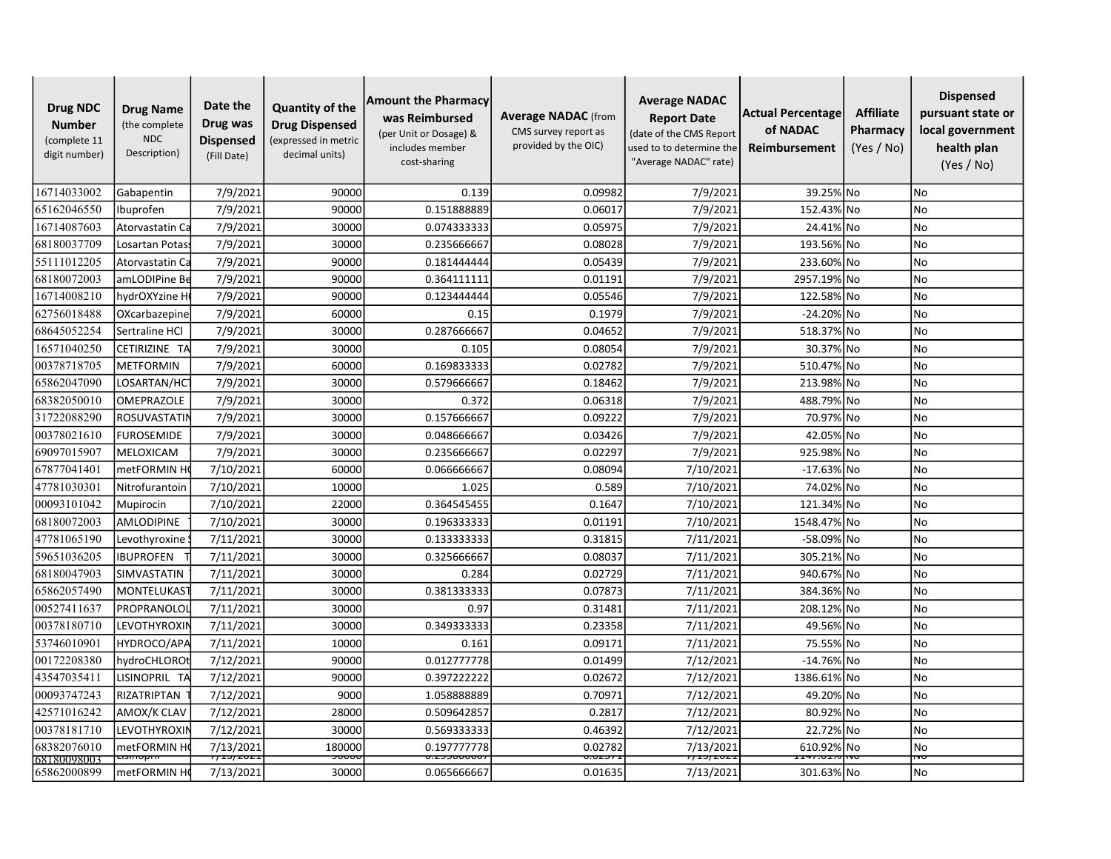| <b>Drug NDC</b><br><b>Number</b><br>(complete 11<br>digit number) | <b>Drug Name</b><br>(the complete<br><b>NDC</b><br>Description) | Date the<br>Drug was<br><b>Dispensed</b><br>(Fill Date) | <b>Quantity of the</b><br><b>Drug Dispensed</b><br>expressed in metric<br>decimal units) | <b>Amount the Pharmacy</b><br>was Reimbursed<br>(per Unit or Dosage) &<br>includes member<br>cost-sharing | <b>Average NADAC</b> (from<br>CMS survey report as<br>provided by the OIC) | <b>Average NADAC</b><br><b>Report Date</b><br>(date of the CMS Report<br>used to to determine the<br>"Average NADAC" rate) | Actual Percentage<br>of NADAC<br>Reimbursement | <b>Affiliate</b><br>Pharmacy<br>(Yes / No) | <b>Dispensed</b><br>pursuant state or<br>local government<br>health plan<br>(Yes / No) |
|-------------------------------------------------------------------|-----------------------------------------------------------------|---------------------------------------------------------|------------------------------------------------------------------------------------------|-----------------------------------------------------------------------------------------------------------|----------------------------------------------------------------------------|----------------------------------------------------------------------------------------------------------------------------|------------------------------------------------|--------------------------------------------|----------------------------------------------------------------------------------------|
| 16714033002                                                       | Gabapentin                                                      | 7/9/2021                                                | 90000                                                                                    | 0.139                                                                                                     | 0.09982                                                                    | 7/9/2021                                                                                                                   | 39.25% No                                      |                                            | <b>No</b>                                                                              |
| 65162046550                                                       | Ibuprofen                                                       | 7/9/2021                                                | 90000                                                                                    | 0.151888889                                                                                               | 0.06017                                                                    | 7/9/2021                                                                                                                   | 152.43% No                                     |                                            | <b>No</b>                                                                              |
| 16714087603                                                       | Atorvastatin Ca                                                 | 7/9/2021                                                | 30000                                                                                    | 0.074333333                                                                                               | 0.05975                                                                    | 7/9/2021                                                                                                                   | 24.41% No                                      |                                            | <b>No</b>                                                                              |
| 68180037709                                                       | Losartan Potas                                                  | 7/9/2021                                                | 30000                                                                                    | 0.235666667                                                                                               | 0.08028                                                                    | 7/9/2021                                                                                                                   | 193.56% No                                     |                                            | <b>No</b>                                                                              |
| 55111012205                                                       | Atorvastatin Ca                                                 | 7/9/2021                                                | 90000                                                                                    | 0.181444444                                                                                               | 0.05439                                                                    | 7/9/2021                                                                                                                   | 233.60% No                                     |                                            | No                                                                                     |
| 68180072003                                                       | amLODIPine Be                                                   | 7/9/2021                                                | 90000                                                                                    | 0.364111111                                                                                               | 0.01191                                                                    | 7/9/2021                                                                                                                   | 2957.19% No                                    |                                            | No                                                                                     |
| 16714008210                                                       | hydrOXYzine H                                                   | 7/9/2021                                                | 90000                                                                                    | 0.123444444                                                                                               | 0.05546                                                                    | 7/9/2021                                                                                                                   | 122.58% No                                     |                                            | <b>No</b>                                                                              |
| 62756018488                                                       | OXcarbazepine                                                   | 7/9/2021                                                | 60000                                                                                    | 0.15                                                                                                      | 0.1979                                                                     | 7/9/2021                                                                                                                   | -24.20% No                                     |                                            | No                                                                                     |
| 68645052254                                                       | Sertraline HCl                                                  | 7/9/2021                                                | 30000                                                                                    | 0.287666667                                                                                               | 0.04652                                                                    | 7/9/2021                                                                                                                   | 518.37% No                                     |                                            | No                                                                                     |
| 16571040250                                                       | CETIRIZINE TA                                                   | 7/9/2021                                                | 30000                                                                                    | 0.105                                                                                                     | 0.08054                                                                    | 7/9/2021                                                                                                                   | 30.37% No                                      |                                            | <b>No</b>                                                                              |
| 00378718705                                                       | <b>METFORMIN</b>                                                | 7/9/2021                                                | 60000                                                                                    | 0.169833333                                                                                               | 0.02782                                                                    | 7/9/2021                                                                                                                   | 510.47% No                                     |                                            | No                                                                                     |
| 65862047090                                                       | LOSARTAN/HC                                                     | 7/9/2021                                                | 30000                                                                                    | 0.579666667                                                                                               | 0.18462                                                                    | 7/9/2021                                                                                                                   | 213.98% No                                     |                                            | No                                                                                     |
| 68382050010                                                       | <b>OMEPRAZOLE</b>                                               | 7/9/2021                                                | 30000                                                                                    | 0.372                                                                                                     | 0.06318                                                                    | 7/9/2021                                                                                                                   | 488.79% No                                     |                                            | <b>No</b>                                                                              |
| 31722088290                                                       | ROSUVASTATIN                                                    | 7/9/2021                                                | 30000                                                                                    | 0.157666667                                                                                               | 0.09222                                                                    | 7/9/2021                                                                                                                   | 70.97% No                                      |                                            | <b>No</b>                                                                              |
| 00378021610                                                       | <b>FUROSEMIDE</b>                                               | 7/9/2021                                                | 30000                                                                                    | 0.048666667                                                                                               | 0.03426                                                                    | 7/9/2021                                                                                                                   | 42.05% No                                      |                                            | No                                                                                     |
| 69097015907                                                       | MELOXICAM                                                       | 7/9/2021                                                | 30000                                                                                    | 0.235666667                                                                                               | 0.02297                                                                    | 7/9/2021                                                                                                                   | 925.98% No                                     |                                            | <b>No</b>                                                                              |
| 67877041401                                                       | metFORMIN H                                                     | 7/10/2021                                               | 60000                                                                                    | 0.066666667                                                                                               | 0.08094                                                                    | 7/10/2021                                                                                                                  | $-17.63\%$ No                                  |                                            | <b>No</b>                                                                              |
| 47781030301                                                       | Nitrofurantoin                                                  | 7/10/2021                                               | 10000                                                                                    | 1.025                                                                                                     | 0.589                                                                      | 7/10/2021                                                                                                                  | 74.02% No                                      |                                            | <b>No</b>                                                                              |
| 00093101042                                                       | Mupirocin                                                       | 7/10/2021                                               | 22000                                                                                    | 0.364545455                                                                                               | 0.1647                                                                     | 7/10/2021                                                                                                                  | 121.34% No                                     |                                            | No                                                                                     |
| 68180072003                                                       | AMLODIPINE                                                      | 7/10/2021                                               | 30000                                                                                    | 0.196333333                                                                                               | 0.01191                                                                    | 7/10/2021                                                                                                                  | 1548.47% No                                    |                                            | <b>No</b>                                                                              |
| 47781065190                                                       | Levothyroxine                                                   | 7/11/2021                                               | 30000                                                                                    | 0.133333333                                                                                               | 0.31815                                                                    | 7/11/2021                                                                                                                  | -58.09% No                                     |                                            | <b>No</b>                                                                              |
| 59651036205                                                       | <b>IBUPROFEN</b>                                                | 7/11/2021                                               | 30000                                                                                    | 0.325666667                                                                                               | 0.08037                                                                    | 7/11/2021                                                                                                                  | 305.21% No                                     |                                            | <b>No</b>                                                                              |
| 68180047903                                                       | SIMVASTATIN                                                     | 7/11/2021                                               | 30000                                                                                    | 0.284                                                                                                     | 0.02729                                                                    | 7/11/2021                                                                                                                  | 940.67% No                                     |                                            | <b>No</b>                                                                              |
| 65862057490                                                       | MONTELUKAS                                                      | 7/11/2021                                               | 30000                                                                                    | 0.381333333                                                                                               | 0.07873                                                                    | 7/11/2021                                                                                                                  | 384.36% No                                     |                                            | No                                                                                     |
| 00527411637                                                       | PROPRANOLOL                                                     | 7/11/2021                                               | 30000                                                                                    | 0.97                                                                                                      | 0.31481                                                                    | 7/11/2021                                                                                                                  | 208.12% No                                     |                                            | No                                                                                     |
| 00378180710                                                       | LEVOTHYROXIN                                                    | 7/11/2021                                               | 30000                                                                                    | 0.349333333                                                                                               | 0.23358                                                                    | 7/11/2021                                                                                                                  | 49.56% No                                      |                                            | <b>No</b>                                                                              |
| 53746010901                                                       | HYDROCO/APA                                                     | 7/11/2021                                               | 10000                                                                                    | 0.161                                                                                                     | 0.09171                                                                    | 7/11/2021                                                                                                                  | 75.55% No                                      |                                            | <b>No</b>                                                                              |
| 00172208380                                                       | hydroCHLORO1                                                    | 7/12/2021                                               | 90000                                                                                    | 0.012777778                                                                                               | 0.01499                                                                    | 7/12/2021                                                                                                                  | -14.76% No                                     |                                            | No                                                                                     |
| 43547035411                                                       | LISINOPRIL TA                                                   | 7/12/2021                                               | 90000                                                                                    | 0.397222222                                                                                               | 0.02672                                                                    | 7/12/2021                                                                                                                  | 1386.61% No                                    |                                            | No                                                                                     |
| 00093747243                                                       | RIZATRIPTAN                                                     | 7/12/2021                                               | 9000                                                                                     | 1.058888889                                                                                               | 0.70971                                                                    | 7/12/2021                                                                                                                  | 49.20% No                                      |                                            | <b>No</b>                                                                              |
| 42571016242                                                       | AMOX/K CLAV                                                     | 7/12/2021                                               | 28000                                                                                    | 0.509642857                                                                                               | 0.2817                                                                     | 7/12/2021                                                                                                                  | 80.92% No                                      |                                            | <b>No</b>                                                                              |
| 00378181710                                                       | LEVOTHYROXII                                                    | 7/12/2021                                               | 30000                                                                                    | 0.569333333                                                                                               | 0.46392                                                                    | 7/12/2021                                                                                                                  | 22.72% No                                      |                                            | <b>No</b>                                                                              |
| 68382076010                                                       | metFORMIN H                                                     | 7/13/2021                                               | 180000                                                                                   | 0.197777778                                                                                               | 0.02782                                                                    | 7/13/2021                                                                                                                  | 610.92% No                                     |                                            | No                                                                                     |
| 68180098003                                                       | <del>Lismopin</del>                                             | $77 - 37202$                                            | ᡔᠥᠥᠧ                                                                                     | ᠊ᠥᡄᠵᠴᠣᠥᠦᡂ                                                                                                 | ᡡᠣᡓᢖ᠍᠇                                                                     | 777772023                                                                                                                  | <del>47.vi</del>                               |                                            | wτ                                                                                     |
| 65862000899                                                       | metFORMIN H                                                     | 7/13/2021                                               | 30000                                                                                    | 0.065666667                                                                                               | 0.01635                                                                    | 7/13/2021                                                                                                                  | 301.63% No                                     |                                            | N <sub>o</sub>                                                                         |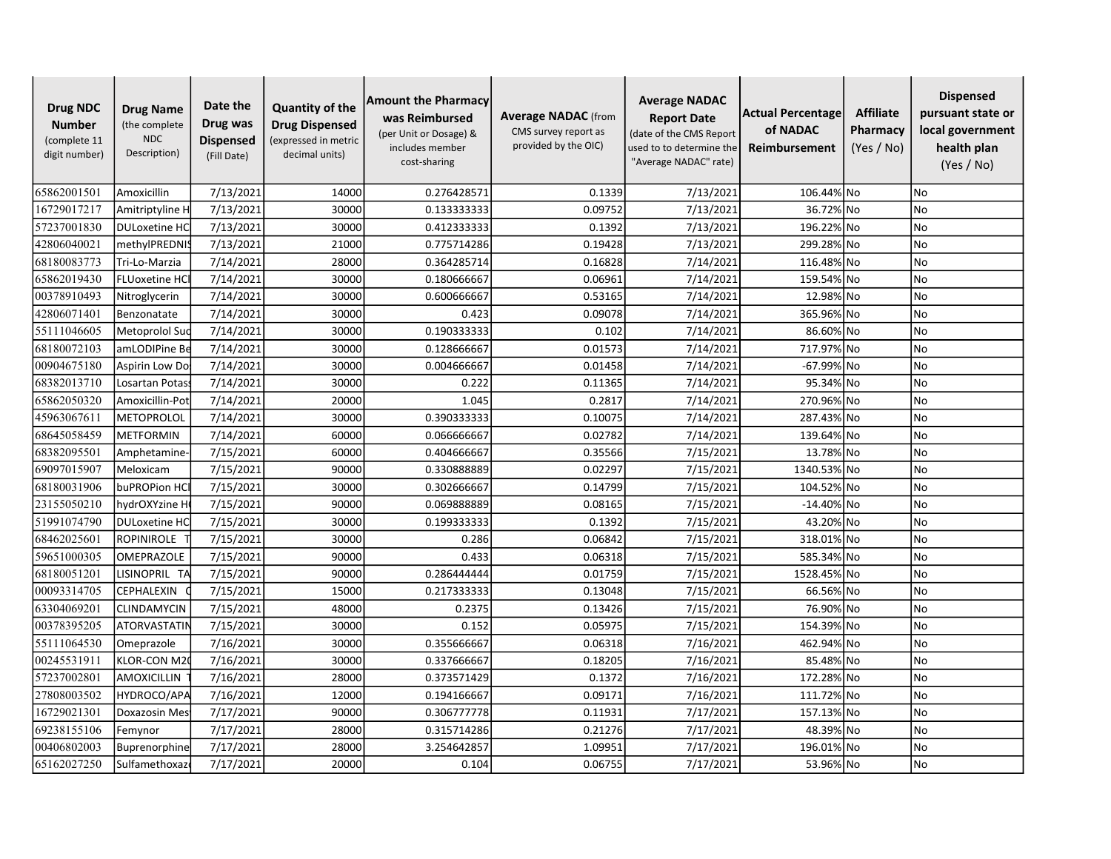| <b>Drug NDC</b><br><b>Number</b><br>(complete 11<br>digit number) | <b>Drug Name</b><br>(the complete<br><b>NDC</b><br>Description) | Date the<br>Drug was<br><b>Dispensed</b><br>(Fill Date) | <b>Quantity of the</b><br><b>Drug Dispensed</b><br>(expressed in metric<br>decimal units) | <b>Amount the Pharmacy</b><br>was Reimbursed<br>(per Unit or Dosage) &<br>includes member<br>cost-sharing | <b>Average NADAC</b> (from<br>CMS survey report as<br>provided by the OIC) | <b>Average NADAC</b><br><b>Report Date</b><br>(date of the CMS Report<br>used to to determine the<br>"Average NADAC" rate) | Actual Percentage<br>of NADAC<br>Reimbursement | <b>Affiliate</b><br>Pharmacy<br>(Yes / No) | <b>Dispensed</b><br>pursuant state or<br>local government<br>health plan<br>(Yes / No) |
|-------------------------------------------------------------------|-----------------------------------------------------------------|---------------------------------------------------------|-------------------------------------------------------------------------------------------|-----------------------------------------------------------------------------------------------------------|----------------------------------------------------------------------------|----------------------------------------------------------------------------------------------------------------------------|------------------------------------------------|--------------------------------------------|----------------------------------------------------------------------------------------|
| 65862001501                                                       | Amoxicillin                                                     | 7/13/2021                                               | 14000                                                                                     | 0.276428571                                                                                               | 0.1339                                                                     | 7/13/2021                                                                                                                  | 106.44% No                                     |                                            | <b>No</b>                                                                              |
| 16729017217                                                       | Amitriptyline H                                                 | 7/13/2021                                               | 30000                                                                                     | 0.133333333                                                                                               | 0.09752                                                                    | 7/13/2021                                                                                                                  | 36.72% No                                      |                                            | No                                                                                     |
| 57237001830                                                       | <b>DULoxetine HC</b>                                            | 7/13/2021                                               | 30000                                                                                     | 0.412333333                                                                                               | 0.1392                                                                     | 7/13/2021                                                                                                                  | 196.22% No                                     |                                            | <b>No</b>                                                                              |
| 42806040021                                                       | methylPREDNIS                                                   | 7/13/2021                                               | 21000                                                                                     | 0.775714286                                                                                               | 0.19428                                                                    | 7/13/2021                                                                                                                  | 299.28% No                                     |                                            | <b>No</b>                                                                              |
| 68180083773                                                       | Tri-Lo-Marzia                                                   | 7/14/2021                                               | 28000                                                                                     | 0.364285714                                                                                               | 0.16828                                                                    | 7/14/2021                                                                                                                  | 116.48% No                                     |                                            | <b>No</b>                                                                              |
| 65862019430                                                       | <b>FLUoxetine HC</b>                                            | 7/14/2021                                               | 30000                                                                                     | 0.180666667                                                                                               | 0.06961                                                                    | 7/14/2021                                                                                                                  | 159.54% No                                     |                                            | No                                                                                     |
| 00378910493                                                       | Nitroglycerin                                                   | 7/14/2021                                               | 30000                                                                                     | 0.600666667                                                                                               | 0.53165                                                                    | 7/14/2021                                                                                                                  | 12.98% No                                      |                                            | <b>No</b>                                                                              |
| 42806071401                                                       | Benzonatate                                                     | 7/14/2021                                               | 30000                                                                                     | 0.423                                                                                                     | 0.09078                                                                    | 7/14/2021                                                                                                                  | 365.96% No                                     |                                            | <b>No</b>                                                                              |
| 55111046605                                                       | Metoprolol Suc                                                  | 7/14/2021                                               | 30000                                                                                     | 0.190333333                                                                                               | 0.102                                                                      | 7/14/2021                                                                                                                  | 86.60% No                                      |                                            | <b>No</b>                                                                              |
| 68180072103                                                       | amLODIPine Be                                                   | 7/14/2021                                               | 30000                                                                                     | 0.128666667                                                                                               | 0.01573                                                                    | 7/14/2021                                                                                                                  | 717.97% No                                     |                                            | No                                                                                     |
| 00904675180                                                       | Aspirin Low Do:                                                 | 7/14/2021                                               | 30000                                                                                     | 0.004666667                                                                                               | 0.01458                                                                    | 7/14/2021                                                                                                                  | -67.99% No                                     |                                            | No                                                                                     |
| 68382013710                                                       | Losartan Potas                                                  | 7/14/2021                                               | 30000                                                                                     | 0.222                                                                                                     | 0.11365                                                                    | 7/14/2021                                                                                                                  | 95.34% No                                      |                                            | N <sub>o</sub>                                                                         |
| 65862050320                                                       | Amoxicillin-Pot                                                 | 7/14/2021                                               | 20000                                                                                     | 1.045                                                                                                     | 0.2817                                                                     | 7/14/2021                                                                                                                  | 270.96% No                                     |                                            | <b>No</b>                                                                              |
| 45963067611                                                       | METOPROLOL                                                      | 7/14/2021                                               | 30000                                                                                     | 0.390333333                                                                                               | 0.10075                                                                    | 7/14/2021                                                                                                                  | 287.43% No                                     |                                            | <b>No</b>                                                                              |
| 68645058459                                                       | <b>METFORMIN</b>                                                | 7/14/2021                                               | 60000                                                                                     | 0.066666667                                                                                               | 0.02782                                                                    | 7/14/2021                                                                                                                  | 139.64% No                                     |                                            | <b>No</b>                                                                              |
| 68382095501                                                       | Amphetamine                                                     | 7/15/2021                                               | 60000                                                                                     | 0.404666667                                                                                               | 0.35566                                                                    | 7/15/2021                                                                                                                  | 13.78% No                                      |                                            | <b>No</b>                                                                              |
| 69097015907                                                       | Meloxicam                                                       | 7/15/2021                                               | 90000                                                                                     | 0.330888889                                                                                               | 0.02297                                                                    | 7/15/2021                                                                                                                  | 1340.53% No                                    |                                            | No                                                                                     |
| 68180031906                                                       | buPROPion HC                                                    | 7/15/2021                                               | 30000                                                                                     | 0.302666667                                                                                               | 0.14799                                                                    | 7/15/2021                                                                                                                  | 104.52% No                                     |                                            | No                                                                                     |
| 23155050210                                                       | hydrOXYzine H                                                   | 7/15/2021                                               | 90000                                                                                     | 0.069888889                                                                                               | 0.08165                                                                    | 7/15/2021                                                                                                                  | $-14.40\%$ No                                  |                                            | <b>No</b>                                                                              |
| 51991074790                                                       | <b>DULoxetine HC</b>                                            | 7/15/2021                                               | 30000                                                                                     | 0.199333333                                                                                               | 0.1392                                                                     | 7/15/2021                                                                                                                  | 43.20% No                                      |                                            | <b>No</b>                                                                              |
| 68462025601                                                       | <b>ROPINIROLE</b>                                               | 7/15/2021                                               | 30000                                                                                     | 0.286                                                                                                     | 0.06842                                                                    | 7/15/2021                                                                                                                  | 318.01% No                                     |                                            | No                                                                                     |
| 59651000305                                                       | <b>OMEPRAZOLE</b>                                               | 7/15/2021                                               | 90000                                                                                     | 0.433                                                                                                     | 0.06318                                                                    | 7/15/2021                                                                                                                  | 585.34% No                                     |                                            | No                                                                                     |
| 68180051201                                                       | LISINOPRIL TA                                                   | 7/15/2021                                               | 90000                                                                                     | 0.286444444                                                                                               | 0.01759                                                                    | 7/15/2021                                                                                                                  | 1528.45% No                                    |                                            | <b>No</b>                                                                              |
| 00093314705                                                       | <b>CEPHALEXIN</b>                                               | 7/15/2021                                               | 15000                                                                                     | 0.217333333                                                                                               | 0.13048                                                                    | 7/15/2021                                                                                                                  | 66.56% No                                      |                                            | <b>No</b>                                                                              |
| 63304069201                                                       | CLINDAMYCIN                                                     | 7/15/2021                                               | 48000                                                                                     | 0.2375                                                                                                    | 0.13426                                                                    | 7/15/2021                                                                                                                  | 76.90% No                                      |                                            | <b>No</b>                                                                              |
| 00378395205                                                       | <b>ATORVASTATIN</b>                                             | 7/15/2021                                               | 30000                                                                                     | 0.152                                                                                                     | 0.05975                                                                    | 7/15/2021                                                                                                                  | 154.39% No                                     |                                            | <b>No</b>                                                                              |
| 55111064530                                                       | Omeprazole                                                      | 7/16/2021                                               | 30000                                                                                     | 0.355666667                                                                                               | 0.06318                                                                    | 7/16/2021                                                                                                                  | 462.94% No                                     |                                            | <b>No</b>                                                                              |
| 00245531911                                                       | KLOR-CON M2                                                     | 7/16/2021                                               | 30000                                                                                     | 0.337666667                                                                                               | 0.18205                                                                    | 7/16/2021                                                                                                                  | 85.48% No                                      |                                            | No                                                                                     |
| 57237002801                                                       | <b>AMOXICILLIN</b>                                              | 7/16/2021                                               | 28000                                                                                     | 0.373571429                                                                                               | 0.1372                                                                     | 7/16/2021                                                                                                                  | 172.28% No                                     |                                            | No                                                                                     |
| 27808003502                                                       | HYDROCO/APA                                                     | 7/16/2021                                               | 12000                                                                                     | 0.194166667                                                                                               | 0.09171                                                                    | 7/16/2021                                                                                                                  | 111.72% No                                     |                                            | <b>No</b>                                                                              |
| 16729021301                                                       | <b>Doxazosin Mes</b>                                            | 7/17/2021                                               | 90000                                                                                     | 0.306777778                                                                                               | 0.11931                                                                    | 7/17/2021                                                                                                                  | 157.13% No                                     |                                            | No                                                                                     |
| 69238155106                                                       | Femynor                                                         | 7/17/2021                                               | 28000                                                                                     | 0.315714286                                                                                               | 0.21276                                                                    | 7/17/2021                                                                                                                  | 48.39% No                                      |                                            | No                                                                                     |
| 00406802003                                                       | Buprenorphine                                                   | 7/17/2021                                               | 28000                                                                                     | 3.254642857                                                                                               | 1.09951                                                                    | 7/17/2021                                                                                                                  | 196.01% No                                     |                                            | No                                                                                     |
| 65162027250                                                       | Sulfamethoxazo                                                  | 7/17/2021                                               | 20000                                                                                     | 0.104                                                                                                     | 0.06755                                                                    | 7/17/2021                                                                                                                  | 53.96% No                                      |                                            | No.                                                                                    |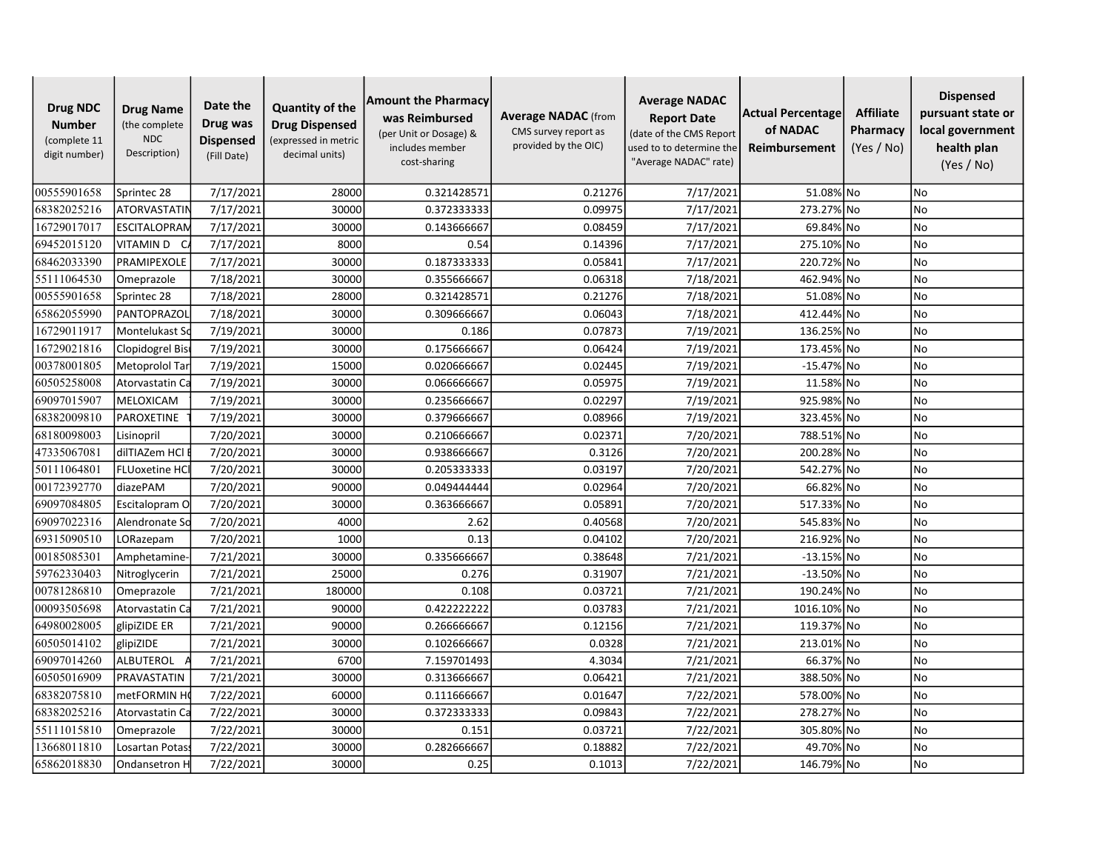| <b>Drug NDC</b><br><b>Number</b><br>(complete 11<br>digit number) | <b>Drug Name</b><br>(the complete<br><b>NDC</b><br>Description) | Date the<br>Drug was<br><b>Dispensed</b><br>(Fill Date) | <b>Quantity of the</b><br><b>Drug Dispensed</b><br>(expressed in metric<br>decimal units) | <b>Amount the Pharmacy</b><br>was Reimbursed<br>(per Unit or Dosage) &<br>includes member<br>cost-sharing | <b>Average NADAC</b> (from<br>CMS survey report as<br>provided by the OIC) | <b>Average NADAC</b><br><b>Report Date</b><br>(date of the CMS Report<br>used to to determine the<br>"Average NADAC" rate) | Actual Percentage<br>of NADAC<br>Reimbursement | <b>Affiliate</b><br>Pharmacy<br>(Yes / No) | <b>Dispensed</b><br>pursuant state or<br>local government<br>health plan<br>(Yes / No) |
|-------------------------------------------------------------------|-----------------------------------------------------------------|---------------------------------------------------------|-------------------------------------------------------------------------------------------|-----------------------------------------------------------------------------------------------------------|----------------------------------------------------------------------------|----------------------------------------------------------------------------------------------------------------------------|------------------------------------------------|--------------------------------------------|----------------------------------------------------------------------------------------|
| 00555901658                                                       | Sprintec 28                                                     | 7/17/2021                                               | 28000                                                                                     | 0.321428571                                                                                               | 0.21276                                                                    | 7/17/2021                                                                                                                  | 51.08% No                                      |                                            | <b>No</b>                                                                              |
| 68382025216                                                       | ATORVASTATIN                                                    | 7/17/2021                                               | 30000                                                                                     | 0.372333333                                                                                               | 0.09975                                                                    | 7/17/2021                                                                                                                  | 273.27% No                                     |                                            | No                                                                                     |
| 16729017017                                                       | ESCITALOPRAN                                                    | 7/17/2021                                               | 30000                                                                                     | 0.143666667                                                                                               | 0.08459                                                                    | 7/17/2021                                                                                                                  | 69.84% No                                      |                                            | <b>No</b>                                                                              |
| 69452015120                                                       | VITAMIN D C                                                     | 7/17/2021                                               | 8000                                                                                      | 0.54                                                                                                      | 0.14396                                                                    | 7/17/2021                                                                                                                  | 275.10% No                                     |                                            | <b>No</b>                                                                              |
| 68462033390                                                       | PRAMIPEXOLE                                                     | 7/17/2021                                               | 30000                                                                                     | 0.187333333                                                                                               | 0.05841                                                                    | 7/17/2021                                                                                                                  | 220.72% No                                     |                                            | <b>No</b>                                                                              |
| 55111064530                                                       | Omeprazole                                                      | 7/18/2021                                               | 30000                                                                                     | 0.355666667                                                                                               | 0.06318                                                                    | 7/18/2021                                                                                                                  | 462.94% No                                     |                                            | No                                                                                     |
| 00555901658                                                       | Sprintec 28                                                     | 7/18/2021                                               | 28000                                                                                     | 0.321428571                                                                                               | 0.21276                                                                    | 7/18/2021                                                                                                                  | 51.08% No                                      |                                            | <b>No</b>                                                                              |
| 65862055990                                                       | PANTOPRAZOL                                                     | 7/18/2021                                               | 30000                                                                                     | 0.309666667                                                                                               | 0.06043                                                                    | 7/18/2021                                                                                                                  | 412.44% No                                     |                                            | <b>No</b>                                                                              |
| 16729011917                                                       | Montelukast So                                                  | 7/19/2021                                               | 30000                                                                                     | 0.186                                                                                                     | 0.07873                                                                    | 7/19/2021                                                                                                                  | 136.25% No                                     |                                            | <b>No</b>                                                                              |
| 16729021816                                                       | Clopidogrel Bis                                                 | 7/19/2021                                               | 30000                                                                                     | 0.175666667                                                                                               | 0.06424                                                                    | 7/19/2021                                                                                                                  | 173.45% No                                     |                                            | No                                                                                     |
| 00378001805                                                       | Metoprolol Tar                                                  | 7/19/2021                                               | 15000                                                                                     | 0.020666667                                                                                               | 0.02445                                                                    | 7/19/2021                                                                                                                  | $-15.47\%$ No                                  |                                            | No                                                                                     |
| 60505258008                                                       | Atorvastatin Ca                                                 | 7/19/2021                                               | 30000                                                                                     | 0.066666667                                                                                               | 0.05975                                                                    | 7/19/2021                                                                                                                  | 11.58% No                                      |                                            | <b>No</b>                                                                              |
| 69097015907                                                       | MELOXICAM                                                       | 7/19/2021                                               | 30000                                                                                     | 0.235666667                                                                                               | 0.02297                                                                    | 7/19/2021                                                                                                                  | 925.98% No                                     |                                            | <b>No</b>                                                                              |
| 68382009810                                                       | PAROXETINE                                                      | 7/19/2021                                               | 30000                                                                                     | 0.379666667                                                                                               | 0.08966                                                                    | 7/19/2021                                                                                                                  | 323.45% No                                     |                                            | <b>No</b>                                                                              |
| 68180098003                                                       | Lisinopril                                                      | 7/20/2021                                               | 30000                                                                                     | 0.210666667                                                                                               | 0.02371                                                                    | 7/20/2021                                                                                                                  | 788.51% No                                     |                                            | <b>No</b>                                                                              |
| 47335067081                                                       | dilTIAZem HCl                                                   | 7/20/2021                                               | 30000                                                                                     | 0.938666667                                                                                               | 0.3126                                                                     | 7/20/2021                                                                                                                  | 200.28% No                                     |                                            | <b>No</b>                                                                              |
| 50111064801                                                       | <b>FLUoxetine HCI</b>                                           | 7/20/2021                                               | 30000                                                                                     | 0.205333333                                                                                               | 0.03197                                                                    | 7/20/2021                                                                                                                  | 542.27% No                                     |                                            | No                                                                                     |
| 00172392770                                                       | diazePAM                                                        | 7/20/2021                                               | 90000                                                                                     | 0.049444444                                                                                               | 0.02964                                                                    | 7/20/2021                                                                                                                  | 66.82% No                                      |                                            | <b>No</b>                                                                              |
| 69097084805                                                       | Escitalopram O                                                  | 7/20/2021                                               | 30000                                                                                     | 0.363666667                                                                                               | 0.05891                                                                    | 7/20/2021                                                                                                                  | 517.33% No                                     |                                            | <b>No</b>                                                                              |
| 69097022316                                                       | Alendronate So                                                  | 7/20/2021                                               | 4000                                                                                      | 2.62                                                                                                      | 0.40568                                                                    | 7/20/2021                                                                                                                  | 545.83% No                                     |                                            | <b>No</b>                                                                              |
| 69315090510                                                       | LORazepam                                                       | 7/20/2021                                               | 1000                                                                                      | 0.13                                                                                                      | 0.04102                                                                    | 7/20/2021                                                                                                                  | 216.92% No                                     |                                            | No                                                                                     |
| 00185085301                                                       | Amphetamine                                                     | 7/21/2021                                               | 30000                                                                                     | 0.335666667                                                                                               | 0.38648                                                                    | 7/21/2021                                                                                                                  | $-13.15%$ No                                   |                                            | No                                                                                     |
| 59762330403                                                       | Nitroglycerin                                                   | 7/21/2021                                               | 25000                                                                                     | 0.276                                                                                                     | 0.31907                                                                    | 7/21/2021                                                                                                                  | $-13.50\%$ No                                  |                                            | <b>No</b>                                                                              |
| 00781286810                                                       | Omeprazole                                                      | 7/21/2021                                               | 180000                                                                                    | 0.108                                                                                                     | 0.03721                                                                    | 7/21/2021                                                                                                                  | 190.24% No                                     |                                            | <b>No</b>                                                                              |
| 00093505698                                                       | Atorvastatin Ca                                                 | 7/21/2021                                               | 90000                                                                                     | 0.422222222                                                                                               | 0.03783                                                                    | 7/21/2021                                                                                                                  | 1016.10% No                                    |                                            | <b>No</b>                                                                              |
| 64980028005                                                       | glipiZIDE ER                                                    | 7/21/2021                                               | 90000                                                                                     | 0.266666667                                                                                               | 0.12156                                                                    | 7/21/2021                                                                                                                  | 119.37% No                                     |                                            | <b>No</b>                                                                              |
| 60505014102                                                       | glipiZIDE                                                       | 7/21/2021                                               | 30000                                                                                     | 0.102666667                                                                                               | 0.0328                                                                     | 7/21/2021                                                                                                                  | 213.01% No                                     |                                            | <b>No</b>                                                                              |
| 69097014260                                                       | ALBUTEROL                                                       | 7/21/2021                                               | 6700                                                                                      | 7.159701493                                                                                               | 4.3034                                                                     | 7/21/2021                                                                                                                  | 66.37% No                                      |                                            | No                                                                                     |
| 60505016909                                                       | PRAVASTATIN                                                     | 7/21/2021                                               | 30000                                                                                     | 0.313666667                                                                                               | 0.06421                                                                    | 7/21/2021                                                                                                                  | 388.50% No                                     |                                            | No                                                                                     |
| 68382075810                                                       | metFORMIN H                                                     | 7/22/2021                                               | 60000                                                                                     | 0.111666667                                                                                               | 0.01647                                                                    | 7/22/2021                                                                                                                  | 578.00% No                                     |                                            | <b>No</b>                                                                              |
| 68382025216                                                       | Atorvastatin Ca                                                 | 7/22/2021                                               | 30000                                                                                     | 0.372333333                                                                                               | 0.09843                                                                    | 7/22/2021                                                                                                                  | 278.27% No                                     |                                            | <b>No</b>                                                                              |
| 55111015810                                                       | Omeprazole                                                      | 7/22/2021                                               | 30000                                                                                     | 0.151                                                                                                     | 0.03721                                                                    | 7/22/2021                                                                                                                  | 305.80% No                                     |                                            | No                                                                                     |
| 13668011810                                                       | Losartan Potas                                                  | 7/22/2021                                               | 30000                                                                                     | 0.282666667                                                                                               | 0.18882                                                                    | 7/22/2021                                                                                                                  | 49.70% No                                      |                                            | No                                                                                     |
| 65862018830                                                       | Ondansetron H                                                   | 7/22/2021                                               | 30000                                                                                     | 0.25                                                                                                      | 0.1013                                                                     | 7/22/2021                                                                                                                  | 146.79% No                                     |                                            | No.                                                                                    |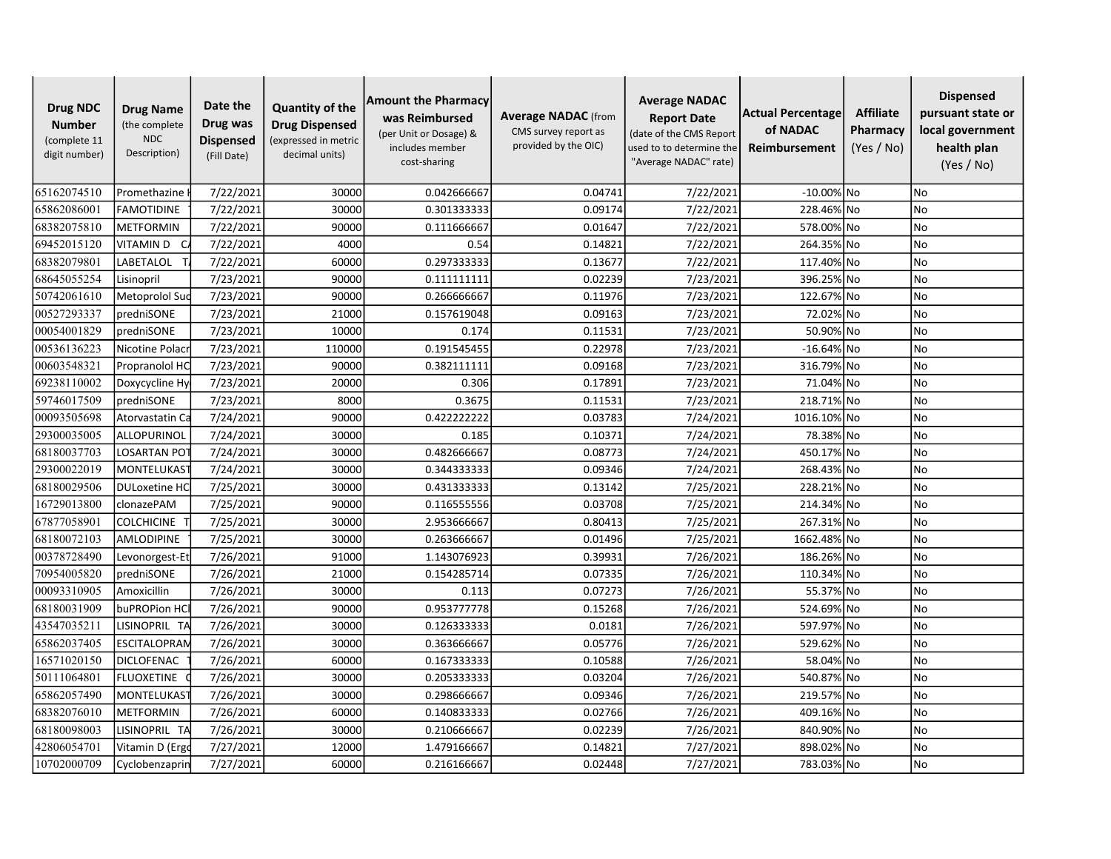| <b>Drug NDC</b><br><b>Number</b><br>(complete 11<br>digit number) | <b>Drug Name</b><br>(the complete<br><b>NDC</b><br>Description) | Date the<br>Drug was<br><b>Dispensed</b><br>(Fill Date) | <b>Quantity of the</b><br><b>Drug Dispensed</b><br>(expressed in metric<br>decimal units) | <b>Amount the Pharmacy</b><br>was Reimbursed<br>(per Unit or Dosage) &<br>includes member<br>cost-sharing | <b>Average NADAC</b> (from<br>CMS survey report as<br>provided by the OIC) | <b>Average NADAC</b><br><b>Report Date</b><br>(date of the CMS Report<br>used to to determine the<br>"Average NADAC" rate) | Actual Percentage<br>of NADAC<br>Reimbursement | <b>Affiliate</b><br>Pharmacy<br>(Yes / No) | <b>Dispensed</b><br>pursuant state or<br>local government<br>health plan<br>(Yes / No) |
|-------------------------------------------------------------------|-----------------------------------------------------------------|---------------------------------------------------------|-------------------------------------------------------------------------------------------|-----------------------------------------------------------------------------------------------------------|----------------------------------------------------------------------------|----------------------------------------------------------------------------------------------------------------------------|------------------------------------------------|--------------------------------------------|----------------------------------------------------------------------------------------|
| 65162074510                                                       | Promethazine                                                    | 7/22/2021                                               | 30000                                                                                     | 0.042666667                                                                                               | 0.04741                                                                    | 7/22/2021                                                                                                                  | $-10.00\%$ No                                  |                                            | <b>No</b>                                                                              |
| 65862086001                                                       | FAMOTIDINE                                                      | 7/22/2021                                               | 30000                                                                                     | 0.301333333                                                                                               | 0.09174                                                                    | 7/22/2021                                                                                                                  | 228.46% No                                     |                                            | No                                                                                     |
| 68382075810                                                       | <b>METFORMIN</b>                                                | 7/22/2021                                               | 90000                                                                                     | 0.111666667                                                                                               | 0.01647                                                                    | 7/22/2021                                                                                                                  | 578.00% No                                     |                                            | <b>No</b>                                                                              |
| 69452015120                                                       | VITAMIN D C                                                     | 7/22/2021                                               | 4000                                                                                      | 0.54                                                                                                      | 0.14821                                                                    | 7/22/2021                                                                                                                  | 264.35% No                                     |                                            | <b>No</b>                                                                              |
| 68382079801                                                       | LABETALOL                                                       | 7/22/2021                                               | 60000                                                                                     | 0.297333333                                                                                               | 0.13677                                                                    | 7/22/2021                                                                                                                  | 117.40% No                                     |                                            | <b>No</b>                                                                              |
| 68645055254                                                       | Lisinopril                                                      | 7/23/2021                                               | 90000                                                                                     | 0.111111111                                                                                               | 0.02239                                                                    | 7/23/2021                                                                                                                  | 396.25% No                                     |                                            | No                                                                                     |
| 50742061610                                                       | Metoprolol Suc                                                  | 7/23/2021                                               | 90000                                                                                     | 0.266666667                                                                                               | 0.11976                                                                    | 7/23/2021                                                                                                                  | 122.67% No                                     |                                            | No                                                                                     |
| 00527293337                                                       | predniSONE                                                      | 7/23/2021                                               | 21000                                                                                     | 0.157619048                                                                                               | 0.09163                                                                    | 7/23/2021                                                                                                                  | 72.02% No                                      |                                            | <b>No</b>                                                                              |
| 00054001829                                                       | predniSONE                                                      | 7/23/2021                                               | 10000                                                                                     | 0.174                                                                                                     | 0.11531                                                                    | 7/23/2021                                                                                                                  | 50.90% No                                      |                                            | <b>No</b>                                                                              |
| 00536136223                                                       | Nicotine Polac                                                  | 7/23/2021                                               | 110000                                                                                    | 0.191545455                                                                                               | 0.22978                                                                    | 7/23/2021                                                                                                                  | $-16.64%$ No                                   |                                            | <b>No</b>                                                                              |
| 00603548321                                                       | Propranolol HC                                                  | 7/23/2021                                               | 90000                                                                                     | 0.382111111                                                                                               | 0.09168                                                                    | 7/23/2021                                                                                                                  | 316.79% No                                     |                                            | No                                                                                     |
| 69238110002                                                       | Doxycycline Hy                                                  | 7/23/2021                                               | 20000                                                                                     | 0.306                                                                                                     | 0.17891                                                                    | 7/23/2021                                                                                                                  | 71.04% No                                      |                                            | <b>No</b>                                                                              |
| 59746017509                                                       | predniSONE                                                      | 7/23/2021                                               | 8000                                                                                      | 0.3675                                                                                                    | 0.11531                                                                    | 7/23/2021                                                                                                                  | 218.71% No                                     |                                            | <b>No</b>                                                                              |
| 00093505698                                                       | Atorvastatin Ca                                                 | 7/24/2021                                               | 90000                                                                                     | 0.422222222                                                                                               | 0.03783                                                                    | 7/24/2021                                                                                                                  | 1016.10% No                                    |                                            | <b>No</b>                                                                              |
| 29300035005                                                       | ALLOPURINOL                                                     | 7/24/2021                                               | 30000                                                                                     | 0.185                                                                                                     | 0.10371                                                                    | 7/24/2021                                                                                                                  | 78.38% No                                      |                                            | <b>No</b>                                                                              |
| 68180037703                                                       | LOSARTAN PO                                                     | 7/24/2021                                               | 30000                                                                                     | 0.482666667                                                                                               | 0.08773                                                                    | 7/24/2021                                                                                                                  | 450.17% No                                     |                                            | <b>No</b>                                                                              |
| 29300022019                                                       | MONTELUKAS <sup>-</sup>                                         | 7/24/2021                                               | 30000                                                                                     | 0.344333333                                                                                               | 0.09346                                                                    | 7/24/2021                                                                                                                  | 268.43% No                                     |                                            | No                                                                                     |
| 68180029506                                                       | <b>DULoxetine HC</b>                                            | 7/25/2021                                               | 30000                                                                                     | 0.431333333                                                                                               | 0.13142                                                                    | 7/25/2021                                                                                                                  | 228.21% No                                     |                                            | No                                                                                     |
| 16729013800                                                       | clonazePAM                                                      | 7/25/2021                                               | 90000                                                                                     | 0.116555556                                                                                               | 0.03708                                                                    | 7/25/2021                                                                                                                  | 214.34% No                                     |                                            | <b>No</b>                                                                              |
| 67877058901                                                       | <b>COLCHICINE</b>                                               | 7/25/2021                                               | 30000                                                                                     | 2.953666667                                                                                               | 0.80413                                                                    | 7/25/2021                                                                                                                  | 267.31% No                                     |                                            | <b>No</b>                                                                              |
| 68180072103                                                       | AMLODIPINE                                                      | 7/25/2021                                               | 30000                                                                                     | 0.263666667                                                                                               | 0.01496                                                                    | 7/25/2021                                                                                                                  | 1662.48% No                                    |                                            | No                                                                                     |
| 00378728490                                                       | Levonorgest-Et                                                  | 7/26/2021                                               | 91000                                                                                     | 1.143076923                                                                                               | 0.39931                                                                    | 7/26/2021                                                                                                                  | 186.26% No                                     |                                            | No                                                                                     |
| 70954005820                                                       | predniSONE                                                      | 7/26/2021                                               | 21000                                                                                     | 0.154285714                                                                                               | 0.07335                                                                    | 7/26/2021                                                                                                                  | 110.34% No                                     |                                            | <b>No</b>                                                                              |
| 00093310905                                                       | Amoxicillin                                                     | 7/26/2021                                               | 30000                                                                                     | 0.113                                                                                                     | 0.07273                                                                    | 7/26/2021                                                                                                                  | 55.37% No                                      |                                            | <b>No</b>                                                                              |
| 68180031909                                                       | buPROPion HC                                                    | 7/26/2021                                               | 90000                                                                                     | 0.953777778                                                                                               | 0.15268                                                                    | 7/26/2021                                                                                                                  | 524.69% No                                     |                                            | <b>No</b>                                                                              |
| 43547035211                                                       | LISINOPRIL TA                                                   | 7/26/2021                                               | 30000                                                                                     | 0.126333333                                                                                               | 0.0181                                                                     | 7/26/2021                                                                                                                  | 597.97% No                                     |                                            | <b>No</b>                                                                              |
| 65862037405                                                       | <b>ESCITALOPRAN</b>                                             | 7/26/2021                                               | 30000                                                                                     | 0.363666667                                                                                               | 0.05776                                                                    | 7/26/2021                                                                                                                  | 529.62% No                                     |                                            | <b>No</b>                                                                              |
| 16571020150                                                       | DICLOFENAC                                                      | 7/26/2021                                               | 60000                                                                                     | 0.167333333                                                                                               | 0.10588                                                                    | 7/26/2021                                                                                                                  | 58.04% No                                      |                                            | No                                                                                     |
| 50111064801                                                       | <b>FLUOXETINE</b>                                               | 7/26/2021                                               | 30000                                                                                     | 0.205333333                                                                                               | 0.03204                                                                    | 7/26/2021                                                                                                                  | 540.87% No                                     |                                            | No                                                                                     |
| 65862057490                                                       | <b>MONTELUKAS</b>                                               | 7/26/2021                                               | 30000                                                                                     | 0.298666667                                                                                               | 0.09346                                                                    | 7/26/2021                                                                                                                  | 219.57% No                                     |                                            | <b>No</b>                                                                              |
| 68382076010                                                       | <b>METFORMIN</b>                                                | 7/26/2021                                               | 60000                                                                                     | 0.140833333                                                                                               | 0.02766                                                                    | 7/26/2021                                                                                                                  | 409.16% No                                     |                                            | No                                                                                     |
| 68180098003                                                       | LISINOPRIL TA                                                   | 7/26/2021                                               | 30000                                                                                     | 0.210666667                                                                                               | 0.02239                                                                    | 7/26/2021                                                                                                                  | 840.90% No                                     |                                            | No                                                                                     |
| 42806054701                                                       | Vitamin D (Ergo                                                 | 7/27/2021                                               | 12000                                                                                     | 1.479166667                                                                                               | 0.14821                                                                    | 7/27/2021                                                                                                                  | 898.02% No                                     |                                            | No                                                                                     |
| 10702000709                                                       | Cyclobenzaprin                                                  | 7/27/2021                                               | 60000                                                                                     | 0.216166667                                                                                               | 0.02448                                                                    | 7/27/2021                                                                                                                  | 783.03% No                                     |                                            | N <sub>o</sub>                                                                         |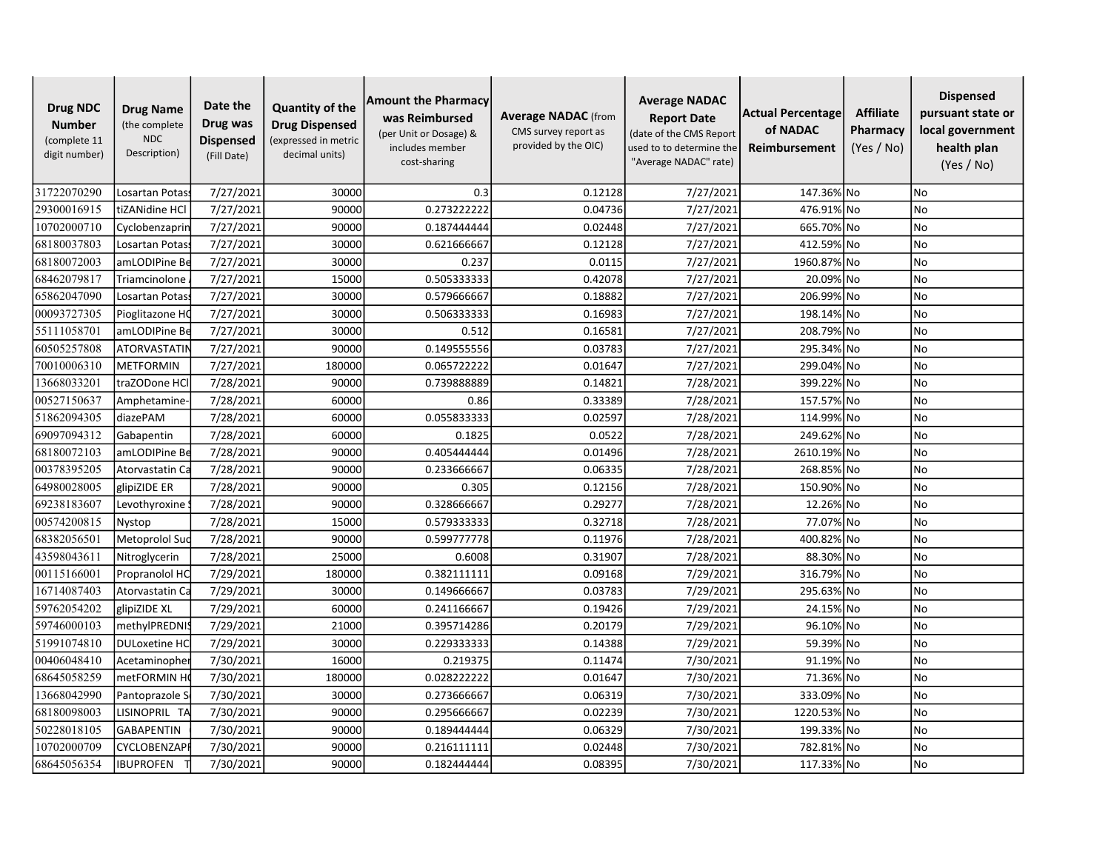| <b>Drug NDC</b><br><b>Number</b><br>(complete 11<br>digit number) | <b>Drug Name</b><br>(the complete<br><b>NDC</b><br>Description) | Date the<br>Drug was<br><b>Dispensed</b><br>(Fill Date) | <b>Quantity of the</b><br><b>Drug Dispensed</b><br>(expressed in metric<br>decimal units) | <b>Amount the Pharmacy</b><br>was Reimbursed<br>(per Unit or Dosage) &<br>includes member<br>cost-sharing | <b>Average NADAC</b> (from<br>CMS survey report as<br>provided by the OIC) | <b>Average NADAC</b><br><b>Report Date</b><br>(date of the CMS Report<br>used to to determine the<br>"Average NADAC" rate) | Actual Percentage<br>of NADAC<br>Reimbursement | <b>Affiliate</b><br>Pharmacy<br>(Yes / No) | <b>Dispensed</b><br>pursuant state or<br>local government<br>health plan<br>(Yes / No) |
|-------------------------------------------------------------------|-----------------------------------------------------------------|---------------------------------------------------------|-------------------------------------------------------------------------------------------|-----------------------------------------------------------------------------------------------------------|----------------------------------------------------------------------------|----------------------------------------------------------------------------------------------------------------------------|------------------------------------------------|--------------------------------------------|----------------------------------------------------------------------------------------|
| 31722070290                                                       | Losartan Potass                                                 | 7/27/2021                                               | 30000                                                                                     | 0.3                                                                                                       | 0.12128                                                                    | 7/27/2021                                                                                                                  | 147.36% No                                     |                                            | No                                                                                     |
| 29300016915                                                       | tiZANidine HCl                                                  | 7/27/2021                                               | 90000                                                                                     | 0.273222222                                                                                               | 0.04736                                                                    | 7/27/2021                                                                                                                  | 476.91% No                                     |                                            | No                                                                                     |
| 10702000710                                                       | Cyclobenzaprin                                                  | 7/27/2021                                               | 90000                                                                                     | 0.187444444                                                                                               | 0.02448                                                                    | 7/27/2021                                                                                                                  | 665.70% No                                     |                                            | <b>No</b>                                                                              |
| 68180037803                                                       | Losartan Potas                                                  | 7/27/2021                                               | 30000                                                                                     | 0.621666667                                                                                               | 0.12128                                                                    | 7/27/2021                                                                                                                  | 412.59% No                                     |                                            | <b>No</b>                                                                              |
| 68180072003                                                       | amLODIPine Be                                                   | 7/27/2021                                               | 30000                                                                                     | 0.237                                                                                                     | 0.0115                                                                     | 7/27/2021                                                                                                                  | 1960.87% No                                    |                                            | <b>No</b>                                                                              |
| 68462079817                                                       | Triamcinolone                                                   | 7/27/2021                                               | 15000                                                                                     | 0.505333333                                                                                               | 0.42078                                                                    | 7/27/2021                                                                                                                  | 20.09% No                                      |                                            | No                                                                                     |
| 65862047090                                                       | Losartan Potas                                                  | 7/27/2021                                               | 30000                                                                                     | 0.579666667                                                                                               | 0.18882                                                                    | 7/27/2021                                                                                                                  | 206.99% No                                     |                                            | No                                                                                     |
| 00093727305                                                       | Pioglitazone HC                                                 | 7/27/2021                                               | 30000                                                                                     | 0.506333333                                                                                               | 0.16983                                                                    | 7/27/2021                                                                                                                  | 198.14% No                                     |                                            | <b>No</b>                                                                              |
| 55111058701                                                       | amLODIPine Be                                                   | 7/27/2021                                               | 30000                                                                                     | 0.512                                                                                                     | 0.16581                                                                    | 7/27/2021                                                                                                                  | 208.79% No                                     |                                            | <b>No</b>                                                                              |
| 60505257808                                                       | <b>ATORVASTATIN</b>                                             | 7/27/2021                                               | 90000                                                                                     | 0.149555556                                                                                               | 0.03783                                                                    | 7/27/2021                                                                                                                  | 295.34% No                                     |                                            | No                                                                                     |
| 70010006310                                                       | <b>METFORMIN</b>                                                | 7/27/2021                                               | 180000                                                                                    | 0.065722222                                                                                               | 0.01647                                                                    | 7/27/2021                                                                                                                  | 299.04% No                                     |                                            | No                                                                                     |
| 13668033201                                                       | traZODone HCl                                                   | 7/28/2021                                               | 90000                                                                                     | 0.739888889                                                                                               | 0.14821                                                                    | 7/28/2021                                                                                                                  | 399.22% No                                     |                                            | <b>No</b>                                                                              |
| 00527150637                                                       | Amphetamine-                                                    | 7/28/2021                                               | 60000                                                                                     | 0.86                                                                                                      | 0.33389                                                                    | 7/28/2021                                                                                                                  | 157.57% No                                     |                                            | <b>No</b>                                                                              |
| 51862094305                                                       | diazePAM                                                        | 7/28/2021                                               | 60000                                                                                     | 0.055833333                                                                                               | 0.02597                                                                    | 7/28/2021                                                                                                                  | 114.99% No                                     |                                            | <b>No</b>                                                                              |
| 69097094312                                                       | Gabapentin                                                      | 7/28/2021                                               | 60000                                                                                     | 0.1825                                                                                                    | 0.0522                                                                     | 7/28/2021                                                                                                                  | 249.62% No                                     |                                            | <b>No</b>                                                                              |
| 68180072103                                                       | amLODIPine Be                                                   | 7/28/2021                                               | 90000                                                                                     | 0.405444444                                                                                               | 0.01496                                                                    | 7/28/2021                                                                                                                  | 2610.19% No                                    |                                            | <b>No</b>                                                                              |
| 00378395205                                                       | Atorvastatin Ca                                                 | 7/28/2021                                               | 90000                                                                                     | 0.233666667                                                                                               | 0.06335                                                                    | 7/28/2021                                                                                                                  | 268.85% No                                     |                                            | No                                                                                     |
| 64980028005                                                       | glipiZIDE ER                                                    | 7/28/2021                                               | 90000                                                                                     | 0.305                                                                                                     | 0.12156                                                                    | 7/28/2021                                                                                                                  | 150.90% No                                     |                                            | <b>No</b>                                                                              |
| 69238183607                                                       | Levothyroxine                                                   | 7/28/2021                                               | 90000                                                                                     | 0.328666667                                                                                               | 0.29277                                                                    | 7/28/2021                                                                                                                  | 12.26% No                                      |                                            | <b>No</b>                                                                              |
| 00574200815                                                       | Nystop                                                          | 7/28/2021                                               | 15000                                                                                     | 0.579333333                                                                                               | 0.32718                                                                    | 7/28/2021                                                                                                                  | 77.07% No                                      |                                            | <b>No</b>                                                                              |
| 68382056501                                                       | Metoprolol Suc                                                  | 7/28/2021                                               | 90000                                                                                     | 0.599777778                                                                                               | 0.11976                                                                    | 7/28/2021                                                                                                                  | 400.82% No                                     |                                            | No                                                                                     |
| 43598043611                                                       | Nitroglycerin                                                   | 7/28/2021                                               | 25000                                                                                     | 0.6008                                                                                                    | 0.31907                                                                    | 7/28/2021                                                                                                                  | 88.30% No                                      |                                            | No                                                                                     |
| 00115166001                                                       | Propranolol HC                                                  | 7/29/2021                                               | 180000                                                                                    | 0.382111111                                                                                               | 0.09168                                                                    | 7/29/2021                                                                                                                  | 316.79% No                                     |                                            | <b>No</b>                                                                              |
| 16714087403                                                       | Atorvastatin Ca                                                 | 7/29/2021                                               | 30000                                                                                     | 0.149666667                                                                                               | 0.03783                                                                    | 7/29/2021                                                                                                                  | 295.63% No                                     |                                            | <b>No</b>                                                                              |
| 59762054202                                                       | glipiZIDE XL                                                    | 7/29/2021                                               | 60000                                                                                     | 0.241166667                                                                                               | 0.19426                                                                    | 7/29/2021                                                                                                                  | 24.15% No                                      |                                            | <b>No</b>                                                                              |
| 59746000103                                                       | methylPREDNIS                                                   | 7/29/2021                                               | 21000                                                                                     | 0.395714286                                                                                               | 0.20179                                                                    | 7/29/2021                                                                                                                  | 96.10% No                                      |                                            | <b>No</b>                                                                              |
| 51991074810                                                       | <b>DULoxetine HC</b>                                            | 7/29/2021                                               | 30000                                                                                     | 0.229333333                                                                                               | 0.14388                                                                    | 7/29/2021                                                                                                                  | 59.39% No                                      |                                            | <b>No</b>                                                                              |
| 00406048410                                                       | Acetaminopher                                                   | 7/30/2021                                               | 16000                                                                                     | 0.219375                                                                                                  | 0.11474                                                                    | 7/30/2021                                                                                                                  | 91.19% No                                      |                                            | No                                                                                     |
| 68645058259                                                       | metFORMIN H                                                     | 7/30/2021                                               | 180000                                                                                    | 0.028222222                                                                                               | 0.01647                                                                    | 7/30/2021                                                                                                                  | 71.36% No                                      |                                            | No                                                                                     |
| 13668042990                                                       | Pantoprazole S                                                  | 7/30/2021                                               | 30000                                                                                     | 0.273666667                                                                                               | 0.06319                                                                    | 7/30/2021                                                                                                                  | 333.09% No                                     |                                            | <b>No</b>                                                                              |
| 68180098003                                                       | LISINOPRIL TA                                                   | 7/30/2021                                               | 90000                                                                                     | 0.295666667                                                                                               | 0.02239                                                                    | 7/30/2021                                                                                                                  | 1220.53% No                                    |                                            | <b>No</b>                                                                              |
| 50228018105                                                       | <b>GABAPENTIN</b>                                               | 7/30/2021                                               | 90000                                                                                     | 0.189444444                                                                                               | 0.06329                                                                    | 7/30/2021                                                                                                                  | 199.33% No                                     |                                            | No                                                                                     |
| 10702000709                                                       | CYCLOBENZAP                                                     | 7/30/2021                                               | 90000                                                                                     | 0.216111111                                                                                               | 0.02448                                                                    | 7/30/2021                                                                                                                  | 782.81% No                                     |                                            | No                                                                                     |
| 68645056354                                                       | <b>IBUPROFEN</b>                                                | 7/30/2021                                               | 90000                                                                                     | 0.182444444                                                                                               | 0.08395                                                                    | 7/30/2021                                                                                                                  | 117.33% No                                     |                                            | N <sub>o</sub>                                                                         |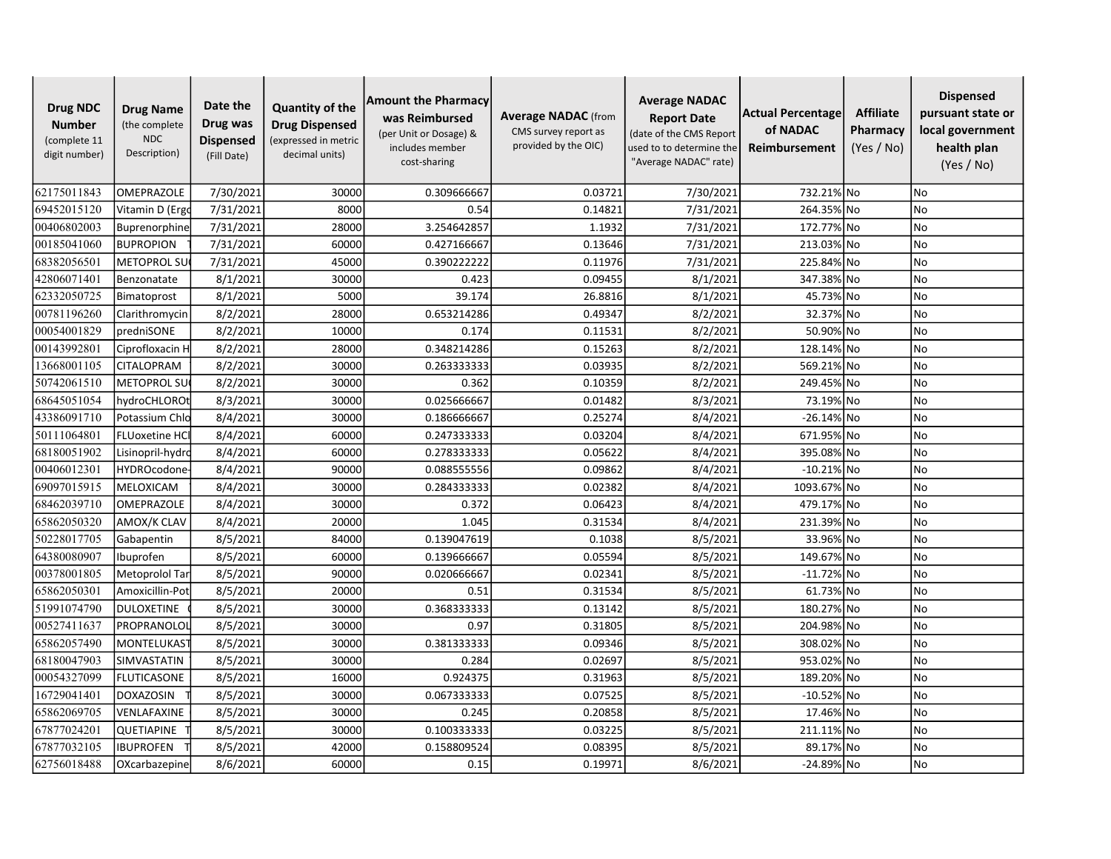| <b>Drug NDC</b><br><b>Number</b><br>(complete 11<br>digit number) | <b>Drug Name</b><br>(the complete<br><b>NDC</b><br>Description) | Date the<br>Drug was<br><b>Dispensed</b><br>(Fill Date) | <b>Quantity of the</b><br><b>Drug Dispensed</b><br>(expressed in metric<br>decimal units) | <b>Amount the Pharmacy</b><br>was Reimbursed<br>(per Unit or Dosage) &<br>includes member<br>cost-sharing | <b>Average NADAC</b> (from<br>CMS survey report as<br>provided by the OIC) | <b>Average NADAC</b><br><b>Report Date</b><br>(date of the CMS Report<br>used to to determine the<br>"Average NADAC" rate) | Actual Percentage<br>of NADAC<br>Reimbursement | <b>Affiliate</b><br>Pharmacy<br>(Yes / No) | <b>Dispensed</b><br>pursuant state or<br>local government<br>health plan<br>(Yes / No) |
|-------------------------------------------------------------------|-----------------------------------------------------------------|---------------------------------------------------------|-------------------------------------------------------------------------------------------|-----------------------------------------------------------------------------------------------------------|----------------------------------------------------------------------------|----------------------------------------------------------------------------------------------------------------------------|------------------------------------------------|--------------------------------------------|----------------------------------------------------------------------------------------|
| 62175011843                                                       | <b>OMEPRAZOLE</b>                                               | 7/30/2021                                               | 30000                                                                                     | 0.309666667                                                                                               | 0.03721                                                                    | 7/30/2021                                                                                                                  | 732.21% No                                     |                                            | No                                                                                     |
| 69452015120                                                       | Vitamin D (Ergo                                                 | 7/31/2021                                               | 8000                                                                                      | 0.54                                                                                                      | 0.14821                                                                    | 7/31/2021                                                                                                                  | 264.35% No                                     |                                            | No                                                                                     |
| 00406802003                                                       | <b>Buprenorphine</b>                                            | 7/31/2021                                               | 28000                                                                                     | 3.254642857                                                                                               | 1.1932                                                                     | 7/31/2021                                                                                                                  | 172.77% No                                     |                                            | <b>No</b>                                                                              |
| 00185041060                                                       | <b>BUPROPION</b>                                                | 7/31/2021                                               | 60000                                                                                     | 0.427166667                                                                                               | 0.13646                                                                    | 7/31/2021                                                                                                                  | 213.03% No                                     |                                            | <b>No</b>                                                                              |
| 68382056501                                                       | <b>METOPROL SU</b>                                              | 7/31/2021                                               | 45000                                                                                     | 0.390222222                                                                                               | 0.11976                                                                    | 7/31/2021                                                                                                                  | 225.84% No                                     |                                            | <b>No</b>                                                                              |
| 42806071401                                                       | Benzonatate                                                     | 8/1/2021                                                | 30000                                                                                     | 0.423                                                                                                     | 0.09455                                                                    | 8/1/2021                                                                                                                   | 347.38% No                                     |                                            | No                                                                                     |
| 62332050725                                                       | Bimatoprost                                                     | 8/1/2021                                                | 5000                                                                                      | 39.174                                                                                                    | 26.8816                                                                    | 8/1/2021                                                                                                                   | 45.73% No                                      |                                            | <b>No</b>                                                                              |
| 00781196260                                                       | Clarithromycin                                                  | 8/2/2021                                                | 28000                                                                                     | 0.653214286                                                                                               | 0.49347                                                                    | 8/2/2021                                                                                                                   | 32.37% No                                      |                                            | <b>No</b>                                                                              |
| 00054001829                                                       | predniSONE                                                      | 8/2/2021                                                | 10000                                                                                     | 0.174                                                                                                     | 0.11531                                                                    | 8/2/2021                                                                                                                   | 50.90% No                                      |                                            | <b>No</b>                                                                              |
| 00143992801                                                       | Ciprofloxacin H                                                 | 8/2/2021                                                | 28000                                                                                     | 0.348214286                                                                                               | 0.15263                                                                    | 8/2/2021                                                                                                                   | 128.14% No                                     |                                            | No                                                                                     |
| 13668001105                                                       | CITALOPRAM                                                      | 8/2/2021                                                | 30000                                                                                     | 0.263333333                                                                                               | 0.03935                                                                    | 8/2/2021                                                                                                                   | 569.21% No                                     |                                            | No                                                                                     |
| 50742061510                                                       | METOPROL SU                                                     | 8/2/2021                                                | 30000                                                                                     | 0.362                                                                                                     | 0.10359                                                                    | 8/2/2021                                                                                                                   | 249.45% No                                     |                                            | <b>No</b>                                                                              |
| 68645051054                                                       | hydroCHLOROt                                                    | 8/3/2021                                                | 30000                                                                                     | 0.025666667                                                                                               | 0.01482                                                                    | 8/3/2021                                                                                                                   | 73.19% No                                      |                                            | <b>No</b>                                                                              |
| 43386091710                                                       | Potassium Chlo                                                  | 8/4/2021                                                | 30000                                                                                     | 0.186666667                                                                                               | 0.25274                                                                    | 8/4/2021                                                                                                                   | $-26.14\%$ No                                  |                                            | <b>No</b>                                                                              |
| 50111064801                                                       | <b>FLUoxetine HCI</b>                                           | 8/4/2021                                                | 60000                                                                                     | 0.247333333                                                                                               | 0.03204                                                                    | 8/4/2021                                                                                                                   | 671.95% No                                     |                                            | <b>No</b>                                                                              |
| 68180051902                                                       | Lisinopril-hydrc                                                | 8/4/2021                                                | 60000                                                                                     | 0.278333333                                                                                               | 0.05622                                                                    | 8/4/2021                                                                                                                   | 395.08% No                                     |                                            | <b>No</b>                                                                              |
| 00406012301                                                       | <b>HYDROcodone</b>                                              | 8/4/2021                                                | 90000                                                                                     | 0.088555556                                                                                               | 0.09862                                                                    | 8/4/2021                                                                                                                   | $-10.21\%$ No                                  |                                            | No                                                                                     |
| 69097015915                                                       | MELOXICAM                                                       | 8/4/2021                                                | 30000                                                                                     | 0.284333333                                                                                               | 0.02382                                                                    | 8/4/2021                                                                                                                   | 1093.67% No                                    |                                            | No                                                                                     |
| 68462039710                                                       | OMEPRAZOLE                                                      | 8/4/2021                                                | 30000                                                                                     | 0.372                                                                                                     | 0.06423                                                                    | 8/4/2021                                                                                                                   | 479.17% No                                     |                                            | <b>No</b>                                                                              |
| 65862050320                                                       | AMOX/K CLAV                                                     | 8/4/2021                                                | 20000                                                                                     | 1.045                                                                                                     | 0.31534                                                                    | 8/4/2021                                                                                                                   | 231.39% No                                     |                                            | <b>No</b>                                                                              |
| 50228017705                                                       | Gabapentin                                                      | 8/5/2021                                                | 84000                                                                                     | 0.139047619                                                                                               | 0.1038                                                                     | 8/5/2021                                                                                                                   | 33.96% No                                      |                                            | No                                                                                     |
| 64380080907                                                       | Ibuprofen                                                       | 8/5/2021                                                | 60000                                                                                     | 0.139666667                                                                                               | 0.05594                                                                    | 8/5/2021                                                                                                                   | 149.67% No                                     |                                            | No                                                                                     |
| 00378001805                                                       | Metoprolol Tar                                                  | 8/5/2021                                                | 90000                                                                                     | 0.020666667                                                                                               | 0.02341                                                                    | 8/5/2021                                                                                                                   | $-11.72\%$ No                                  |                                            | <b>No</b>                                                                              |
| 65862050301                                                       | Amoxicillin-Pot                                                 | 8/5/2021                                                | 20000                                                                                     | 0.51                                                                                                      | 0.31534                                                                    | 8/5/2021                                                                                                                   | 61.73% No                                      |                                            | <b>No</b>                                                                              |
| 51991074790                                                       | <b>DULOXETINE</b>                                               | 8/5/2021                                                | 30000                                                                                     | 0.368333333                                                                                               | 0.13142                                                                    | 8/5/2021                                                                                                                   | 180.27% No                                     |                                            | <b>No</b>                                                                              |
| 00527411637                                                       | PROPRANOLOI                                                     | 8/5/2021                                                | 30000                                                                                     | 0.97                                                                                                      | 0.31805                                                                    | 8/5/2021                                                                                                                   | 204.98% No                                     |                                            | <b>No</b>                                                                              |
| 65862057490                                                       | MONTELUKAS <sup>-</sup>                                         | 8/5/2021                                                | 30000                                                                                     | 0.381333333                                                                                               | 0.09346                                                                    | 8/5/2021                                                                                                                   | 308.02% No                                     |                                            | <b>No</b>                                                                              |
| 68180047903                                                       | SIMVASTATIN                                                     | 8/5/2021                                                | 30000                                                                                     | 0.284                                                                                                     | 0.02697                                                                    | 8/5/2021                                                                                                                   | 953.02% No                                     |                                            | No                                                                                     |
| 00054327099                                                       | <b>FLUTICASONE</b>                                              | 8/5/2021                                                | 16000                                                                                     | 0.924375                                                                                                  | 0.31963                                                                    | 8/5/2021                                                                                                                   | 189.20% No                                     |                                            | No                                                                                     |
| 16729041401                                                       | <b>DOXAZOSIN</b>                                                | 8/5/2021                                                | 30000                                                                                     | 0.067333333                                                                                               | 0.07525                                                                    | 8/5/2021                                                                                                                   | $-10.52\%$ No                                  |                                            | <b>No</b>                                                                              |
| 65862069705                                                       | VENLAFAXINE                                                     | 8/5/2021                                                | 30000                                                                                     | 0.245                                                                                                     | 0.20858                                                                    | 8/5/2021                                                                                                                   | 17.46% No                                      |                                            | <b>No</b>                                                                              |
| 67877024201                                                       | QUETIAPINE                                                      | 8/5/2021                                                | 30000                                                                                     | 0.100333333                                                                                               | 0.03225                                                                    | 8/5/2021                                                                                                                   | 211.11% No                                     |                                            | No                                                                                     |
| 67877032105                                                       | <b>IBUPROFEN</b>                                                | 8/5/2021                                                | 42000                                                                                     | 0.158809524                                                                                               | 0.08395                                                                    | 8/5/2021                                                                                                                   | 89.17% No                                      |                                            | No                                                                                     |
| 62756018488                                                       | OXcarbazepine                                                   | 8/6/2021                                                | 60000                                                                                     | 0.15                                                                                                      | 0.19971                                                                    | 8/6/2021                                                                                                                   | -24.89% No                                     |                                            | N <sub>o</sub>                                                                         |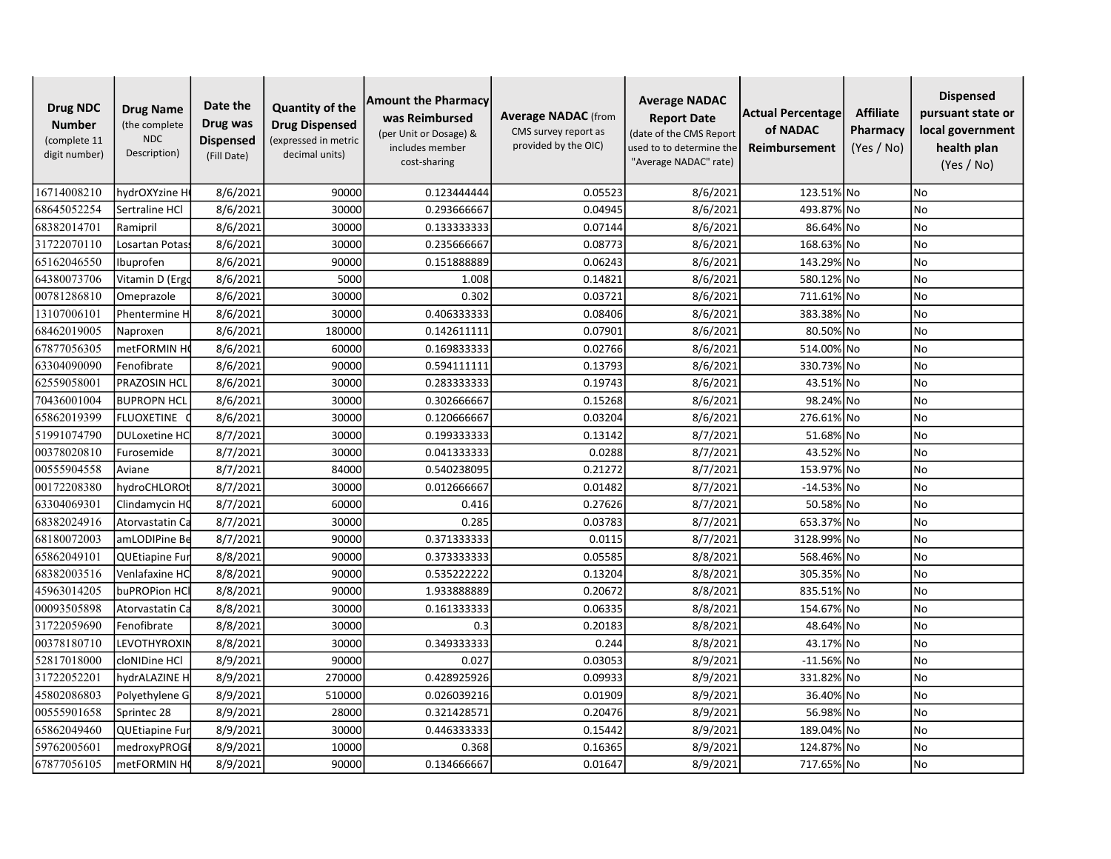| <b>Drug NDC</b><br><b>Number</b><br>(complete 11<br>digit number) | <b>Drug Name</b><br>(the complete<br><b>NDC</b><br>Description) | Date the<br>Drug was<br><b>Dispensed</b><br>(Fill Date) | <b>Quantity of the</b><br><b>Drug Dispensed</b><br>(expressed in metric<br>decimal units) | <b>Amount the Pharmacy</b><br>was Reimbursed<br>(per Unit or Dosage) &<br>includes member<br>cost-sharing | <b>Average NADAC</b> (from<br>CMS survey report as<br>provided by the OIC) | <b>Average NADAC</b><br><b>Report Date</b><br>(date of the CMS Report<br>used to to determine the<br>"Average NADAC" rate) | Actual Percentage<br>of NADAC<br>Reimbursement | <b>Affiliate</b><br>Pharmacy<br>(Yes / No) | <b>Dispensed</b><br>pursuant state or<br>local government<br>health plan<br>(Yes / No) |
|-------------------------------------------------------------------|-----------------------------------------------------------------|---------------------------------------------------------|-------------------------------------------------------------------------------------------|-----------------------------------------------------------------------------------------------------------|----------------------------------------------------------------------------|----------------------------------------------------------------------------------------------------------------------------|------------------------------------------------|--------------------------------------------|----------------------------------------------------------------------------------------|
| 16714008210                                                       | hydrOXYzine H                                                   | 8/6/2021                                                | 90000                                                                                     | 0.123444444                                                                                               | 0.05523                                                                    | 8/6/2021                                                                                                                   | 123.51% No                                     |                                            | No                                                                                     |
| 68645052254                                                       | Sertraline HCl                                                  | 8/6/2021                                                | 30000                                                                                     | 0.293666667                                                                                               | 0.04945                                                                    | 8/6/2021                                                                                                                   | 493.87% No                                     |                                            | No                                                                                     |
| 68382014701                                                       | Ramipril                                                        | 8/6/2021                                                | 30000                                                                                     | 0.133333333                                                                                               | 0.07144                                                                    | 8/6/2021                                                                                                                   | 86.64% No                                      |                                            | <b>No</b>                                                                              |
| 31722070110                                                       | Losartan Potas                                                  | 8/6/2021                                                | 30000                                                                                     | 0.235666667                                                                                               | 0.08773                                                                    | 8/6/2021                                                                                                                   | 168.63% No                                     |                                            | <b>No</b>                                                                              |
| 65162046550                                                       | Ibuprofen                                                       | 8/6/2021                                                | 90000                                                                                     | 0.151888889                                                                                               | 0.06243                                                                    | 8/6/2021                                                                                                                   | 143.29% No                                     |                                            | <b>No</b>                                                                              |
| 64380073706                                                       | Vitamin D (Ergo                                                 | 8/6/2021                                                | 5000                                                                                      | 1.008                                                                                                     | 0.14821                                                                    | 8/6/2021                                                                                                                   | 580.12% No                                     |                                            | No                                                                                     |
| 00781286810                                                       | Omeprazole                                                      | 8/6/2021                                                | 30000                                                                                     | 0.302                                                                                                     | 0.03721                                                                    | 8/6/2021                                                                                                                   | 711.61% No                                     |                                            | <b>No</b>                                                                              |
| 13107006101                                                       | Phentermine H                                                   | 8/6/2021                                                | 30000                                                                                     | 0.406333333                                                                                               | 0.08406                                                                    | 8/6/2021                                                                                                                   | 383.38% No                                     |                                            | <b>No</b>                                                                              |
| 68462019005                                                       | Naproxen                                                        | 8/6/2021                                                | 180000                                                                                    | 0.142611111                                                                                               | 0.07901                                                                    | 8/6/2021                                                                                                                   | 80.50% No                                      |                                            | <b>No</b>                                                                              |
| 67877056305                                                       | metFORMIN H                                                     | 8/6/2021                                                | 60000                                                                                     | 0.169833333                                                                                               | 0.02766                                                                    | 8/6/2021                                                                                                                   | 514.00% No                                     |                                            | No                                                                                     |
| 63304090090                                                       | Fenofibrate                                                     | 8/6/2021                                                | 90000                                                                                     | 0.594111111                                                                                               | 0.13793                                                                    | 8/6/2021                                                                                                                   | 330.73% No                                     |                                            | No                                                                                     |
| 62559058001                                                       | <b>PRAZOSIN HCL</b>                                             | 8/6/2021                                                | 30000                                                                                     | 0.283333333                                                                                               | 0.19743                                                                    | 8/6/2021                                                                                                                   | 43.51% No                                      |                                            | <b>No</b>                                                                              |
| 70436001004                                                       | <b>BUPROPN HCL</b>                                              | 8/6/2021                                                | 30000                                                                                     | 0.302666667                                                                                               | 0.15268                                                                    | 8/6/2021                                                                                                                   | 98.24% No                                      |                                            | <b>No</b>                                                                              |
| 65862019399                                                       | <b>FLUOXETINE</b>                                               | 8/6/2021                                                | 30000                                                                                     | 0.120666667                                                                                               | 0.03204                                                                    | 8/6/2021                                                                                                                   | 276.61% No                                     |                                            | <b>No</b>                                                                              |
| 51991074790                                                       | <b>DULoxetine HC</b>                                            | 8/7/2021                                                | 30000                                                                                     | 0.199333333                                                                                               | 0.13142                                                                    | 8/7/2021                                                                                                                   | 51.68% No                                      |                                            | <b>No</b>                                                                              |
| 00378020810                                                       | Furosemide                                                      | 8/7/2021                                                | 30000                                                                                     | 0.041333333                                                                                               | 0.0288                                                                     | 8/7/2021                                                                                                                   | 43.52% No                                      |                                            | <b>No</b>                                                                              |
| 00555904558                                                       | Aviane                                                          | 8/7/2021                                                | 84000                                                                                     | 0.540238095                                                                                               | 0.21272                                                                    | 8/7/2021                                                                                                                   | 153.97% No                                     |                                            | No                                                                                     |
| 00172208380                                                       | hydroCHLOROt                                                    | 8/7/2021                                                | 30000                                                                                     | 0.012666667                                                                                               | 0.01482                                                                    | 8/7/2021                                                                                                                   | $-14.53\%$ No                                  |                                            | <b>No</b>                                                                              |
| 63304069301                                                       | Clindamycin HC                                                  | 8/7/2021                                                | 60000                                                                                     | 0.416                                                                                                     | 0.27626                                                                    | 8/7/2021                                                                                                                   | 50.58% No                                      |                                            | <b>No</b>                                                                              |
| 68382024916                                                       | Atorvastatin Ca                                                 | 8/7/2021                                                | 30000                                                                                     | 0.285                                                                                                     | 0.03783                                                                    | 8/7/2021                                                                                                                   | 653.37% No                                     |                                            | <b>No</b>                                                                              |
| 68180072003                                                       | amLODIPine Be                                                   | 8/7/2021                                                | 90000                                                                                     | 0.371333333                                                                                               | 0.0115                                                                     | 8/7/2021                                                                                                                   | 3128.99% No                                    |                                            | No                                                                                     |
| 65862049101                                                       | QUEtiapine Fur                                                  | 8/8/2021                                                | 90000                                                                                     | 0.373333333                                                                                               | 0.05585                                                                    | 8/8/2021                                                                                                                   | 568.46% No                                     |                                            | No                                                                                     |
| 68382003516                                                       | Venlafaxine HC                                                  | 8/8/2021                                                | 90000                                                                                     | 0.535222222                                                                                               | 0.13204                                                                    | 8/8/2021                                                                                                                   | 305.35% No                                     |                                            | <b>No</b>                                                                              |
| 45963014205                                                       | buPROPion HC                                                    | 8/8/2021                                                | 90000                                                                                     | 1.933888889                                                                                               | 0.20672                                                                    | 8/8/2021                                                                                                                   | 835.51% No                                     |                                            | <b>No</b>                                                                              |
| 00093505898                                                       | Atorvastatin Ca                                                 | 8/8/2021                                                | 30000                                                                                     | 0.161333333                                                                                               | 0.06335                                                                    | 8/8/2021                                                                                                                   | 154.67% No                                     |                                            | <b>No</b>                                                                              |
| 31722059690                                                       | Fenofibrate                                                     | 8/8/2021                                                | 30000                                                                                     | 0.3                                                                                                       | 0.20183                                                                    | 8/8/2021                                                                                                                   | 48.64% No                                      |                                            | <b>No</b>                                                                              |
| 00378180710                                                       | LEVOTHYROXIN                                                    | 8/8/2021                                                | 30000                                                                                     | 0.349333333                                                                                               | 0.244                                                                      | 8/8/2021                                                                                                                   | 43.17% No                                      |                                            | <b>No</b>                                                                              |
| 52817018000                                                       | cloNIDine HCl                                                   | 8/9/2021                                                | 90000                                                                                     | 0.027                                                                                                     | 0.03053                                                                    | 8/9/2021                                                                                                                   | $-11.56\%$ No                                  |                                            | No                                                                                     |
| 31722052201                                                       | hydrALAZINE H                                                   | 8/9/2021                                                | 270000                                                                                    | 0.428925926                                                                                               | 0.09933                                                                    | 8/9/2021                                                                                                                   | 331.82% No                                     |                                            | No                                                                                     |
| 45802086803                                                       | Polyethylene G                                                  | 8/9/2021                                                | 510000                                                                                    | 0.026039216                                                                                               | 0.01909                                                                    | 8/9/2021                                                                                                                   | 36.40% No                                      |                                            | <b>No</b>                                                                              |
| 00555901658                                                       | Sprintec 28                                                     | 8/9/2021                                                | 28000                                                                                     | 0.321428571                                                                                               | 0.20476                                                                    | 8/9/2021                                                                                                                   | 56.98% No                                      |                                            | <b>No</b>                                                                              |
| 65862049460                                                       | <b>QUEtiapine Fur</b>                                           | 8/9/2021                                                | 30000                                                                                     | 0.446333333                                                                                               | 0.15442                                                                    | 8/9/2021                                                                                                                   | 189.04% No                                     |                                            | No                                                                                     |
| 59762005601                                                       | medroxyPROGI                                                    | 8/9/2021                                                | 10000                                                                                     | 0.368                                                                                                     | 0.16365                                                                    | 8/9/2021                                                                                                                   | 124.87% No                                     |                                            | <b>No</b>                                                                              |
| 67877056105                                                       | metFORMIN HO                                                    | 8/9/2021                                                | 90000                                                                                     | 0.134666667                                                                                               | 0.01647                                                                    | 8/9/2021                                                                                                                   | 717.65% No                                     |                                            | N <sub>o</sub>                                                                         |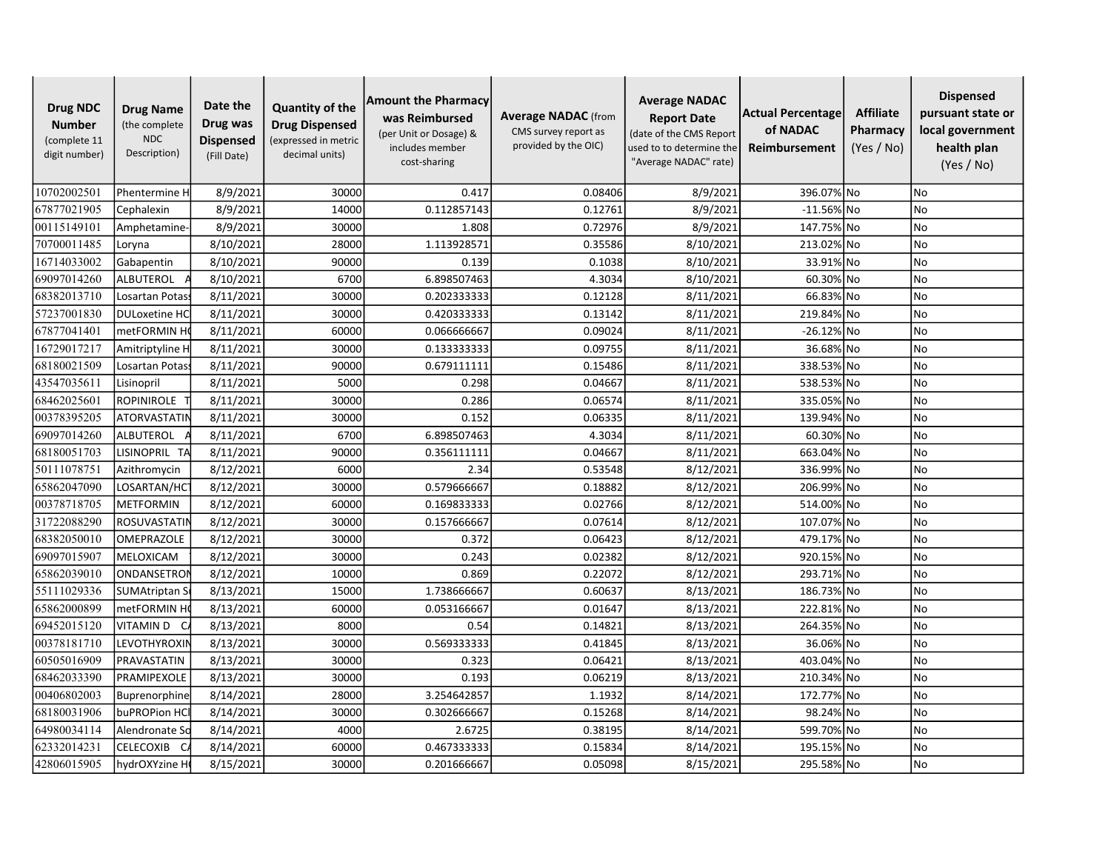| <b>Drug NDC</b><br><b>Number</b><br>(complete 11<br>digit number) | <b>Drug Name</b><br>(the complete<br><b>NDC</b><br>Description) | Date the<br>Drug was<br><b>Dispensed</b><br>(Fill Date) | <b>Quantity of the</b><br><b>Drug Dispensed</b><br>(expressed in metric<br>decimal units) | <b>Amount the Pharmacy</b><br>was Reimbursed<br>(per Unit or Dosage) &<br>includes member<br>cost-sharing | <b>Average NADAC</b> (from<br>CMS survey report as<br>provided by the OIC) | <b>Average NADAC</b><br><b>Report Date</b><br>(date of the CMS Report<br>used to to determine the<br>"Average NADAC" rate) | Actual Percentage<br>of NADAC<br>Reimbursement | <b>Affiliate</b><br>Pharmacy<br>(Yes / No) | <b>Dispensed</b><br>pursuant state or<br>local government<br>health plan<br>(Yes / No) |
|-------------------------------------------------------------------|-----------------------------------------------------------------|---------------------------------------------------------|-------------------------------------------------------------------------------------------|-----------------------------------------------------------------------------------------------------------|----------------------------------------------------------------------------|----------------------------------------------------------------------------------------------------------------------------|------------------------------------------------|--------------------------------------------|----------------------------------------------------------------------------------------|
| 10702002501                                                       | Phentermine H                                                   | 8/9/2021                                                | 30000                                                                                     | 0.417                                                                                                     | 0.08406                                                                    | 8/9/2021                                                                                                                   | 396.07% No                                     |                                            | <b>No</b>                                                                              |
| 67877021905                                                       | Cephalexin                                                      | 8/9/2021                                                | 14000                                                                                     | 0.112857143                                                                                               | 0.12761                                                                    | 8/9/2021                                                                                                                   | $-11.56\%$ No                                  |                                            | No                                                                                     |
| 00115149101                                                       | Amphetamine                                                     | 8/9/2021                                                | 30000                                                                                     | 1.808                                                                                                     | 0.72976                                                                    | 8/9/2021                                                                                                                   | 147.75% No                                     |                                            | No                                                                                     |
| 70700011485                                                       | Loryna                                                          | 8/10/2021                                               | 28000                                                                                     | 1.113928571                                                                                               | 0.35586                                                                    | 8/10/2021                                                                                                                  | 213.02% No                                     |                                            | No                                                                                     |
| 16714033002                                                       | Gabapentin                                                      | 8/10/2021                                               | 90000                                                                                     | 0.139                                                                                                     | 0.1038                                                                     | 8/10/2021                                                                                                                  | 33.91% No                                      |                                            | <b>No</b>                                                                              |
| 69097014260                                                       | ALBUTEROL                                                       | 8/10/2021                                               | 6700                                                                                      | 6.898507463                                                                                               | 4.3034                                                                     | 8/10/2021                                                                                                                  | 60.30% No                                      |                                            | <b>No</b>                                                                              |
| 68382013710                                                       | Losartan Potas                                                  | 8/11/2021                                               | 30000                                                                                     | 0.202333333                                                                                               | 0.12128                                                                    | 8/11/2021                                                                                                                  | 66.83% No                                      |                                            | <b>No</b>                                                                              |
| 57237001830                                                       | <b>DULoxetine HC</b>                                            | 8/11/2021                                               | 30000                                                                                     | 0.420333333                                                                                               | 0.13142                                                                    | 8/11/2021                                                                                                                  | 219.84% No                                     |                                            | <b>No</b>                                                                              |
| 67877041401                                                       | metFORMIN H                                                     | 8/11/2021                                               | 60000                                                                                     | 0.066666667                                                                                               | 0.09024                                                                    | 8/11/2021                                                                                                                  | -26.12% No                                     |                                            | <b>No</b>                                                                              |
| 16729017217                                                       | Amitriptyline H                                                 | 8/11/2021                                               | 30000                                                                                     | 0.133333333                                                                                               | 0.09755                                                                    | 8/11/2021                                                                                                                  | 36.68% No                                      |                                            | <b>No</b>                                                                              |
| 68180021509                                                       | Losartan Potass                                                 | 8/11/2021                                               | 90000                                                                                     | 0.679111111                                                                                               | 0.15486                                                                    | 8/11/2021                                                                                                                  | 338.53% No                                     |                                            | No                                                                                     |
| 43547035611                                                       | Lisinopril                                                      | 8/11/2021                                               | 5000                                                                                      | 0.298                                                                                                     | 0.04667                                                                    | 8/11/2021                                                                                                                  | 538.53% No                                     |                                            | No                                                                                     |
| 68462025601                                                       | <b>ROPINIROLE</b>                                               | 8/11/2021                                               | 30000                                                                                     | 0.286                                                                                                     | 0.06574                                                                    | 8/11/2021                                                                                                                  | 335.05% No                                     |                                            | <b>No</b>                                                                              |
| 00378395205                                                       | <b>ATORVASTATIN</b>                                             | 8/11/2021                                               | 30000                                                                                     | 0.152                                                                                                     | 0.06335                                                                    | 8/11/2021                                                                                                                  | 139.94% No                                     |                                            | No                                                                                     |
| 69097014260                                                       | <b>ALBUTEROL</b>                                                | 8/11/2021                                               | 6700                                                                                      | 6.898507463                                                                                               | 4.3034                                                                     | 8/11/2021                                                                                                                  | 60.30% No                                      |                                            | No                                                                                     |
| 68180051703                                                       | LISINOPRIL TA                                                   | 8/11/2021                                               | 90000                                                                                     | 0.356111111                                                                                               | 0.04667                                                                    | 8/11/2021                                                                                                                  | 663.04% No                                     |                                            | No                                                                                     |
| 50111078751                                                       | Azithromycin                                                    | 8/12/2021                                               | 6000                                                                                      | 2.34                                                                                                      | 0.53548                                                                    | 8/12/2021                                                                                                                  | 336.99% No                                     |                                            | No                                                                                     |
| 65862047090                                                       | LOSARTAN/HC                                                     | 8/12/2021                                               | 30000                                                                                     | 0.579666667                                                                                               | 0.18882                                                                    | 8/12/2021                                                                                                                  | 206.99% No                                     |                                            | <b>No</b>                                                                              |
| 00378718705                                                       | <b>METFORMIN</b>                                                | 8/12/2021                                               | 60000                                                                                     | 0.169833333                                                                                               | 0.02766                                                                    | 8/12/2021                                                                                                                  | 514.00% No                                     |                                            | <b>No</b>                                                                              |
| 31722088290                                                       | <b>ROSUVASTATIN</b>                                             | 8/12/2021                                               | 30000                                                                                     | 0.157666667                                                                                               | 0.07614                                                                    | 8/12/2021                                                                                                                  | 107.07% No                                     |                                            | <b>No</b>                                                                              |
| 68382050010                                                       | OMEPRAZOLE                                                      | 8/12/2021                                               | 30000                                                                                     | 0.372                                                                                                     | 0.06423                                                                    | 8/12/2021                                                                                                                  | 479.17% No                                     |                                            | <b>No</b>                                                                              |
| 69097015907                                                       | MELOXICAM                                                       | 8/12/2021                                               | 30000                                                                                     | 0.243                                                                                                     | 0.02382                                                                    | 8/12/2021                                                                                                                  | 920.15% No                                     |                                            | <b>No</b>                                                                              |
| 65862039010                                                       | ONDANSETRO                                                      | 8/12/2021                                               | 10000                                                                                     | 0.869                                                                                                     | 0.22072                                                                    | 8/12/2021                                                                                                                  | 293.71% No                                     |                                            | No                                                                                     |
| 55111029336                                                       | <b>SUMAtriptan S</b>                                            | 8/13/2021                                               | 15000                                                                                     | 1.738666667                                                                                               | 0.60637                                                                    | 8/13/2021                                                                                                                  | 186.73% No                                     |                                            | <b>No</b>                                                                              |
| 65862000899                                                       | metFORMIN H                                                     | 8/13/2021                                               | 60000                                                                                     | 0.053166667                                                                                               | 0.01647                                                                    | 8/13/2021                                                                                                                  | 222.81% No                                     |                                            | No                                                                                     |
| 69452015120                                                       | VITAMIN D C                                                     | 8/13/2021                                               | 8000                                                                                      | 0.54                                                                                                      | 0.14821                                                                    | 8/13/2021                                                                                                                  | 264.35% No                                     |                                            | No                                                                                     |
| 00378181710                                                       | LEVOTHYROXIN                                                    | 8/13/2021                                               | 30000                                                                                     | 0.569333333                                                                                               | 0.41845                                                                    | 8/13/2021                                                                                                                  | 36.06% No                                      |                                            | <b>No</b>                                                                              |
| 60505016909                                                       | PRAVASTATIN                                                     | 8/13/2021                                               | 30000                                                                                     | 0.323                                                                                                     | 0.06421                                                                    | 8/13/2021                                                                                                                  | 403.04% No                                     |                                            | No                                                                                     |
| 68462033390                                                       | PRAMIPEXOLE                                                     | 8/13/2021                                               | 30000                                                                                     | 0.193                                                                                                     | 0.06219                                                                    | 8/13/2021                                                                                                                  | 210.34% No                                     |                                            | No                                                                                     |
| 00406802003                                                       | Buprenorphine                                                   | 8/14/2021                                               | 28000                                                                                     | 3.254642857                                                                                               | 1.1932                                                                     | 8/14/2021                                                                                                                  | 172.77% No                                     |                                            | <b>No</b>                                                                              |
| 68180031906                                                       | buPROPion HCl                                                   | 8/14/2021                                               | 30000                                                                                     | 0.302666667                                                                                               | 0.15268                                                                    | 8/14/2021                                                                                                                  | 98.24% No                                      |                                            | <b>No</b>                                                                              |
| 64980034114                                                       | Alendronate So                                                  | 8/14/2021                                               | 4000                                                                                      | 2.6725                                                                                                    | 0.38195                                                                    | 8/14/2021                                                                                                                  | 599.70% No                                     |                                            | <b>No</b>                                                                              |
| 62332014231                                                       | CELECOXIB                                                       | 8/14/2021                                               | 60000                                                                                     | 0.467333333                                                                                               | 0.15834                                                                    | 8/14/2021                                                                                                                  | 195.15% No                                     |                                            | No                                                                                     |
| 42806015905                                                       | hydrOXYzine H                                                   | 8/15/2021                                               | 30000                                                                                     | 0.201666667                                                                                               | 0.05098                                                                    | 8/15/2021                                                                                                                  | 295.58% No                                     |                                            | No                                                                                     |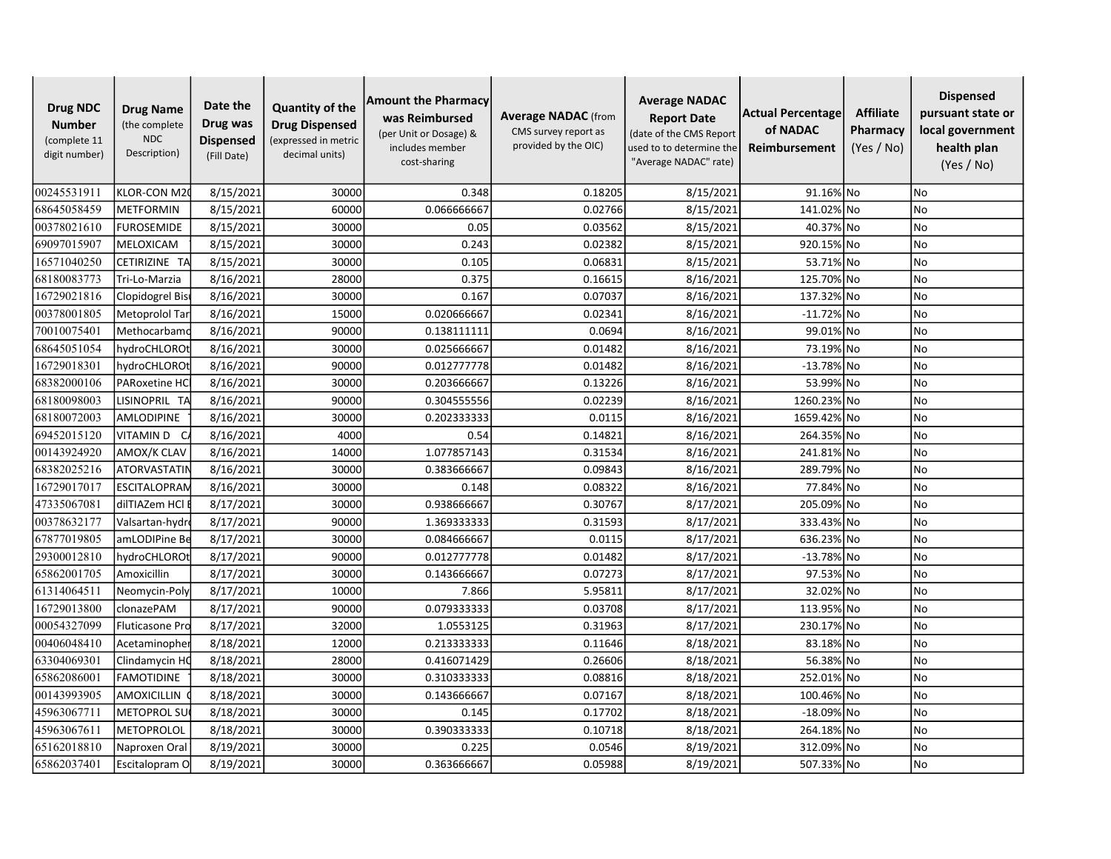| <b>Drug NDC</b><br><b>Number</b><br>(complete 11<br>digit number) | <b>Drug Name</b><br>(the complete<br><b>NDC</b><br>Description) | Date the<br>Drug was<br><b>Dispensed</b><br>(Fill Date) | <b>Quantity of the</b><br><b>Drug Dispensed</b><br>(expressed in metric<br>decimal units) | <b>Amount the Pharmacy</b><br>was Reimbursed<br>(per Unit or Dosage) &<br>includes member<br>cost-sharing | <b>Average NADAC</b> (from<br>CMS survey report as<br>provided by the OIC) | <b>Average NADAC</b><br><b>Report Date</b><br>(date of the CMS Report<br>used to to determine the<br>"Average NADAC" rate) | Actual Percentage<br>of NADAC<br>Reimbursement | <b>Affiliate</b><br>Pharmacy<br>(Yes / No) | <b>Dispensed</b><br>pursuant state or<br>local government<br>health plan<br>(Yes / No) |
|-------------------------------------------------------------------|-----------------------------------------------------------------|---------------------------------------------------------|-------------------------------------------------------------------------------------------|-----------------------------------------------------------------------------------------------------------|----------------------------------------------------------------------------|----------------------------------------------------------------------------------------------------------------------------|------------------------------------------------|--------------------------------------------|----------------------------------------------------------------------------------------|
| 00245531911                                                       | KLOR-CON M20                                                    | 8/15/2021                                               | 30000                                                                                     | 0.348                                                                                                     | 0.18205                                                                    | 8/15/2021                                                                                                                  | 91.16% No                                      |                                            | <b>No</b>                                                                              |
| 68645058459                                                       | <b>METFORMIN</b>                                                | 8/15/2021                                               | 60000                                                                                     | 0.066666667                                                                                               | 0.02766                                                                    | 8/15/2021                                                                                                                  | 141.02% No                                     |                                            | No                                                                                     |
| 00378021610                                                       | <b>FUROSEMIDE</b>                                               | 8/15/2021                                               | 30000                                                                                     | 0.05                                                                                                      | 0.03562                                                                    | 8/15/2021                                                                                                                  | 40.37% No                                      |                                            | <b>No</b>                                                                              |
| 69097015907                                                       | MELOXICAM                                                       | 8/15/2021                                               | 30000                                                                                     | 0.243                                                                                                     | 0.02382                                                                    | 8/15/2021                                                                                                                  | 920.15% No                                     |                                            | <b>No</b>                                                                              |
| 16571040250                                                       | CETIRIZINE TA                                                   | 8/15/2021                                               | 30000                                                                                     | 0.105                                                                                                     | 0.06831                                                                    | 8/15/2021                                                                                                                  | 53.71% No                                      |                                            | <b>No</b>                                                                              |
| 68180083773                                                       | Tri-Lo-Marzia                                                   | 8/16/2021                                               | 28000                                                                                     | 0.375                                                                                                     | 0.16615                                                                    | 8/16/2021                                                                                                                  | 125.70% No                                     |                                            | No                                                                                     |
| 16729021816                                                       | Clopidogrel Bis                                                 | 8/16/2021                                               | 30000                                                                                     | 0.167                                                                                                     | 0.07037                                                                    | 8/16/2021                                                                                                                  | 137.32% No                                     |                                            | <b>No</b>                                                                              |
| 00378001805                                                       | Metoprolol Tar                                                  | 8/16/2021                                               | 15000                                                                                     | 0.020666667                                                                                               | 0.02341                                                                    | 8/16/2021                                                                                                                  | $-11.72\%$ No                                  |                                            | <b>No</b>                                                                              |
| 70010075401                                                       | Methocarbamo                                                    | 8/16/2021                                               | 90000                                                                                     | 0.138111111                                                                                               | 0.0694                                                                     | 8/16/2021                                                                                                                  | 99.01% No                                      |                                            | <b>No</b>                                                                              |
| 68645051054                                                       | hydroCHLORO1                                                    | 8/16/2021                                               | 30000                                                                                     | 0.025666667                                                                                               | 0.01482                                                                    | 8/16/2021                                                                                                                  | 73.19% No                                      |                                            | <b>No</b>                                                                              |
| 16729018301                                                       | hydroCHLOROt                                                    | 8/16/2021                                               | 90000                                                                                     | 0.012777778                                                                                               | 0.01482                                                                    | 8/16/2021                                                                                                                  | $-13.78%$ No                                   |                                            | No                                                                                     |
| 68382000106                                                       | <b>PARoxetine HC</b>                                            | 8/16/2021                                               | 30000                                                                                     | 0.203666667                                                                                               | 0.13226                                                                    | 8/16/2021                                                                                                                  | 53.99% No                                      |                                            | <b>No</b>                                                                              |
| 68180098003                                                       | LISINOPRIL TA                                                   | 8/16/2021                                               | 90000                                                                                     | 0.304555556                                                                                               | 0.02239                                                                    | 8/16/2021                                                                                                                  | 1260.23% No                                    |                                            | <b>No</b>                                                                              |
| 68180072003                                                       | AMLODIPINE                                                      | 8/16/2021                                               | 30000                                                                                     | 0.202333333                                                                                               | 0.0115                                                                     | 8/16/2021                                                                                                                  | 1659.42% No                                    |                                            | <b>No</b>                                                                              |
| 69452015120                                                       | VITAMIN D C                                                     | 8/16/2021                                               | 4000                                                                                      | 0.54                                                                                                      | 0.14821                                                                    | 8/16/2021                                                                                                                  | 264.35% No                                     |                                            | <b>No</b>                                                                              |
| 00143924920                                                       | AMOX/K CLAV                                                     | 8/16/2021                                               | 14000                                                                                     | 1.077857143                                                                                               | 0.31534                                                                    | 8/16/2021                                                                                                                  | 241.81% No                                     |                                            | <b>No</b>                                                                              |
| 68382025216                                                       | <b>ATORVASTATIN</b>                                             | 8/16/2021                                               | 30000                                                                                     | 0.383666667                                                                                               | 0.09843                                                                    | 8/16/2021                                                                                                                  | 289.79% No                                     |                                            | No                                                                                     |
| 16729017017                                                       | <b>ESCITALOPRAN</b>                                             | 8/16/2021                                               | 30000                                                                                     | 0.148                                                                                                     | 0.08322                                                                    | 8/16/2021                                                                                                                  | 77.84% No                                      |                                            | <b>No</b>                                                                              |
| 47335067081                                                       | dilTIAZem HCl                                                   | 8/17/2021                                               | 30000                                                                                     | 0.938666667                                                                                               | 0.30767                                                                    | 8/17/2021                                                                                                                  | 205.09% No                                     |                                            | <b>No</b>                                                                              |
| 00378632177                                                       | Valsartan-hydr                                                  | 8/17/2021                                               | 90000                                                                                     | 1.369333333                                                                                               | 0.31593                                                                    | 8/17/2021                                                                                                                  | 333.43% No                                     |                                            | <b>No</b>                                                                              |
| 67877019805                                                       | amLODIPine Be                                                   | 8/17/2021                                               | 30000                                                                                     | 0.084666667                                                                                               | 0.0115                                                                     | 8/17/2021                                                                                                                  | 636.23% No                                     |                                            | No                                                                                     |
| 29300012810                                                       | hydroCHLOROt                                                    | 8/17/2021                                               | 90000                                                                                     | 0.012777778                                                                                               | 0.01482                                                                    | 8/17/2021                                                                                                                  | -13.78% No                                     |                                            | No                                                                                     |
| 65862001705                                                       | Amoxicillin                                                     | 8/17/2021                                               | 30000                                                                                     | 0.143666667                                                                                               | 0.07273                                                                    | 8/17/2021                                                                                                                  | 97.53% No                                      |                                            | <b>No</b>                                                                              |
| 61314064511                                                       | Neomycin-Poly                                                   | 8/17/2021                                               | 10000                                                                                     | 7.866                                                                                                     | 5.95811                                                                    | 8/17/2021                                                                                                                  | 32.02% No                                      |                                            | <b>No</b>                                                                              |
| 16729013800                                                       | clonazePAM                                                      | 8/17/2021                                               | 90000                                                                                     | 0.079333333                                                                                               | 0.03708                                                                    | 8/17/2021                                                                                                                  | 113.95% No                                     |                                            | <b>No</b>                                                                              |
| 00054327099                                                       | <b>Fluticasone Pro</b>                                          | 8/17/2021                                               | 32000                                                                                     | 1.0553125                                                                                                 | 0.31963                                                                    | 8/17/2021                                                                                                                  | 230.17% No                                     |                                            | <b>No</b>                                                                              |
| 00406048410                                                       | Acetaminopher                                                   | 8/18/2021                                               | 12000                                                                                     | 0.213333333                                                                                               | 0.11646                                                                    | 8/18/2021                                                                                                                  | 83.18% No                                      |                                            | <b>No</b>                                                                              |
| 63304069301                                                       | Clindamycin HC                                                  | 8/18/2021                                               | 28000                                                                                     | 0.416071429                                                                                               | 0.26606                                                                    | 8/18/2021                                                                                                                  | 56.38% No                                      |                                            | No                                                                                     |
| 65862086001                                                       | FAMOTIDINE                                                      | 8/18/2021                                               | 30000                                                                                     | 0.310333333                                                                                               | 0.08816                                                                    | 8/18/2021                                                                                                                  | 252.01% No                                     |                                            | No                                                                                     |
| 00143993905                                                       | <b>AMOXICILLIN</b>                                              | 8/18/2021                                               | 30000                                                                                     | 0.143666667                                                                                               | 0.07167                                                                    | 8/18/2021                                                                                                                  | 100.46% No                                     |                                            | <b>No</b>                                                                              |
| 45963067711                                                       | METOPROL SU                                                     | 8/18/2021                                               | 30000                                                                                     | 0.145                                                                                                     | 0.17702                                                                    | 8/18/2021                                                                                                                  | -18.09% No                                     |                                            | <b>No</b>                                                                              |
| 45963067611                                                       | <b>METOPROLOL</b>                                               | 8/18/2021                                               | 30000                                                                                     | 0.390333333                                                                                               | 0.10718                                                                    | 8/18/2021                                                                                                                  | 264.18% No                                     |                                            | No                                                                                     |
| 65162018810                                                       | Naproxen Oral                                                   | 8/19/2021                                               | 30000                                                                                     | 0.225                                                                                                     | 0.0546                                                                     | 8/19/2021                                                                                                                  | 312.09% No                                     |                                            | <b>No</b>                                                                              |
| 65862037401                                                       | Escitalopram O                                                  | 8/19/2021                                               | 30000                                                                                     | 0.363666667                                                                                               | 0.05988                                                                    | 8/19/2021                                                                                                                  | 507.33% No                                     |                                            | N <sub>o</sub>                                                                         |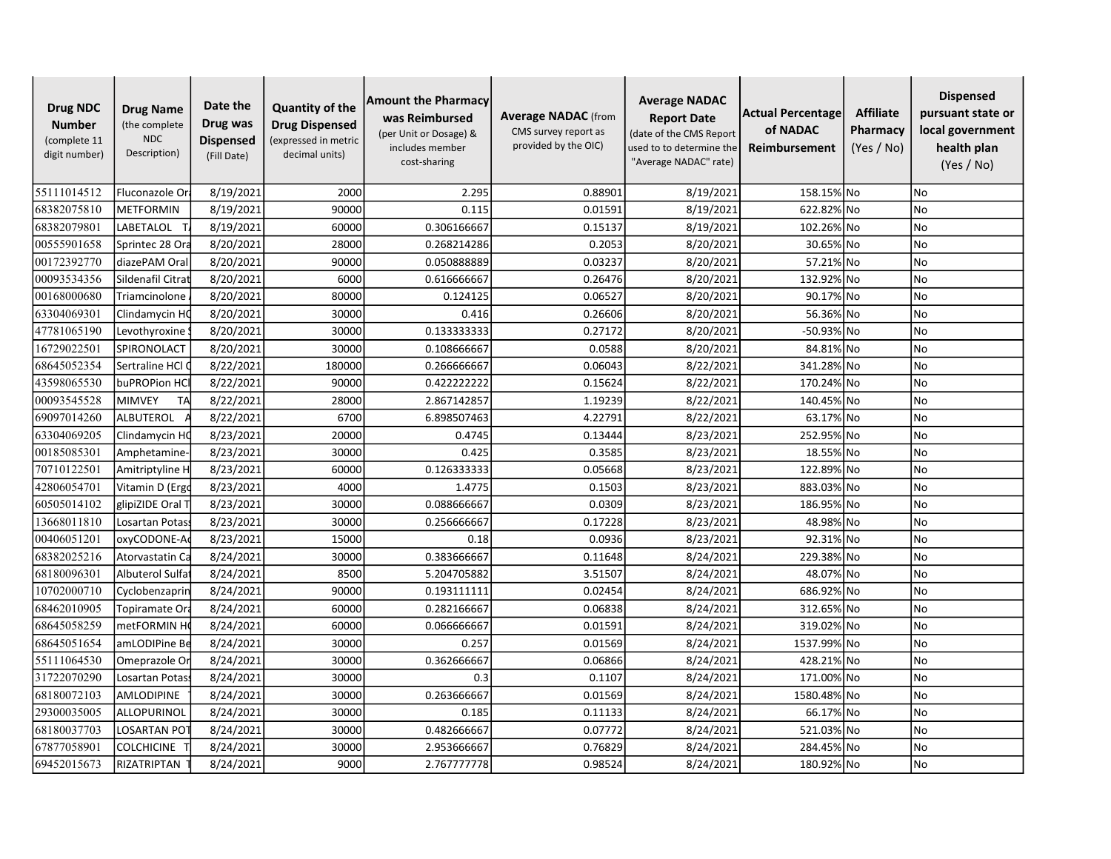| <b>Drug NDC</b><br><b>Number</b><br>(complete 11<br>digit number) | <b>Drug Name</b><br>(the complete<br><b>NDC</b><br>Description) | Date the<br>Drug was<br><b>Dispensed</b><br>(Fill Date) | <b>Quantity of the</b><br><b>Drug Dispensed</b><br>(expressed in metric<br>decimal units) | <b>Amount the Pharmacy</b><br>was Reimbursed<br>(per Unit or Dosage) &<br>includes member<br>cost-sharing | <b>Average NADAC</b> (from<br>CMS survey report as<br>provided by the OIC) | <b>Average NADAC</b><br><b>Report Date</b><br>(date of the CMS Report<br>used to to determine the<br>"Average NADAC" rate) | Actual Percentage<br>of NADAC<br>Reimbursement | <b>Affiliate</b><br>Pharmacy<br>(Yes / No) | <b>Dispensed</b><br>pursuant state or<br>local government<br>health plan<br>(Yes / No) |
|-------------------------------------------------------------------|-----------------------------------------------------------------|---------------------------------------------------------|-------------------------------------------------------------------------------------------|-----------------------------------------------------------------------------------------------------------|----------------------------------------------------------------------------|----------------------------------------------------------------------------------------------------------------------------|------------------------------------------------|--------------------------------------------|----------------------------------------------------------------------------------------|
| 55111014512                                                       | Fluconazole Ora                                                 | 8/19/2021                                               | 2000                                                                                      | 2.295                                                                                                     | 0.88901                                                                    | 8/19/2021                                                                                                                  | 158.15% No                                     |                                            | No                                                                                     |
| 68382075810                                                       | <b>METFORMIN</b>                                                | 8/19/2021                                               | 90000                                                                                     | 0.115                                                                                                     | 0.01591                                                                    | 8/19/2021                                                                                                                  | 622.82% No                                     |                                            | No                                                                                     |
| 68382079801                                                       | LABETALOL                                                       | 8/19/2021                                               | 60000                                                                                     | 0.306166667                                                                                               | 0.15137                                                                    | 8/19/2021                                                                                                                  | 102.26% No                                     |                                            | <b>No</b>                                                                              |
| 00555901658                                                       | Sprintec 28 Ora                                                 | 8/20/2021                                               | 28000                                                                                     | 0.268214286                                                                                               | 0.2053                                                                     | 8/20/2021                                                                                                                  | 30.65% No                                      |                                            | <b>No</b>                                                                              |
| 00172392770                                                       | diazePAM Oral                                                   | 8/20/2021                                               | 90000                                                                                     | 0.050888889                                                                                               | 0.03237                                                                    | 8/20/2021                                                                                                                  | 57.21% No                                      |                                            | <b>No</b>                                                                              |
| 00093534356                                                       | Sildenafil Citrat                                               | 8/20/2021                                               | 6000                                                                                      | 0.616666667                                                                                               | 0.26476                                                                    | 8/20/2021                                                                                                                  | 132.92% No                                     |                                            | No                                                                                     |
| 00168000680                                                       | Triamcinolone                                                   | 8/20/2021                                               | 80000                                                                                     | 0.124125                                                                                                  | 0.06527                                                                    | 8/20/2021                                                                                                                  | 90.17% No                                      |                                            | <b>No</b>                                                                              |
| 63304069301                                                       | Clindamycin HC                                                  | 8/20/2021                                               | 30000                                                                                     | 0.416                                                                                                     | 0.26606                                                                    | 8/20/2021                                                                                                                  | 56.36% No                                      |                                            | <b>No</b>                                                                              |
| 47781065190                                                       | Levothyroxine                                                   | 8/20/2021                                               | 30000                                                                                     | 0.133333333                                                                                               | 0.27172                                                                    | 8/20/2021                                                                                                                  | -50.93% No                                     |                                            | <b>No</b>                                                                              |
| 16729022501                                                       | SPIRONOLACT                                                     | 8/20/2021                                               | 30000                                                                                     | 0.108666667                                                                                               | 0.0588                                                                     | 8/20/2021                                                                                                                  | 84.81% No                                      |                                            | <b>No</b>                                                                              |
| 68645052354                                                       | Sertraline HCl (                                                | 8/22/2021                                               | 180000                                                                                    | 0.266666667                                                                                               | 0.06043                                                                    | 8/22/2021                                                                                                                  | 341.28% No                                     |                                            | No                                                                                     |
| 43598065530                                                       | buPROPion HCl                                                   | 8/22/2021                                               | 90000                                                                                     | 0.422222222                                                                                               | 0.15624                                                                    | 8/22/2021                                                                                                                  | 170.24% No                                     |                                            | <b>No</b>                                                                              |
| 00093545528                                                       | TA<br><b>MIMVEY</b>                                             | 8/22/2021                                               | 28000                                                                                     | 2.867142857                                                                                               | 1.19239                                                                    | 8/22/2021                                                                                                                  | 140.45% No                                     |                                            | <b>No</b>                                                                              |
| 69097014260                                                       | ALBUTEROL                                                       | 8/22/2021                                               | 6700                                                                                      | 6.898507463                                                                                               | 4.22791                                                                    | 8/22/2021                                                                                                                  | 63.17% No                                      |                                            | <b>No</b>                                                                              |
| 63304069205                                                       | Clindamycin HC                                                  | 8/23/2021                                               | 20000                                                                                     | 0.4745                                                                                                    | 0.13444                                                                    | 8/23/2021                                                                                                                  | 252.95% No                                     |                                            | <b>No</b>                                                                              |
| 00185085301                                                       | Amphetamine                                                     | 8/23/2021                                               | 30000                                                                                     | 0.425                                                                                                     | 0.3585                                                                     | 8/23/2021                                                                                                                  | 18.55% No                                      |                                            | <b>No</b>                                                                              |
| 70710122501                                                       | Amitriptyline H                                                 | 8/23/2021                                               | 60000                                                                                     | 0.126333333                                                                                               | 0.05668                                                                    | 8/23/2021                                                                                                                  | 122.89% No                                     |                                            | No                                                                                     |
| 42806054701                                                       | Vitamin D (Ergo                                                 | 8/23/2021                                               | 4000                                                                                      | 1.4775                                                                                                    | 0.1503                                                                     | 8/23/2021                                                                                                                  | 883.03% No                                     |                                            | <b>No</b>                                                                              |
| 60505014102                                                       | glipiZIDE Oral T                                                | 8/23/2021                                               | 30000                                                                                     | 0.088666667                                                                                               | 0.0309                                                                     | 8/23/2021                                                                                                                  | 186.95% No                                     |                                            | <b>No</b>                                                                              |
| 13668011810                                                       | Losartan Potas                                                  | 8/23/2021                                               | 30000                                                                                     | 0.256666667                                                                                               | 0.17228                                                                    | 8/23/2021                                                                                                                  | 48.98% No                                      |                                            | <b>No</b>                                                                              |
| 00406051201                                                       | oxyCODONE-A                                                     | 8/23/2021                                               | 15000                                                                                     | 0.18                                                                                                      | 0.0936                                                                     | 8/23/2021                                                                                                                  | 92.31% No                                      |                                            | No                                                                                     |
| 68382025216                                                       | Atorvastatin Ca                                                 | 8/24/2021                                               | 30000                                                                                     | 0.383666667                                                                                               | 0.11648                                                                    | 8/24/2021                                                                                                                  | 229.38% No                                     |                                            | No                                                                                     |
| 68180096301                                                       | Albuterol Sulfa                                                 | 8/24/2021                                               | 8500                                                                                      | 5.204705882                                                                                               | 3.51507                                                                    | 8/24/2021                                                                                                                  | 48.07% No                                      |                                            | <b>No</b>                                                                              |
| 10702000710                                                       | Cyclobenzaprin                                                  | 8/24/2021                                               | 90000                                                                                     | 0.193111111                                                                                               | 0.02454                                                                    | 8/24/2021                                                                                                                  | 686.92% No                                     |                                            | <b>No</b>                                                                              |
| 68462010905                                                       | Topiramate Ora                                                  | 8/24/2021                                               | 60000                                                                                     | 0.282166667                                                                                               | 0.06838                                                                    | 8/24/2021                                                                                                                  | 312.65% No                                     |                                            | <b>No</b>                                                                              |
| 68645058259                                                       | metFORMIN H                                                     | 8/24/2021                                               | 60000                                                                                     | 0.066666667                                                                                               | 0.01591                                                                    | 8/24/2021                                                                                                                  | 319.02% No                                     |                                            | <b>No</b>                                                                              |
| 68645051654                                                       | amLODIPine Be                                                   | 8/24/2021                                               | 30000                                                                                     | 0.257                                                                                                     | 0.01569                                                                    | 8/24/2021                                                                                                                  | 1537.99% No                                    |                                            | <b>No</b>                                                                              |
| 55111064530                                                       | Omeprazole Or                                                   | 8/24/2021                                               | 30000                                                                                     | 0.362666667                                                                                               | 0.06866                                                                    | 8/24/2021                                                                                                                  | 428.21% No                                     |                                            | No                                                                                     |
| 31722070290                                                       | Losartan Potass                                                 | 8/24/2021                                               | 30000                                                                                     | 0.3                                                                                                       | 0.1107                                                                     | 8/24/2021                                                                                                                  | 171.00% No                                     |                                            | No                                                                                     |
| 68180072103                                                       | AMLODIPINE                                                      | 8/24/2021                                               | 30000                                                                                     | 0.263666667                                                                                               | 0.01569                                                                    | 8/24/2021                                                                                                                  | 1580.48% No                                    |                                            | <b>No</b>                                                                              |
| 29300035005                                                       | ALLOPURINOL                                                     | 8/24/2021                                               | 30000                                                                                     | 0.185                                                                                                     | 0.11133                                                                    | 8/24/2021                                                                                                                  | 66.17% No                                      |                                            | <b>No</b>                                                                              |
| 68180037703                                                       | LOSARTAN PO                                                     | 8/24/2021                                               | 30000                                                                                     | 0.482666667                                                                                               | 0.07772                                                                    | 8/24/2021                                                                                                                  | 521.03% No                                     |                                            | No                                                                                     |
| 67877058901                                                       | <b>COLCHICINE</b>                                               | 8/24/2021                                               | 30000                                                                                     | 2.953666667                                                                                               | 0.76829                                                                    | 8/24/2021                                                                                                                  | 284.45% No                                     |                                            | No                                                                                     |
| 69452015673                                                       | RIZATRIPTAN                                                     | 8/24/2021                                               | 9000                                                                                      | 2.767777778                                                                                               | 0.98524                                                                    | 8/24/2021                                                                                                                  | 180.92% No                                     |                                            | No                                                                                     |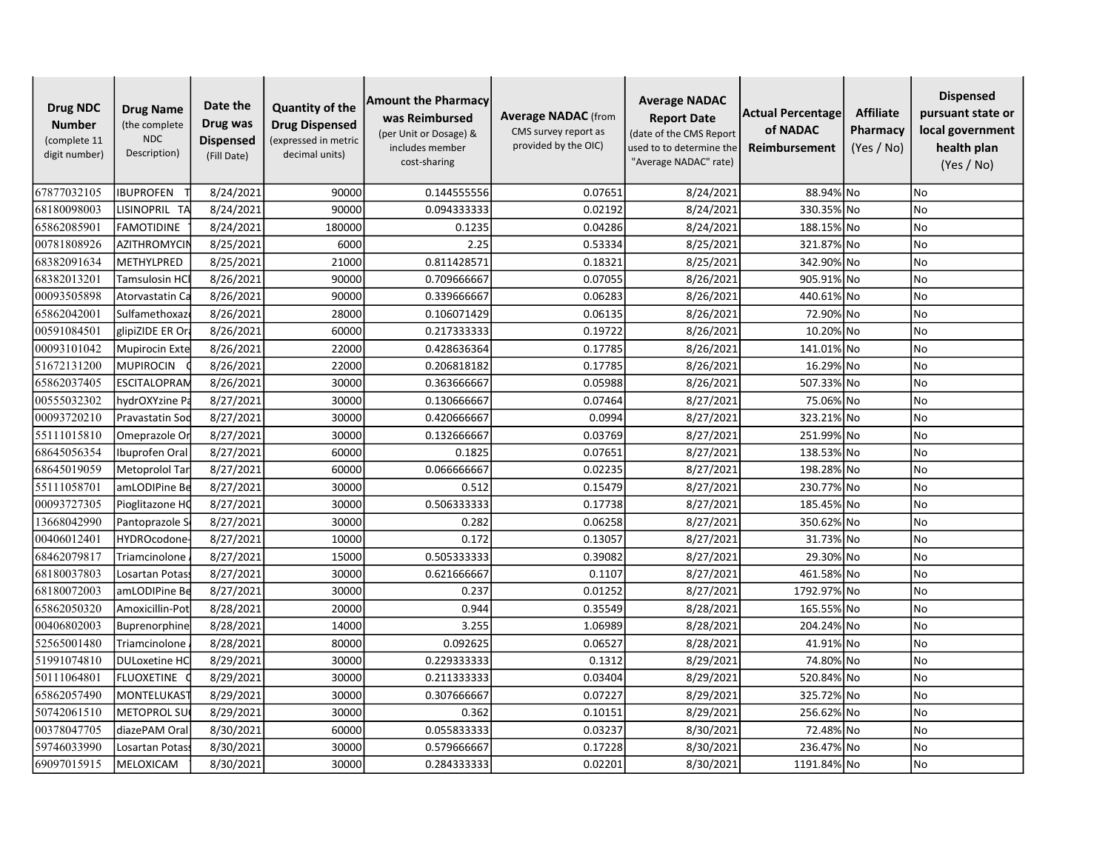| <b>Drug NDC</b><br><b>Number</b><br>(complete 11<br>digit number) | <b>Drug Name</b><br>(the complete<br><b>NDC</b><br>Description) | Date the<br>Drug was<br><b>Dispensed</b><br>(Fill Date) | <b>Quantity of the</b><br><b>Drug Dispensed</b><br>(expressed in metric<br>decimal units) | <b>Amount the Pharmacy</b><br>was Reimbursed<br>(per Unit or Dosage) &<br>includes member<br>cost-sharing | <b>Average NADAC</b> (from<br>CMS survey report as<br>provided by the OIC) | <b>Average NADAC</b><br><b>Report Date</b><br>(date of the CMS Report<br>used to to determine the<br>"Average NADAC" rate) | Actual Percentage<br>of NADAC<br>Reimbursement | <b>Affiliate</b><br>Pharmacy<br>(Yes / No) | <b>Dispensed</b><br>pursuant state or<br>local government<br>health plan<br>(Yes / No) |
|-------------------------------------------------------------------|-----------------------------------------------------------------|---------------------------------------------------------|-------------------------------------------------------------------------------------------|-----------------------------------------------------------------------------------------------------------|----------------------------------------------------------------------------|----------------------------------------------------------------------------------------------------------------------------|------------------------------------------------|--------------------------------------------|----------------------------------------------------------------------------------------|
| 67877032105                                                       | <b>IBUPROFEN</b>                                                | 8/24/2021                                               | 90000                                                                                     | 0.144555556                                                                                               | 0.07651                                                                    | 8/24/2021                                                                                                                  | 88.94% No                                      |                                            | <b>No</b>                                                                              |
| 68180098003                                                       | LISINOPRIL TA                                                   | 8/24/2021                                               | 90000                                                                                     | 0.094333333                                                                                               | 0.02192                                                                    | 8/24/2021                                                                                                                  | 330.35% No                                     |                                            | No                                                                                     |
| 65862085901                                                       | <b>FAMOTIDINE</b>                                               | 8/24/2021                                               | 180000                                                                                    | 0.1235                                                                                                    | 0.04286                                                                    | 8/24/2021                                                                                                                  | 188.15% No                                     |                                            | <b>No</b>                                                                              |
| 00781808926                                                       | <b>AZITHROMYCII</b>                                             | 8/25/2021                                               | 6000                                                                                      | 2.25                                                                                                      | 0.53334                                                                    | 8/25/2021                                                                                                                  | 321.87% No                                     |                                            | <b>No</b>                                                                              |
| 68382091634                                                       | METHYLPRED                                                      | 8/25/2021                                               | 21000                                                                                     | 0.811428571                                                                                               | 0.18321                                                                    | 8/25/2021                                                                                                                  | 342.90% No                                     |                                            | <b>No</b>                                                                              |
| 68382013201                                                       | Tamsulosin HC                                                   | 8/26/2021                                               | 90000                                                                                     | 0.709666667                                                                                               | 0.07055                                                                    | 8/26/2021                                                                                                                  | 905.91% No                                     |                                            | No                                                                                     |
| 00093505898                                                       | Atorvastatin Ca                                                 | 8/26/2021                                               | 90000                                                                                     | 0.339666667                                                                                               | 0.06283                                                                    | 8/26/2021                                                                                                                  | 440.61% No                                     |                                            | No                                                                                     |
| 65862042001                                                       | Sulfamethoxaz                                                   | 8/26/2021                                               | 28000                                                                                     | 0.106071429                                                                                               | 0.06135                                                                    | 8/26/2021                                                                                                                  | 72.90% No                                      |                                            | <b>No</b>                                                                              |
| 00591084501                                                       | glipiZIDE ER Or                                                 | 8/26/2021                                               | 60000                                                                                     | 0.217333333                                                                                               | 0.19722                                                                    | 8/26/2021                                                                                                                  | 10.20% No                                      |                                            | <b>No</b>                                                                              |
| 00093101042                                                       | Mupirocin Exte                                                  | 8/26/2021                                               | 22000                                                                                     | 0.428636364                                                                                               | 0.17785                                                                    | 8/26/2021                                                                                                                  | 141.01% No                                     |                                            | No                                                                                     |
| 51672131200                                                       | <b>MUPIROCIN</b>                                                | 8/26/2021                                               | 22000                                                                                     | 0.206818182                                                                                               | 0.17785                                                                    | 8/26/2021                                                                                                                  | 16.29% No                                      |                                            | No                                                                                     |
| 65862037405                                                       | <b>ESCITALOPRAN</b>                                             | 8/26/2021                                               | 30000                                                                                     | 0.363666667                                                                                               | 0.05988                                                                    | 8/26/2021                                                                                                                  | 507.33% No                                     |                                            | <b>No</b>                                                                              |
| 00555032302                                                       | hydrOXYzine Pa                                                  | 8/27/2021                                               | 30000                                                                                     | 0.130666667                                                                                               | 0.07464                                                                    | 8/27/2021                                                                                                                  | 75.06% No                                      |                                            | <b>No</b>                                                                              |
| 00093720210                                                       | <b>Pravastatin Soc</b>                                          | 8/27/2021                                               | 30000                                                                                     | 0.420666667                                                                                               | 0.0994                                                                     | 8/27/2021                                                                                                                  | 323.21% No                                     |                                            | <b>No</b>                                                                              |
| 55111015810                                                       | Omeprazole Or                                                   | 8/27/2021                                               | 30000                                                                                     | 0.132666667                                                                                               | 0.03769                                                                    | 8/27/2021                                                                                                                  | 251.99% No                                     |                                            | <b>No</b>                                                                              |
| 68645056354                                                       | Ibuprofen Oral                                                  | 8/27/2021                                               | 60000                                                                                     | 0.1825                                                                                                    | 0.07651                                                                    | 8/27/2021                                                                                                                  | 138.53% No                                     |                                            | <b>No</b>                                                                              |
| 68645019059                                                       | Metoprolol Tar                                                  | 8/27/2021                                               | 60000                                                                                     | 0.066666667                                                                                               | 0.02235                                                                    | 8/27/2021                                                                                                                  | 198.28% No                                     |                                            | No                                                                                     |
| 55111058701                                                       | amLODIPine Be                                                   | 8/27/2021                                               | 30000                                                                                     | 0.512                                                                                                     | 0.15479                                                                    | 8/27/2021                                                                                                                  | 230.77% No                                     |                                            | <b>No</b>                                                                              |
| 00093727305                                                       | Pioglitazone HQ                                                 | 8/27/2021                                               | 30000                                                                                     | 0.506333333                                                                                               | 0.17738                                                                    | 8/27/2021                                                                                                                  | 185.45% No                                     |                                            | <b>No</b>                                                                              |
| 13668042990                                                       | Pantoprazole S                                                  | 8/27/2021                                               | 30000                                                                                     | 0.282                                                                                                     | 0.06258                                                                    | 8/27/2021                                                                                                                  | 350.62% No                                     |                                            | <b>No</b>                                                                              |
| 00406012401                                                       | <b>HYDROcodone</b>                                              | 8/27/2021                                               | 10000                                                                                     | 0.172                                                                                                     | 0.13057                                                                    | 8/27/2021                                                                                                                  | 31.73% No                                      |                                            | No                                                                                     |
| 68462079817                                                       | Triamcinolone                                                   | 8/27/2021                                               | 15000                                                                                     | 0.505333333                                                                                               | 0.39082                                                                    | 8/27/2021                                                                                                                  | 29.30% No                                      |                                            | No                                                                                     |
| 68180037803                                                       | Losartan Potass                                                 | 8/27/2021                                               | 30000                                                                                     | 0.621666667                                                                                               | 0.1107                                                                     | 8/27/2021                                                                                                                  | 461.58% No                                     |                                            | <b>No</b>                                                                              |
| 68180072003                                                       | amLODIPine Be                                                   | 8/27/2021                                               | 30000                                                                                     | 0.237                                                                                                     | 0.01252                                                                    | 8/27/2021                                                                                                                  | 1792.97% No                                    |                                            | <b>No</b>                                                                              |
| 65862050320                                                       | Amoxicillin-Pot                                                 | 8/28/2021                                               | 20000                                                                                     | 0.944                                                                                                     | 0.35549                                                                    | 8/28/2021                                                                                                                  | 165.55% No                                     |                                            | <b>No</b>                                                                              |
| 00406802003                                                       | Buprenorphine                                                   | 8/28/2021                                               | 14000                                                                                     | 3.255                                                                                                     | 1.06989                                                                    | 8/28/2021                                                                                                                  | 204.24% No                                     |                                            | <b>No</b>                                                                              |
| 52565001480                                                       | Triamcinolone                                                   | 8/28/2021                                               | 80000                                                                                     | 0.092625                                                                                                  | 0.06527                                                                    | 8/28/2021                                                                                                                  | 41.91% No                                      |                                            | <b>No</b>                                                                              |
| 51991074810                                                       | <b>DULoxetine HC</b>                                            | 8/29/2021                                               | 30000                                                                                     | 0.229333333                                                                                               | 0.1312                                                                     | 8/29/2021                                                                                                                  | 74.80% No                                      |                                            | No                                                                                     |
| 50111064801                                                       | <b>FLUOXETINE</b>                                               | 8/29/2021                                               | 30000                                                                                     | 0.211333333                                                                                               | 0.03404                                                                    | 8/29/2021                                                                                                                  | 520.84% No                                     |                                            | No                                                                                     |
| 65862057490                                                       | <b>MONTELUKAS</b>                                               | 8/29/2021                                               | 30000                                                                                     | 0.307666667                                                                                               | 0.07227                                                                    | 8/29/2021                                                                                                                  | 325.72% No                                     |                                            | <b>No</b>                                                                              |
| 50742061510                                                       | METOPROL SU                                                     | 8/29/2021                                               | 30000                                                                                     | 0.362                                                                                                     | 0.10151                                                                    | 8/29/2021                                                                                                                  | 256.62% No                                     |                                            | <b>No</b>                                                                              |
| 00378047705                                                       | diazePAM Oral                                                   | 8/30/2021                                               | 60000                                                                                     | 0.055833333                                                                                               | 0.03237                                                                    | 8/30/2021                                                                                                                  | 72.48% No                                      |                                            | No                                                                                     |
| 59746033990                                                       | Losartan Potas                                                  | 8/30/2021                                               | 30000                                                                                     | 0.579666667                                                                                               | 0.17228                                                                    | 8/30/2021                                                                                                                  | 236.47% No                                     |                                            | No                                                                                     |
| 69097015915                                                       | MELOXICAM                                                       | 8/30/2021                                               | 30000                                                                                     | 0.284333333                                                                                               | 0.02201                                                                    | 8/30/2021                                                                                                                  | 1191.84% No                                    |                                            | N <sub>o</sub>                                                                         |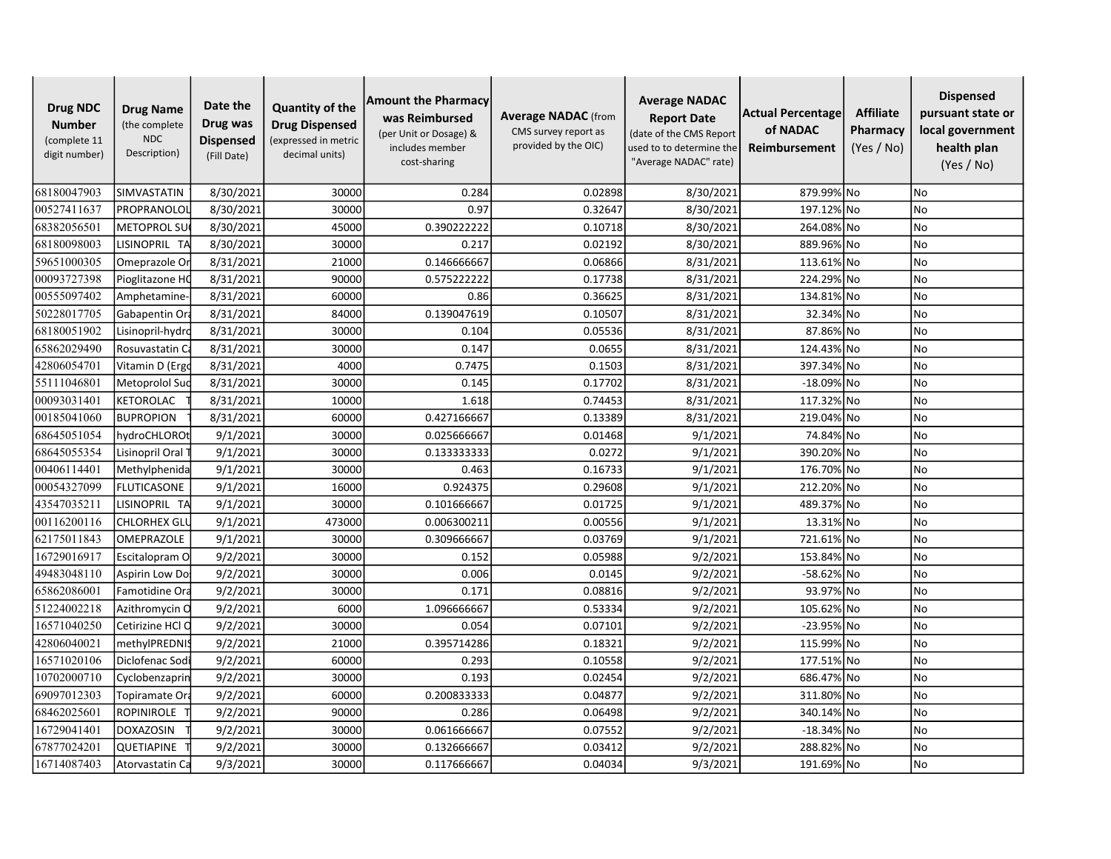| <b>Drug NDC</b><br><b>Number</b><br>(complete 11<br>digit number) | <b>Drug Name</b><br>(the complete<br><b>NDC</b><br>Description) | Date the<br>Drug was<br><b>Dispensed</b><br>(Fill Date) | <b>Quantity of the</b><br><b>Drug Dispensed</b><br>(expressed in metric<br>decimal units) | <b>Amount the Pharmacy</b><br>was Reimbursed<br>(per Unit or Dosage) &<br>includes member<br>cost-sharing | <b>Average NADAC</b> (from<br>CMS survey report as<br>provided by the OIC) | <b>Average NADAC</b><br><b>Report Date</b><br>(date of the CMS Report<br>used to to determine the<br>"Average NADAC" rate) | Actual Percentage<br>of NADAC<br>Reimbursement | <b>Affiliate</b><br>Pharmacy<br>(Yes / No) | <b>Dispensed</b><br>pursuant state or<br>local government<br>health plan<br>(Yes / No) |
|-------------------------------------------------------------------|-----------------------------------------------------------------|---------------------------------------------------------|-------------------------------------------------------------------------------------------|-----------------------------------------------------------------------------------------------------------|----------------------------------------------------------------------------|----------------------------------------------------------------------------------------------------------------------------|------------------------------------------------|--------------------------------------------|----------------------------------------------------------------------------------------|
| 68180047903                                                       | SIMVASTATIN                                                     | 8/30/2021                                               | 30000                                                                                     | 0.284                                                                                                     | 0.02898                                                                    | 8/30/2021                                                                                                                  | 879.99% No                                     |                                            | No                                                                                     |
| 00527411637                                                       | PROPRANOLOL                                                     | 8/30/2021                                               | 30000                                                                                     | 0.97                                                                                                      | 0.32647                                                                    | 8/30/2021                                                                                                                  | 197.12% No                                     |                                            | No                                                                                     |
| 68382056501                                                       | <b>METOPROL SU</b>                                              | 8/30/2021                                               | 45000                                                                                     | 0.390222222                                                                                               | 0.10718                                                                    | 8/30/2021                                                                                                                  | 264.08% No                                     |                                            | <b>No</b>                                                                              |
| 68180098003                                                       | LISINOPRIL TA                                                   | 8/30/2021                                               | 30000                                                                                     | 0.217                                                                                                     | 0.02192                                                                    | 8/30/2021                                                                                                                  | 889.96% No                                     |                                            | <b>No</b>                                                                              |
| 59651000305                                                       | Omeprazole Or                                                   | 8/31/2021                                               | 21000                                                                                     | 0.146666667                                                                                               | 0.06866                                                                    | 8/31/2021                                                                                                                  | 113.61% No                                     |                                            | <b>No</b>                                                                              |
| 00093727398                                                       | Pioglitazone HO                                                 | 8/31/2021                                               | 90000                                                                                     | 0.575222222                                                                                               | 0.17738                                                                    | 8/31/2021                                                                                                                  | 224.29% No                                     |                                            | No                                                                                     |
| 00555097402                                                       | Amphetamine                                                     | 8/31/2021                                               | 60000                                                                                     | 0.86                                                                                                      | 0.36625                                                                    | 8/31/2021                                                                                                                  | 134.81% No                                     |                                            | <b>No</b>                                                                              |
| 50228017705                                                       | Gabapentin Ora                                                  | 8/31/2021                                               | 84000                                                                                     | 0.139047619                                                                                               | 0.10507                                                                    | 8/31/2021                                                                                                                  | 32.34% No                                      |                                            | <b>No</b>                                                                              |
| 68180051902                                                       | Lisinopril-hydro                                                | 8/31/2021                                               | 30000                                                                                     | 0.104                                                                                                     | 0.05536                                                                    | 8/31/2021                                                                                                                  | 87.86% No                                      |                                            | <b>No</b>                                                                              |
| 65862029490                                                       | Rosuvastatin C                                                  | 8/31/2021                                               | 30000                                                                                     | 0.147                                                                                                     | 0.0655                                                                     | 8/31/2021                                                                                                                  | 124.43% No                                     |                                            | No                                                                                     |
| 42806054701                                                       | Vitamin D (Ergo                                                 | 8/31/2021                                               | 4000                                                                                      | 0.7475                                                                                                    | 0.1503                                                                     | 8/31/2021                                                                                                                  | 397.34% No                                     |                                            | No                                                                                     |
| 55111046801                                                       | Metoprolol Suc                                                  | 8/31/2021                                               | 30000                                                                                     | 0.145                                                                                                     | 0.17702                                                                    | 8/31/2021                                                                                                                  | -18.09% No                                     |                                            | <b>No</b>                                                                              |
| 00093031401                                                       | KETOROLAC                                                       | 8/31/2021                                               | 10000                                                                                     | 1.618                                                                                                     | 0.74453                                                                    | 8/31/2021                                                                                                                  | 117.32% No                                     |                                            | <b>No</b>                                                                              |
| 00185041060                                                       | <b>BUPROPION</b>                                                | 8/31/2021                                               | 60000                                                                                     | 0.427166667                                                                                               | 0.13389                                                                    | 8/31/2021                                                                                                                  | 219.04% No                                     |                                            | <b>No</b>                                                                              |
| 68645051054                                                       | hydroCHLORO                                                     | 9/1/2021                                                | 30000                                                                                     | 0.025666667                                                                                               | 0.01468                                                                    | 9/1/2021                                                                                                                   | 74.84% No                                      |                                            | <b>No</b>                                                                              |
| 68645055354                                                       | Lisinopril Oral                                                 | 9/1/2021                                                | 30000                                                                                     | 0.133333333                                                                                               | 0.0272                                                                     | 9/1/2021                                                                                                                   | 390.20% No                                     |                                            | <b>No</b>                                                                              |
| 00406114401                                                       | Methylphenida                                                   | 9/1/2021                                                | 30000                                                                                     | 0.463                                                                                                     | 0.16733                                                                    | 9/1/2021                                                                                                                   | 176.70% No                                     |                                            | No                                                                                     |
| 00054327099                                                       | <b>FLUTICASONE</b>                                              | 9/1/2021                                                | 16000                                                                                     | 0.924375                                                                                                  | 0.29608                                                                    | 9/1/2021                                                                                                                   | 212.20% No                                     |                                            | <b>No</b>                                                                              |
| 43547035211                                                       | LISINOPRIL TA                                                   | 9/1/2021                                                | 30000                                                                                     | 0.101666667                                                                                               | 0.01725                                                                    | 9/1/2021                                                                                                                   | 489.37% No                                     |                                            | <b>No</b>                                                                              |
| 00116200116                                                       | <b>CHLORHEX GLI</b>                                             | 9/1/2021                                                | 473000                                                                                    | 0.006300211                                                                                               | 0.00556                                                                    | 9/1/2021                                                                                                                   | 13.31% No                                      |                                            | <b>No</b>                                                                              |
| 62175011843                                                       | OMEPRAZOLE                                                      | 9/1/2021                                                | 30000                                                                                     | 0.309666667                                                                                               | 0.03769                                                                    | 9/1/2021                                                                                                                   | 721.61% No                                     |                                            | No                                                                                     |
| 16729016917                                                       | Escitalopram O                                                  | 9/2/2021                                                | 30000                                                                                     | 0.152                                                                                                     | 0.05988                                                                    | 9/2/2021                                                                                                                   | 153.84% No                                     |                                            | <b>No</b>                                                                              |
| 49483048110                                                       | Aspirin Low Do                                                  | 9/2/2021                                                | 30000                                                                                     | 0.006                                                                                                     | 0.0145                                                                     | 9/2/2021                                                                                                                   | -58.62% No                                     |                                            | <b>No</b>                                                                              |
| 65862086001                                                       | Famotidine Ora                                                  | 9/2/2021                                                | 30000                                                                                     | 0.171                                                                                                     | 0.08816                                                                    | 9/2/2021                                                                                                                   | 93.97% No                                      |                                            | <b>No</b>                                                                              |
| 51224002218                                                       | Azithromycin O                                                  | 9/2/2021                                                | 6000                                                                                      | 1.096666667                                                                                               | 0.53334                                                                    | 9/2/2021                                                                                                                   | 105.62% No                                     |                                            | <b>No</b>                                                                              |
| 16571040250                                                       | Cetirizine HCl C                                                | 9/2/2021                                                | 30000                                                                                     | 0.054                                                                                                     | 0.07101                                                                    | 9/2/2021                                                                                                                   | -23.95% No                                     |                                            | <b>No</b>                                                                              |
| 42806040021                                                       | methylPREDNIS                                                   | 9/2/2021                                                | 21000                                                                                     | 0.395714286                                                                                               | 0.18321                                                                    | 9/2/2021                                                                                                                   | 115.99% No                                     |                                            | <b>No</b>                                                                              |
| 16571020106                                                       | Diclofenac Sodi                                                 | 9/2/2021                                                | 60000                                                                                     | 0.293                                                                                                     | 0.10558                                                                    | 9/2/2021                                                                                                                   | 177.51% No                                     |                                            | No                                                                                     |
| 10702000710                                                       | Cyclobenzaprin                                                  | 9/2/2021                                                | 30000                                                                                     | 0.193                                                                                                     | 0.02454                                                                    | 9/2/2021                                                                                                                   | 686.47% No                                     |                                            | No                                                                                     |
| 69097012303                                                       | Topiramate Ora                                                  | 9/2/2021                                                | 60000                                                                                     | 0.200833333                                                                                               | 0.04877                                                                    | 9/2/2021                                                                                                                   | 311.80% No                                     |                                            | <b>No</b>                                                                              |
| 68462025601                                                       | ROPINIROLE                                                      | 9/2/2021                                                | 90000                                                                                     | 0.286                                                                                                     | 0.06498                                                                    | 9/2/2021                                                                                                                   | 340.14% No                                     |                                            | <b>No</b>                                                                              |
| 16729041401                                                       | <b>DOXAZOSIN</b>                                                | 9/2/2021                                                | 30000                                                                                     | 0.061666667                                                                                               | 0.07552                                                                    | 9/2/2021                                                                                                                   | $-18.34%$ No                                   |                                            | No                                                                                     |
| 67877024201                                                       | QUETIAPINE                                                      | 9/2/2021                                                | 30000                                                                                     | 0.132666667                                                                                               | 0.03412                                                                    | 9/2/2021                                                                                                                   | 288.82% No                                     |                                            | No                                                                                     |
| 16714087403                                                       | Atorvastatin Ca                                                 | 9/3/2021                                                | 30000                                                                                     | 0.117666667                                                                                               | 0.04034                                                                    | 9/3/2021                                                                                                                   | 191.69% No                                     |                                            | N <sub>o</sub>                                                                         |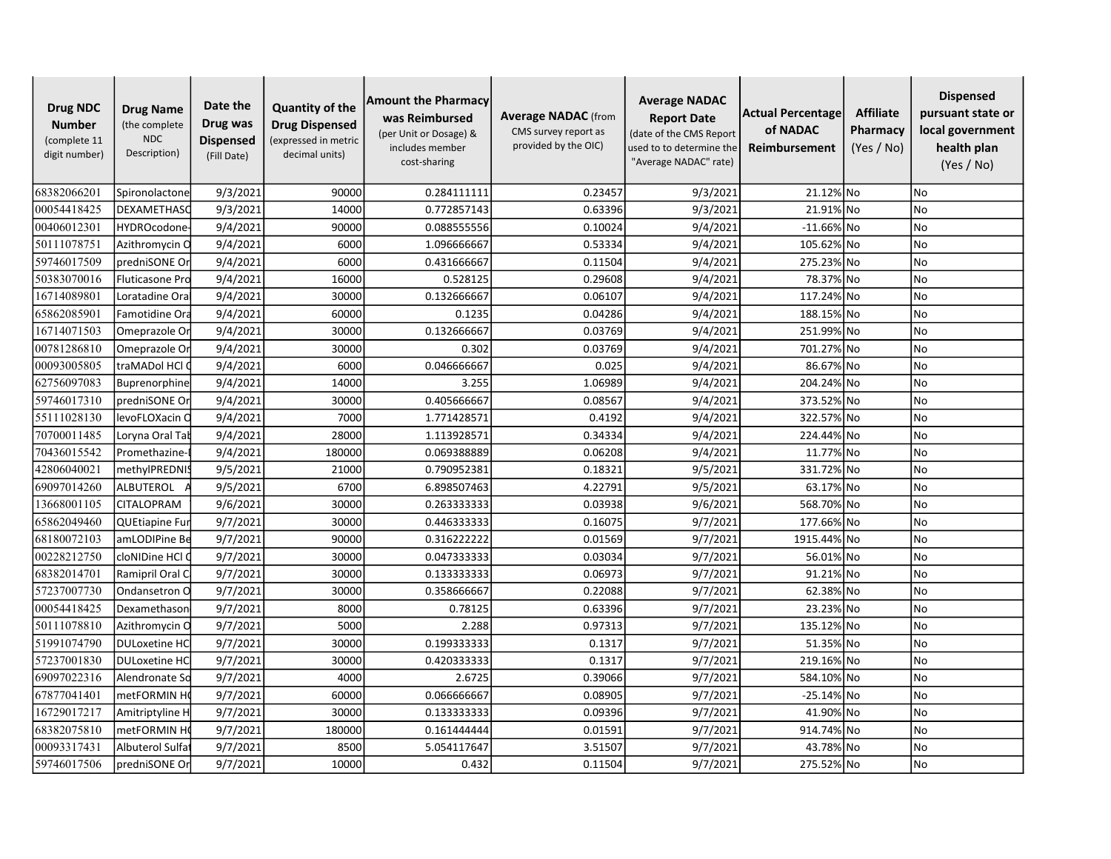| <b>Drug NDC</b><br><b>Number</b><br>(complete 11<br>digit number) | <b>Drug Name</b><br>(the complete<br><b>NDC</b><br>Description) | Date the<br>Drug was<br><b>Dispensed</b><br>(Fill Date) | <b>Quantity of the</b><br><b>Drug Dispensed</b><br>(expressed in metric<br>decimal units) | <b>Amount the Pharmacy</b><br>was Reimbursed<br>(per Unit or Dosage) &<br>includes member<br>cost-sharing | <b>Average NADAC</b> (from<br>CMS survey report as<br>provided by the OIC) | <b>Average NADAC</b><br><b>Report Date</b><br>(date of the CMS Report<br>used to to determine the<br>"Average NADAC" rate) | Actual Percentage<br>of NADAC<br>Reimbursement | <b>Affiliate</b><br>Pharmacy<br>(Yes / No) | <b>Dispensed</b><br>pursuant state or<br>local government<br>health plan<br>(Yes / No) |
|-------------------------------------------------------------------|-----------------------------------------------------------------|---------------------------------------------------------|-------------------------------------------------------------------------------------------|-----------------------------------------------------------------------------------------------------------|----------------------------------------------------------------------------|----------------------------------------------------------------------------------------------------------------------------|------------------------------------------------|--------------------------------------------|----------------------------------------------------------------------------------------|
| 68382066201                                                       | Spironolactone                                                  | 9/3/2021                                                | 90000                                                                                     | 0.284111111                                                                                               | 0.23457                                                                    | 9/3/2021                                                                                                                   | 21.12% No                                      |                                            | No                                                                                     |
| 00054418425                                                       | DEXAMETHASC                                                     | 9/3/2021                                                | 14000                                                                                     | 0.772857143                                                                                               | 0.63396                                                                    | 9/3/2021                                                                                                                   | 21.91% No                                      |                                            | No                                                                                     |
| 00406012301                                                       | <b>HYDROcodone</b>                                              | 9/4/2021                                                | 90000                                                                                     | 0.088555556                                                                                               | 0.10024                                                                    | 9/4/2021                                                                                                                   | $-11.66\%$ No                                  |                                            | <b>No</b>                                                                              |
| 50111078751                                                       | Azithromycin O                                                  | 9/4/2021                                                | 6000                                                                                      | 1.096666667                                                                                               | 0.53334                                                                    | 9/4/2021                                                                                                                   | 105.62% No                                     |                                            | <b>No</b>                                                                              |
| 59746017509                                                       | predniSONE Or                                                   | 9/4/2021                                                | 6000                                                                                      | 0.431666667                                                                                               | 0.11504                                                                    | 9/4/2021                                                                                                                   | 275.23% No                                     |                                            | <b>No</b>                                                                              |
| 50383070016                                                       | Fluticasone Pro                                                 | 9/4/2021                                                | 16000                                                                                     | 0.528125                                                                                                  | 0.29608                                                                    | 9/4/2021                                                                                                                   | 78.37% No                                      |                                            | No                                                                                     |
| 16714089801                                                       | Loratadine Ora                                                  | 9/4/2021                                                | 30000                                                                                     | 0.132666667                                                                                               | 0.06107                                                                    | 9/4/2021                                                                                                                   | 117.24% No                                     |                                            | No                                                                                     |
| 65862085901                                                       | Famotidine Ora                                                  | 9/4/2021                                                | 60000                                                                                     | 0.1235                                                                                                    | 0.04286                                                                    | 9/4/2021                                                                                                                   | 188.15% No                                     |                                            | <b>No</b>                                                                              |
| 16714071503                                                       | Omeprazole Or                                                   | 9/4/2021                                                | 30000                                                                                     | 0.132666667                                                                                               | 0.03769                                                                    | 9/4/2021                                                                                                                   | 251.99% No                                     |                                            | <b>No</b>                                                                              |
| 00781286810                                                       | Omeprazole Or                                                   | 9/4/2021                                                | 30000                                                                                     | 0.302                                                                                                     | 0.03769                                                                    | 9/4/2021                                                                                                                   | 701.27% No                                     |                                            | No                                                                                     |
| 00093005805                                                       | traMADol HCl                                                    | 9/4/2021                                                | 6000                                                                                      | 0.046666667                                                                                               | 0.025                                                                      | 9/4/2021                                                                                                                   | 86.67% No                                      |                                            | No                                                                                     |
| 62756097083                                                       | Buprenorphine                                                   | 9/4/2021                                                | 14000                                                                                     | 3.255                                                                                                     | 1.06989                                                                    | 9/4/2021                                                                                                                   | 204.24% No                                     |                                            | <b>No</b>                                                                              |
| 59746017310                                                       | predniSONE Or                                                   | 9/4/2021                                                | 30000                                                                                     | 0.405666667                                                                                               | 0.08567                                                                    | 9/4/2021                                                                                                                   | 373.52% No                                     |                                            | <b>No</b>                                                                              |
| 55111028130                                                       | levoFLOXacin C                                                  | 9/4/2021                                                | 7000                                                                                      | 1.771428571                                                                                               | 0.4192                                                                     | 9/4/2021                                                                                                                   | 322.57% No                                     |                                            | <b>No</b>                                                                              |
| 70700011485                                                       | Loryna Oral Tał                                                 | 9/4/2021                                                | 28000                                                                                     | 1.113928571                                                                                               | 0.34334                                                                    | 9/4/2021                                                                                                                   | 224.44% No                                     |                                            | <b>No</b>                                                                              |
| 70436015542                                                       | Promethazine-                                                   | 9/4/2021                                                | 180000                                                                                    | 0.069388889                                                                                               | 0.06208                                                                    | 9/4/2021                                                                                                                   | 11.77% No                                      |                                            | <b>No</b>                                                                              |
| 42806040021                                                       | methylPREDNIS                                                   | 9/5/2021                                                | 21000                                                                                     | 0.790952381                                                                                               | 0.18321                                                                    | 9/5/2021                                                                                                                   | 331.72% No                                     |                                            | No                                                                                     |
| 69097014260                                                       | <b>ALBUTEROL</b>                                                | 9/5/2021                                                | 6700                                                                                      | 6.898507463                                                                                               | 4.22791                                                                    | 9/5/2021                                                                                                                   | 63.17% No                                      |                                            | <b>No</b>                                                                              |
| 13668001105                                                       | CITALOPRAM                                                      | 9/6/2021                                                | 30000                                                                                     | 0.263333333                                                                                               | 0.03938                                                                    | 9/6/2021                                                                                                                   | 568.70% No                                     |                                            | <b>No</b>                                                                              |
| 65862049460                                                       | <b>QUEtiapine Fur</b>                                           | 9/7/2021                                                | 30000                                                                                     | 0.446333333                                                                                               | 0.16075                                                                    | 9/7/2021                                                                                                                   | 177.66% No                                     |                                            | <b>No</b>                                                                              |
| 68180072103                                                       | amLODIPine Be                                                   | 9/7/2021                                                | 90000                                                                                     | 0.316222222                                                                                               | 0.01569                                                                    | 9/7/2021                                                                                                                   | 1915.44% No                                    |                                            | No                                                                                     |
| 00228212750                                                       | cloNIDine HCl (                                                 | 9/7/2021                                                | 30000                                                                                     | 0.047333333                                                                                               | 0.03034                                                                    | 9/7/2021                                                                                                                   | 56.01% No                                      |                                            | No                                                                                     |
| 68382014701                                                       | Ramipril Oral C                                                 | 9/7/2021                                                | 30000                                                                                     | 0.133333333                                                                                               | 0.06973                                                                    | 9/7/2021                                                                                                                   | 91.21% No                                      |                                            | <b>No</b>                                                                              |
| 57237007730                                                       | Ondansetron O                                                   | 9/7/2021                                                | 30000                                                                                     | 0.358666667                                                                                               | 0.22088                                                                    | 9/7/2021                                                                                                                   | 62.38% No                                      |                                            | <b>No</b>                                                                              |
| 00054418425                                                       | Dexamethason                                                    | 9/7/2021                                                | 8000                                                                                      | 0.78125                                                                                                   | 0.63396                                                                    | 9/7/2021                                                                                                                   | 23.23% No                                      |                                            | <b>No</b>                                                                              |
| 50111078810                                                       | Azithromycin O                                                  | 9/7/2021                                                | 5000                                                                                      | 2.288                                                                                                     | 0.97313                                                                    | 9/7/2021                                                                                                                   | 135.12% No                                     |                                            | <b>No</b>                                                                              |
| 51991074790                                                       | <b>DULoxetine HC</b>                                            | 9/7/2021                                                | 30000                                                                                     | 0.199333333                                                                                               | 0.1317                                                                     | 9/7/2021                                                                                                                   | 51.35% No                                      |                                            | <b>No</b>                                                                              |
| 57237001830                                                       | <b>DULoxetine HC</b>                                            | 9/7/2021                                                | 30000                                                                                     | 0.420333333                                                                                               | 0.1317                                                                     | 9/7/2021                                                                                                                   | 219.16% No                                     |                                            | No                                                                                     |
| 69097022316                                                       | Alendronate So                                                  | 9/7/2021                                                | 4000                                                                                      | 2.6725                                                                                                    | 0.39066                                                                    | 9/7/2021                                                                                                                   | 584.10% No                                     |                                            | No                                                                                     |
| 67877041401                                                       | metFORMIN H                                                     | 9/7/2021                                                | 60000                                                                                     | 0.066666667                                                                                               | 0.08905                                                                    | 9/7/2021                                                                                                                   | $-25.14%$ No                                   |                                            | <b>No</b>                                                                              |
| 16729017217                                                       | Amitriptyline H                                                 | 9/7/2021                                                | 30000                                                                                     | 0.133333333                                                                                               | 0.09396                                                                    | 9/7/2021                                                                                                                   | 41.90% No                                      |                                            | <b>No</b>                                                                              |
| 68382075810                                                       | metFORMIN H                                                     | 9/7/2021                                                | 180000                                                                                    | 0.161444444                                                                                               | 0.01591                                                                    | 9/7/2021                                                                                                                   | 914.74% No                                     |                                            | No                                                                                     |
| 00093317431                                                       | Albuterol Sulfa                                                 | 9/7/2021                                                | 8500                                                                                      | 5.054117647                                                                                               | 3.51507                                                                    | 9/7/2021                                                                                                                   | 43.78% No                                      |                                            | <b>No</b>                                                                              |
| 59746017506                                                       | predniSONE Or                                                   | 9/7/2021                                                | 10000                                                                                     | 0.432                                                                                                     | 0.11504                                                                    | 9/7/2021                                                                                                                   | 275.52% No                                     |                                            | No.                                                                                    |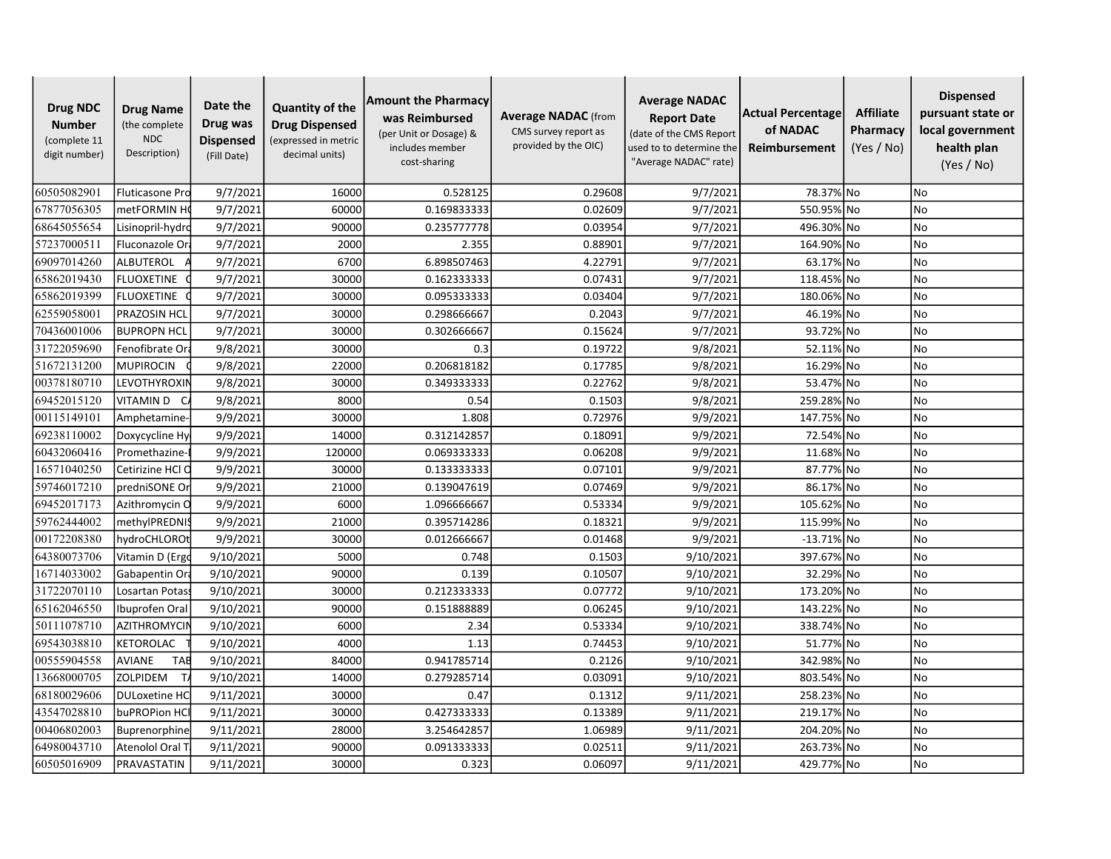| <b>Drug NDC</b><br><b>Number</b><br>(complete 11<br>digit number) | <b>Drug Name</b><br>(the complete<br><b>NDC</b><br>Description) | Date the<br>Drug was<br><b>Dispensed</b><br>(Fill Date) | <b>Quantity of the</b><br><b>Drug Dispensed</b><br>(expressed in metric<br>decimal units) | <b>Amount the Pharmacy</b><br>was Reimbursed<br>(per Unit or Dosage) &<br>includes member<br>cost-sharing | <b>Average NADAC</b> (from<br>CMS survey report as<br>provided by the OIC) | <b>Average NADAC</b><br><b>Report Date</b><br>(date of the CMS Report<br>used to to determine the<br>"Average NADAC" rate) | Actual Percentage<br>of NADAC<br>Reimbursement | <b>Affiliate</b><br>Pharmacy<br>(Yes / No) | <b>Dispensed</b><br>pursuant state or<br>local government<br>health plan<br>(Yes / No) |
|-------------------------------------------------------------------|-----------------------------------------------------------------|---------------------------------------------------------|-------------------------------------------------------------------------------------------|-----------------------------------------------------------------------------------------------------------|----------------------------------------------------------------------------|----------------------------------------------------------------------------------------------------------------------------|------------------------------------------------|--------------------------------------------|----------------------------------------------------------------------------------------|
| 60505082901                                                       | Fluticasone Pro                                                 | 9/7/2021                                                | 16000                                                                                     | 0.528125                                                                                                  | 0.29608                                                                    | 9/7/2021                                                                                                                   | 78.37% No                                      |                                            | <b>No</b>                                                                              |
| 67877056305                                                       | metFORMIN H                                                     | 9/7/2021                                                | 60000                                                                                     | 0.169833333                                                                                               | 0.02609                                                                    | 9/7/2021                                                                                                                   | 550.95% No                                     |                                            | No                                                                                     |
| 68645055654                                                       | Lisinopril-hydrd                                                | 9/7/2021                                                | 90000                                                                                     | 0.235777778                                                                                               | 0.03954                                                                    | 9/7/2021                                                                                                                   | 496.30% No                                     |                                            | <b>No</b>                                                                              |
| 57237000511                                                       | Fluconazole Or                                                  | 9/7/2021                                                | 2000                                                                                      | 2.355                                                                                                     | 0.88901                                                                    | 9/7/2021                                                                                                                   | 164.90% No                                     |                                            | <b>No</b>                                                                              |
| 69097014260                                                       | <b>ALBUTEROL</b>                                                | 9/7/2021                                                | 6700                                                                                      | 6.898507463                                                                                               | 4.22791                                                                    | 9/7/2021                                                                                                                   | 63.17% No                                      |                                            | <b>No</b>                                                                              |
| 65862019430                                                       | <b>FLUOXETINE</b>                                               | 9/7/2021                                                | 30000                                                                                     | 0.162333333                                                                                               | 0.07431                                                                    | 9/7/2021                                                                                                                   | 118.45% No                                     |                                            | No                                                                                     |
| 65862019399                                                       | <b>FLUOXETINE</b>                                               | 9/7/2021                                                | 30000                                                                                     | 0.095333333                                                                                               | 0.03404                                                                    | 9/7/2021                                                                                                                   | 180.06% No                                     |                                            | No                                                                                     |
| 62559058001                                                       | PRAZOSIN HCI                                                    | 9/7/2021                                                | 30000                                                                                     | 0.298666667                                                                                               | 0.2043                                                                     | 9/7/2021                                                                                                                   | 46.19% No                                      |                                            | <b>No</b>                                                                              |
| 70436001006                                                       | <b>BUPROPN HCL</b>                                              | 9/7/2021                                                | 30000                                                                                     | 0.302666667                                                                                               | 0.15624                                                                    | 9/7/2021                                                                                                                   | 93.72% No                                      |                                            | <b>No</b>                                                                              |
| 31722059690                                                       | Fenofibrate Or                                                  | 9/8/2021                                                | 30000                                                                                     | 0.3                                                                                                       | 0.19722                                                                    | 9/8/2021                                                                                                                   | 52.11% No                                      |                                            | No                                                                                     |
| 51672131200                                                       | <b>MUPIROCIN</b>                                                | 9/8/2021                                                | 22000                                                                                     | 0.206818182                                                                                               | 0.17785                                                                    | 9/8/2021                                                                                                                   | 16.29% No                                      |                                            | No                                                                                     |
| 00378180710                                                       | <b>LEVOTHYROXIN</b>                                             | 9/8/2021                                                | 30000                                                                                     | 0.349333333                                                                                               | 0.22762                                                                    | 9/8/2021                                                                                                                   | 53.47% No                                      |                                            | <b>No</b>                                                                              |
| 69452015120                                                       | VITAMIN D<br>- C                                                | 9/8/2021                                                | 8000                                                                                      | 0.54                                                                                                      | 0.1503                                                                     | 9/8/2021                                                                                                                   | 259.28% No                                     |                                            | <b>No</b>                                                                              |
| 00115149101                                                       | Amphetamine-                                                    | 9/9/2021                                                | 30000                                                                                     | 1.808                                                                                                     | 0.72976                                                                    | 9/9/2021                                                                                                                   | 147.75% No                                     |                                            | <b>No</b>                                                                              |
| 69238110002                                                       | Doxycycline Hy                                                  | 9/9/2021                                                | 14000                                                                                     | 0.312142857                                                                                               | 0.18091                                                                    | 9/9/2021                                                                                                                   | 72.54% No                                      |                                            | <b>No</b>                                                                              |
| 60432060416                                                       | Promethazine                                                    | 9/9/2021                                                | 120000                                                                                    | 0.069333333                                                                                               | 0.06208                                                                    | 9/9/2021                                                                                                                   | 11.68% No                                      |                                            | <b>No</b>                                                                              |
| 16571040250                                                       | Cetirizine HCl C                                                | 9/9/2021                                                | 30000                                                                                     | 0.133333333                                                                                               | 0.07101                                                                    | 9/9/2021                                                                                                                   | 87.77% No                                      |                                            | No                                                                                     |
| 59746017210                                                       | predniSONE Or                                                   | 9/9/2021                                                | 21000                                                                                     | 0.139047619                                                                                               | 0.07469                                                                    | 9/9/2021                                                                                                                   | 86.17% No                                      |                                            | <b>No</b>                                                                              |
| 69452017173                                                       | Azithromycin O                                                  | 9/9/2021                                                | 6000                                                                                      | 1.096666667                                                                                               | 0.53334                                                                    | 9/9/2021                                                                                                                   | 105.62% No                                     |                                            | <b>No</b>                                                                              |
| 59762444002                                                       | methylPREDNIS                                                   | 9/9/2021                                                | 21000                                                                                     | 0.395714286                                                                                               | 0.18321                                                                    | 9/9/2021                                                                                                                   | 115.99% No                                     |                                            | <b>No</b>                                                                              |
| 00172208380                                                       | hydroCHLOROt                                                    | 9/9/2021                                                | 30000                                                                                     | 0.012666667                                                                                               | 0.01468                                                                    | 9/9/2021                                                                                                                   | $-13.71\%$ No                                  |                                            | No                                                                                     |
| 64380073706                                                       | Vitamin D (Ergo                                                 | 9/10/2021                                               | 5000                                                                                      | 0.748                                                                                                     | 0.1503                                                                     | 9/10/2021                                                                                                                  | 397.67% No                                     |                                            | No                                                                                     |
| 16714033002                                                       | Gabapentin Ora                                                  | 9/10/2021                                               | 90000                                                                                     | 0.139                                                                                                     | 0.10507                                                                    | 9/10/2021                                                                                                                  | 32.29% No                                      |                                            | <b>No</b>                                                                              |
| 31722070110                                                       | Losartan Potass                                                 | 9/10/2021                                               | 30000                                                                                     | 0.212333333                                                                                               | 0.07772                                                                    | 9/10/2021                                                                                                                  | 173.20% No                                     |                                            | <b>No</b>                                                                              |
| 65162046550                                                       | Ibuprofen Oral                                                  | 9/10/2021                                               | 90000                                                                                     | 0.151888889                                                                                               | 0.06245                                                                    | 9/10/2021                                                                                                                  | 143.22% No                                     |                                            | <b>No</b>                                                                              |
| 50111078710                                                       | <b>AZITHROMYCIN</b>                                             | 9/10/2021                                               | 6000                                                                                      | 2.34                                                                                                      | 0.53334                                                                    | 9/10/2021                                                                                                                  | 338.74% No                                     |                                            | <b>No</b>                                                                              |
| 69543038810                                                       | KETOROLAC                                                       | 9/10/2021                                               | 4000                                                                                      | 1.13                                                                                                      | 0.74453                                                                    | 9/10/2021                                                                                                                  | 51.77% No                                      |                                            | <b>No</b>                                                                              |
| 00555904558                                                       | <b>AVIANE</b><br><b>TAB</b>                                     | 9/10/2021                                               | 84000                                                                                     | 0.941785714                                                                                               | 0.2126                                                                     | 9/10/2021                                                                                                                  | 342.98% No                                     |                                            | No                                                                                     |
| 13668000705                                                       | ZOLPIDEM<br>T                                                   | 9/10/2021                                               | 14000                                                                                     | 0.279285714                                                                                               | 0.03091                                                                    | 9/10/2021                                                                                                                  | 803.54% No                                     |                                            | No                                                                                     |
| 68180029606                                                       | <b>DULoxetine HC</b>                                            | 9/11/2021                                               | 30000                                                                                     | 0.47                                                                                                      | 0.1312                                                                     | 9/11/2021                                                                                                                  | 258.23% No                                     |                                            | <b>No</b>                                                                              |
| 43547028810                                                       | buPROPion HC                                                    | 9/11/2021                                               | 30000                                                                                     | 0.427333333                                                                                               | 0.13389                                                                    | 9/11/2021                                                                                                                  | 219.17% No                                     |                                            | No                                                                                     |
| 00406802003                                                       | Buprenorphine                                                   | 9/11/2021                                               | 28000                                                                                     | 3.254642857                                                                                               | 1.06989                                                                    | 9/11/2021                                                                                                                  | 204.20% No                                     |                                            | No                                                                                     |
| 64980043710                                                       | Atenolol Oral 1                                                 | 9/11/2021                                               | 90000                                                                                     | 0.091333333                                                                                               | 0.02511                                                                    | 9/11/2021                                                                                                                  | 263.73% No                                     |                                            | No                                                                                     |
| 60505016909                                                       | PRAVASTATIN                                                     | 9/11/2021                                               | 30000                                                                                     | 0.323                                                                                                     | 0.06097                                                                    | 9/11/2021                                                                                                                  | 429.77% No                                     |                                            | No                                                                                     |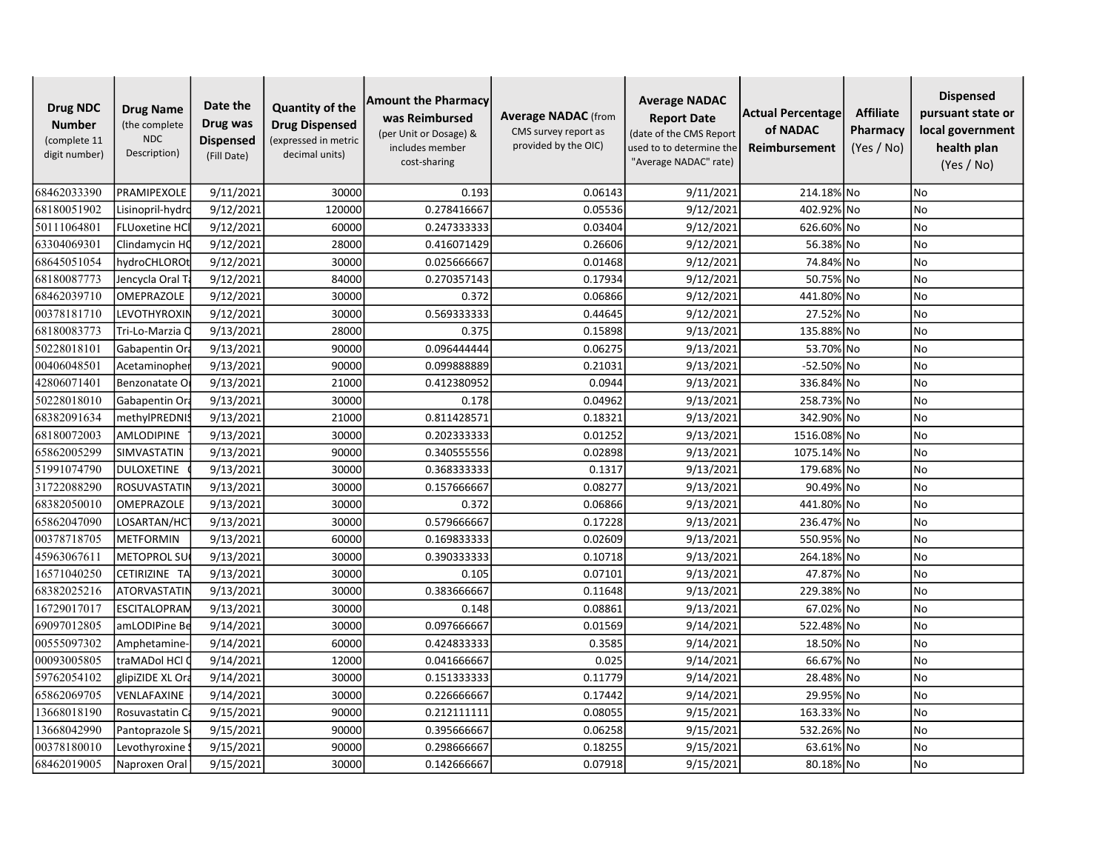| <b>Drug NDC</b><br><b>Number</b><br>(complete 11<br>digit number) | <b>Drug Name</b><br>(the complete<br><b>NDC</b><br>Description) | Date the<br>Drug was<br><b>Dispensed</b><br>(Fill Date) | <b>Quantity of the</b><br><b>Drug Dispensed</b><br>(expressed in metric<br>decimal units) | <b>Amount the Pharmacy</b><br>was Reimbursed<br>(per Unit or Dosage) &<br>includes member<br>cost-sharing | <b>Average NADAC</b> (from<br>CMS survey report as<br>provided by the OIC) | <b>Average NADAC</b><br><b>Report Date</b><br>(date of the CMS Report<br>used to to determine the<br>"Average NADAC" rate) | Actual Percentage<br>of NADAC<br>Reimbursement | <b>Affiliate</b><br>Pharmacy<br>(Yes / No) | <b>Dispensed</b><br>pursuant state or<br>local government<br>health plan<br>(Yes / No) |
|-------------------------------------------------------------------|-----------------------------------------------------------------|---------------------------------------------------------|-------------------------------------------------------------------------------------------|-----------------------------------------------------------------------------------------------------------|----------------------------------------------------------------------------|----------------------------------------------------------------------------------------------------------------------------|------------------------------------------------|--------------------------------------------|----------------------------------------------------------------------------------------|
| 68462033390                                                       | PRAMIPEXOLE                                                     | 9/11/2021                                               | 30000                                                                                     | 0.193                                                                                                     | 0.06143                                                                    | 9/11/2021                                                                                                                  | 214.18% No                                     |                                            | No                                                                                     |
| 68180051902                                                       | Lisinopril-hydrc                                                | 9/12/2021                                               | 120000                                                                                    | 0.278416667                                                                                               | 0.05536                                                                    | 9/12/2021                                                                                                                  | 402.92% No                                     |                                            | No                                                                                     |
| 50111064801                                                       | <b>FLUoxetine HCI</b>                                           | 9/12/2021                                               | 60000                                                                                     | 0.247333333                                                                                               | 0.03404                                                                    | 9/12/2021                                                                                                                  | 626.60% No                                     |                                            | <b>No</b>                                                                              |
| 63304069301                                                       | Clindamycin HC                                                  | 9/12/2021                                               | 28000                                                                                     | 0.416071429                                                                                               | 0.26606                                                                    | 9/12/2021                                                                                                                  | 56.38% No                                      |                                            | <b>No</b>                                                                              |
| 68645051054                                                       | hydroCHLOROt                                                    | 9/12/2021                                               | 30000                                                                                     | 0.025666667                                                                                               | 0.01468                                                                    | 9/12/2021                                                                                                                  | 74.84% No                                      |                                            | <b>No</b>                                                                              |
| 68180087773                                                       | Jencycla Oral T                                                 | 9/12/2021                                               | 84000                                                                                     | 0.270357143                                                                                               | 0.17934                                                                    | 9/12/2021                                                                                                                  | 50.75% No                                      |                                            | No                                                                                     |
| 68462039710                                                       | <b>OMEPRAZOLE</b>                                               | 9/12/2021                                               | 30000                                                                                     | 0.372                                                                                                     | 0.06866                                                                    | 9/12/2021                                                                                                                  | 441.80% No                                     |                                            | <b>No</b>                                                                              |
| 00378181710                                                       | LEVOTHYROXIN                                                    | $\frac{1}{9/12/2021}$                                   | 30000                                                                                     | 0.569333333                                                                                               | 0.44645                                                                    | 9/12/2021                                                                                                                  | 27.52% No                                      |                                            | <b>No</b>                                                                              |
| 68180083773                                                       | Tri-Lo-Marzia C                                                 | 9/13/2021                                               | 28000                                                                                     | 0.375                                                                                                     | 0.15898                                                                    | 9/13/2021                                                                                                                  | 135.88% No                                     |                                            | <b>No</b>                                                                              |
| 50228018101                                                       | Gabapentin Or                                                   | 9/13/2021                                               | 90000                                                                                     | 0.096444444                                                                                               | 0.06275                                                                    | 9/13/2021                                                                                                                  | 53.70% No                                      |                                            | <b>No</b>                                                                              |
| 00406048501                                                       | Acetaminopher                                                   | 9/13/2021                                               | 90000                                                                                     | 0.099888889                                                                                               | 0.21031                                                                    | 9/13/2021                                                                                                                  | -52.50% No                                     |                                            | No                                                                                     |
| 42806071401                                                       | Benzonatate O                                                   | 9/13/2021                                               | 21000                                                                                     | 0.412380952                                                                                               | 0.0944                                                                     | 9/13/2021                                                                                                                  | 336.84% No                                     |                                            | <b>No</b>                                                                              |
| 50228018010                                                       | Gabapentin Or                                                   | 9/13/2021                                               | 30000                                                                                     | 0.178                                                                                                     | 0.04962                                                                    | 9/13/2021                                                                                                                  | 258.73% No                                     |                                            | <b>No</b>                                                                              |
| 68382091634                                                       | methylPREDNIS                                                   | 9/13/2021                                               | 21000                                                                                     | 0.811428571                                                                                               | 0.18321                                                                    | 9/13/2021                                                                                                                  | 342.90% No                                     |                                            | <b>No</b>                                                                              |
| 68180072003                                                       | <b>AMLODIPINE</b>                                               | 9/13/2021                                               | 30000                                                                                     | 0.202333333                                                                                               | 0.01252                                                                    | 9/13/2021                                                                                                                  | 1516.08% No                                    |                                            | <b>No</b>                                                                              |
| 65862005299                                                       | SIMVASTATIN                                                     | 9/13/2021                                               | 90000                                                                                     | 0.340555556                                                                                               | 0.02898                                                                    | 9/13/2021                                                                                                                  | 1075.14% No                                    |                                            | <b>No</b>                                                                              |
| 51991074790                                                       | DULOXETINE                                                      | 9/13/2021                                               | 30000                                                                                     | 0.368333333                                                                                               | 0.1317                                                                     | 9/13/2021                                                                                                                  | 179.68% No                                     |                                            | No                                                                                     |
| 31722088290                                                       | <b>ROSUVASTATII</b>                                             | 9/13/2021                                               | 30000                                                                                     | 0.157666667                                                                                               | 0.08277                                                                    | 9/13/2021                                                                                                                  | 90.49% No                                      |                                            | <b>No</b>                                                                              |
| 68382050010                                                       | OMEPRAZOLE                                                      | 9/13/2021                                               | 30000                                                                                     | 0.372                                                                                                     | 0.06866                                                                    | 9/13/2021                                                                                                                  | 441.80% No                                     |                                            | <b>No</b>                                                                              |
| 65862047090                                                       | LOSARTAN/HC                                                     | 9/13/2021                                               | 30000                                                                                     | 0.579666667                                                                                               | 0.17228                                                                    | 9/13/2021                                                                                                                  | 236.47% No                                     |                                            | <b>No</b>                                                                              |
| 00378718705                                                       | <b>METFORMIN</b>                                                | 9/13/2021                                               | 60000                                                                                     | 0.169833333                                                                                               | 0.02609                                                                    | 9/13/2021                                                                                                                  | 550.95% No                                     |                                            | No                                                                                     |
| 45963067611                                                       | <b>METOPROL SU</b>                                              | 9/13/2021                                               | 30000                                                                                     | 0.390333333                                                                                               | 0.10718                                                                    | 9/13/2021                                                                                                                  | 264.18% No                                     |                                            | No                                                                                     |
| 16571040250                                                       | CETIRIZINE TA                                                   | 9/13/2021                                               | 30000                                                                                     | 0.105                                                                                                     | 0.07101                                                                    | 9/13/2021                                                                                                                  | 47.87% No                                      |                                            | <b>No</b>                                                                              |
| 68382025216                                                       | <b>ATORVASTATIN</b>                                             | 9/13/2021                                               | 30000                                                                                     | 0.383666667                                                                                               | 0.11648                                                                    | 9/13/2021                                                                                                                  | 229.38% No                                     |                                            | <b>No</b>                                                                              |
| 16729017017                                                       | <b>ESCITALOPRAN</b>                                             | 9/13/2021                                               | 30000                                                                                     | 0.148                                                                                                     | 0.08861                                                                    | 9/13/2021                                                                                                                  | 67.02% No                                      |                                            | <b>No</b>                                                                              |
| 69097012805                                                       | amLODIPine Be                                                   | 9/14/2021                                               | 30000                                                                                     | 0.097666667                                                                                               | 0.01569                                                                    | 9/14/2021                                                                                                                  | 522.48% No                                     |                                            | <b>No</b>                                                                              |
| 00555097302                                                       | Amphetamine                                                     | 9/14/2021                                               | 60000                                                                                     | 0.424833333                                                                                               | 0.3585                                                                     | 9/14/2021                                                                                                                  | 18.50% No                                      |                                            | <b>No</b>                                                                              |
| 00093005805                                                       | traMADol HCl                                                    | 9/14/2021                                               | 12000                                                                                     | 0.041666667                                                                                               | 0.025                                                                      | 9/14/2021                                                                                                                  | 66.67% No                                      |                                            | No                                                                                     |
| 59762054102                                                       | glipiZIDE XL Ora                                                | 9/14/2021                                               | 30000                                                                                     | 0.151333333                                                                                               | 0.11779                                                                    | 9/14/2021                                                                                                                  | 28.48% No                                      |                                            | No                                                                                     |
| 65862069705                                                       | VENLAFAXINE                                                     | 9/14/2021                                               | 30000                                                                                     | 0.226666667                                                                                               | 0.17442                                                                    | 9/14/2021                                                                                                                  | 29.95% No                                      |                                            | <b>No</b>                                                                              |
| 13668018190                                                       | Rosuvastatin Ca                                                 | 9/15/2021                                               | 90000                                                                                     | 0.212111111                                                                                               | 0.08055                                                                    | 9/15/2021                                                                                                                  | 163.33% No                                     |                                            | No                                                                                     |
| 13668042990                                                       | Pantoprazole S                                                  | 9/15/2021                                               | 90000                                                                                     | 0.395666667                                                                                               | 0.06258                                                                    | 9/15/2021                                                                                                                  | 532.26% No                                     |                                            | No                                                                                     |
| 00378180010                                                       | Levothyroxine                                                   | 9/15/2021                                               | 90000                                                                                     | 0.298666667                                                                                               | 0.18255                                                                    | 9/15/2021                                                                                                                  | 63.61% No                                      |                                            | No                                                                                     |
| 68462019005                                                       | Naproxen Oral                                                   | 9/15/2021                                               | 30000                                                                                     | 0.142666667                                                                                               | 0.07918                                                                    | 9/15/2021                                                                                                                  | 80.18% No                                      |                                            | No                                                                                     |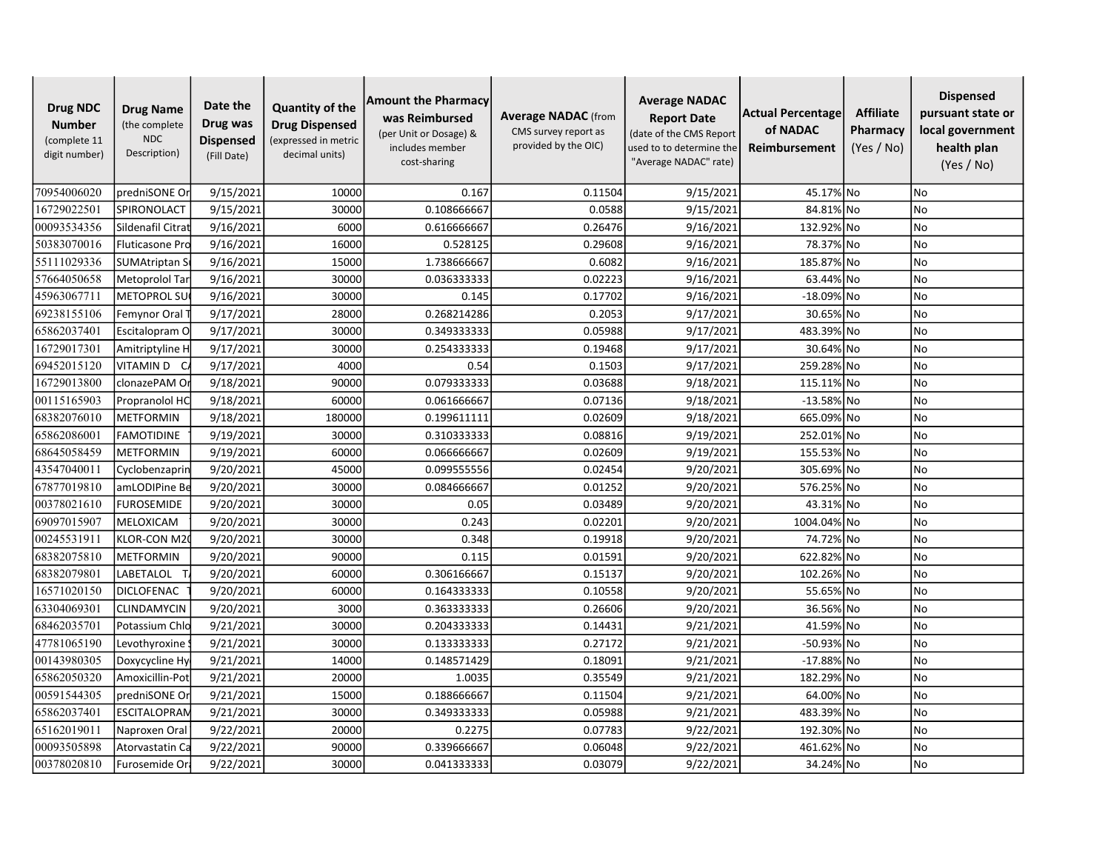| <b>Drug NDC</b><br><b>Number</b><br>(complete 11<br>digit number) | <b>Drug Name</b><br>(the complete<br><b>NDC</b><br>Description) | Date the<br>Drug was<br><b>Dispensed</b><br>(Fill Date) | <b>Quantity of the</b><br><b>Drug Dispensed</b><br>(expressed in metric<br>decimal units) | <b>Amount the Pharmacy</b><br>was Reimbursed<br>(per Unit or Dosage) &<br>includes member<br>cost-sharing | <b>Average NADAC</b> (from<br>CMS survey report as<br>provided by the OIC) | <b>Average NADAC</b><br><b>Report Date</b><br>(date of the CMS Report<br>used to to determine the<br>"Average NADAC" rate) | Actual Percentage<br>of NADAC<br>Reimbursement | <b>Affiliate</b><br>Pharmacy<br>(Yes / No) | <b>Dispensed</b><br>pursuant state or<br>local government<br>health plan<br>(Yes / No) |
|-------------------------------------------------------------------|-----------------------------------------------------------------|---------------------------------------------------------|-------------------------------------------------------------------------------------------|-----------------------------------------------------------------------------------------------------------|----------------------------------------------------------------------------|----------------------------------------------------------------------------------------------------------------------------|------------------------------------------------|--------------------------------------------|----------------------------------------------------------------------------------------|
| 70954006020                                                       | predniSONE Or                                                   | 9/15/2021                                               | 10000                                                                                     | 0.167                                                                                                     | 0.11504                                                                    | 9/15/2021                                                                                                                  | 45.17% No                                      |                                            | <b>No</b>                                                                              |
| 16729022501                                                       | SPIRONOLACT                                                     | 9/15/2021                                               | 30000                                                                                     | 0.108666667                                                                                               | 0.0588                                                                     | 9/15/2021                                                                                                                  | 84.81% No                                      |                                            | No                                                                                     |
| 00093534356                                                       | Sildenafil Citrat                                               | 9/16/2021                                               | 6000                                                                                      | 0.616666667                                                                                               | 0.26476                                                                    | 9/16/2021                                                                                                                  | 132.92% No                                     |                                            | <b>No</b>                                                                              |
| 50383070016                                                       | Fluticasone Pro                                                 | 9/16/2021                                               | 16000                                                                                     | 0.528125                                                                                                  | 0.29608                                                                    | 9/16/2021                                                                                                                  | 78.37% No                                      |                                            | <b>No</b>                                                                              |
| 55111029336                                                       | SUMAtriptan S                                                   | 9/16/2021                                               | 15000                                                                                     | 1.738666667                                                                                               | 0.6082                                                                     | 9/16/2021                                                                                                                  | 185.87% No                                     |                                            | <b>No</b>                                                                              |
| 57664050658                                                       | Metoprolol Tar                                                  | 9/16/2021                                               | 30000                                                                                     | 0.036333333                                                                                               | 0.02223                                                                    | 9/16/2021                                                                                                                  | 63.44% No                                      |                                            | No                                                                                     |
| 45963067711                                                       | <b>METOPROL SU</b>                                              | 9/16/2021                                               | 30000                                                                                     | 0.145                                                                                                     | 0.17702                                                                    | 9/16/2021                                                                                                                  | $-18.09\%$ No                                  |                                            | <b>No</b>                                                                              |
| 69238155106                                                       | Femynor Oral                                                    | 9/17/2021                                               | 28000                                                                                     | 0.268214286                                                                                               | 0.2053                                                                     | 9/17/2021                                                                                                                  | 30.65% No                                      |                                            | <b>No</b>                                                                              |
| 65862037401                                                       | Escitalopram O                                                  | 9/17/2021                                               | 30000                                                                                     | 0.349333333                                                                                               | 0.05988                                                                    | 9/17/2021                                                                                                                  | 483.39% No                                     |                                            | <b>No</b>                                                                              |
| 16729017301                                                       | Amitriptyline H                                                 | 9/17/2021                                               | 30000                                                                                     | 0.254333333                                                                                               | 0.19468                                                                    | 9/17/2021                                                                                                                  | 30.64% No                                      |                                            | <b>No</b>                                                                              |
| 69452015120                                                       | VITAMIN D CA                                                    | 9/17/2021                                               | 4000                                                                                      | 0.54                                                                                                      | 0.1503                                                                     | 9/17/2021                                                                                                                  | 259.28% No                                     |                                            | No                                                                                     |
| 16729013800                                                       | clonazePAM Or                                                   | 9/18/2021                                               | 90000                                                                                     | 0.079333333                                                                                               | 0.03688                                                                    | 9/18/2021                                                                                                                  | 115.11% No                                     |                                            | <b>No</b>                                                                              |
| 00115165903                                                       | Propranolol HC                                                  | 9/18/2021                                               | 60000                                                                                     | 0.061666667                                                                                               | 0.07136                                                                    | 9/18/2021                                                                                                                  | $-13.58\%$ No                                  |                                            | <b>No</b>                                                                              |
| 68382076010                                                       | <b>METFORMIN</b>                                                | 9/18/2021                                               | 180000                                                                                    | 0.199611111                                                                                               | 0.02609                                                                    | 9/18/2021                                                                                                                  | 665.09% No                                     |                                            | <b>No</b>                                                                              |
| 65862086001                                                       | <b>FAMOTIDINE</b>                                               | 9/19/2021                                               | 30000                                                                                     | 0.310333333                                                                                               | 0.08816                                                                    | 9/19/2021                                                                                                                  | 252.01% No                                     |                                            | <b>No</b>                                                                              |
| 68645058459                                                       | METFORMIN                                                       | 9/19/2021                                               | 60000                                                                                     | 0.066666667                                                                                               | 0.02609                                                                    | 9/19/2021                                                                                                                  | 155.53% No                                     |                                            | <b>No</b>                                                                              |
| 43547040011                                                       | Cyclobenzaprin                                                  | 9/20/2021                                               | 45000                                                                                     | 0.099555556                                                                                               | 0.02454                                                                    | 9/20/2021                                                                                                                  | 305.69% No                                     |                                            | No                                                                                     |
| 67877019810                                                       | amLODIPine Be                                                   | 9/20/2021                                               | 30000                                                                                     | 0.084666667                                                                                               | 0.01252                                                                    | 9/20/2021                                                                                                                  | 576.25% No                                     |                                            | No                                                                                     |
| 00378021610                                                       | <b>FUROSEMIDE</b>                                               | 9/20/2021                                               | 30000                                                                                     | 0.05                                                                                                      | 0.03489                                                                    | 9/20/2021                                                                                                                  | 43.31% No                                      |                                            | <b>No</b>                                                                              |
| 69097015907                                                       | MELOXICAM                                                       | 9/20/2021                                               | 30000                                                                                     | 0.243                                                                                                     | 0.02201                                                                    | 9/20/2021                                                                                                                  | 1004.04% No                                    |                                            | <b>No</b>                                                                              |
| 00245531911                                                       | KLOR-CON M2                                                     | 9/20/2021                                               | 30000                                                                                     | 0.348                                                                                                     | 0.19918                                                                    | 9/20/2021                                                                                                                  | 74.72% No                                      |                                            | No                                                                                     |
| 68382075810                                                       | <b>METFORMIN</b>                                                | 9/20/2021                                               | 90000                                                                                     | 0.115                                                                                                     | 0.01591                                                                    | 9/20/2021                                                                                                                  | 622.82% No                                     |                                            | No                                                                                     |
| 68382079801                                                       | LABETALOL                                                       | 9/20/2021                                               | 60000                                                                                     | 0.306166667                                                                                               | 0.15137                                                                    | 9/20/2021                                                                                                                  | 102.26% No                                     |                                            | <b>No</b>                                                                              |
| 16571020150                                                       | <b>DICLOFENAC</b>                                               | 9/20/2021                                               | 60000                                                                                     | 0.164333333                                                                                               | 0.10558                                                                    | 9/20/2021                                                                                                                  | 55.65% No                                      |                                            | <b>No</b>                                                                              |
| 63304069301                                                       | CLINDAMYCIN                                                     | 9/20/2021                                               | 3000                                                                                      | 0.363333333                                                                                               | 0.26606                                                                    | 9/20/2021                                                                                                                  | 36.56% No                                      |                                            | <b>No</b>                                                                              |
| 68462035701                                                       | Potassium Chlo                                                  | 9/21/2021                                               | 30000                                                                                     | 0.204333333                                                                                               | 0.14431                                                                    | 9/21/2021                                                                                                                  | 41.59% No                                      |                                            | <b>No</b>                                                                              |
| 47781065190                                                       | Levothyroxine                                                   | 9/21/2021                                               | 30000                                                                                     | 0.133333333                                                                                               | 0.27172                                                                    | 9/21/2021                                                                                                                  | -50.93% No                                     |                                            | <b>No</b>                                                                              |
| 00143980305                                                       | Doxycycline Hy                                                  | 9/21/2021                                               | 14000                                                                                     | 0.148571429                                                                                               | 0.18091                                                                    | 9/21/2021                                                                                                                  | $-17.88\%$ No                                  |                                            | No                                                                                     |
| 65862050320                                                       | Amoxicillin-Pot                                                 | 9/21/2021                                               | 20000                                                                                     | 1.0035                                                                                                    | 0.35549                                                                    | 9/21/2021                                                                                                                  | 182.29% No                                     |                                            | No                                                                                     |
| 00591544305                                                       | predniSONE Or                                                   | 9/21/2021                                               | 15000                                                                                     | 0.188666667                                                                                               | 0.11504                                                                    | 9/21/2021                                                                                                                  | 64.00% No                                      |                                            | <b>No</b>                                                                              |
| 65862037401                                                       | ESCITALOPRAN                                                    | 9/21/2021                                               | 30000                                                                                     | 0.349333333                                                                                               | 0.05988                                                                    | 9/21/2021                                                                                                                  | 483.39% No                                     |                                            | No                                                                                     |
| 65162019011                                                       | Naproxen Oral                                                   | 9/22/2021                                               | 20000                                                                                     | 0.2275                                                                                                    | 0.07783                                                                    | 9/22/2021                                                                                                                  | 192.30% No                                     |                                            | No                                                                                     |
| 00093505898                                                       | Atorvastatin Ca                                                 | 9/22/2021                                               | 90000                                                                                     | 0.339666667                                                                                               | 0.06048                                                                    | 9/22/2021                                                                                                                  | 461.62% No                                     |                                            | No                                                                                     |
| 00378020810                                                       | Furosemide Ora                                                  | 9/22/2021                                               | 30000                                                                                     | 0.041333333                                                                                               | 0.03079                                                                    | 9/22/2021                                                                                                                  | 34.24% No                                      |                                            | No                                                                                     |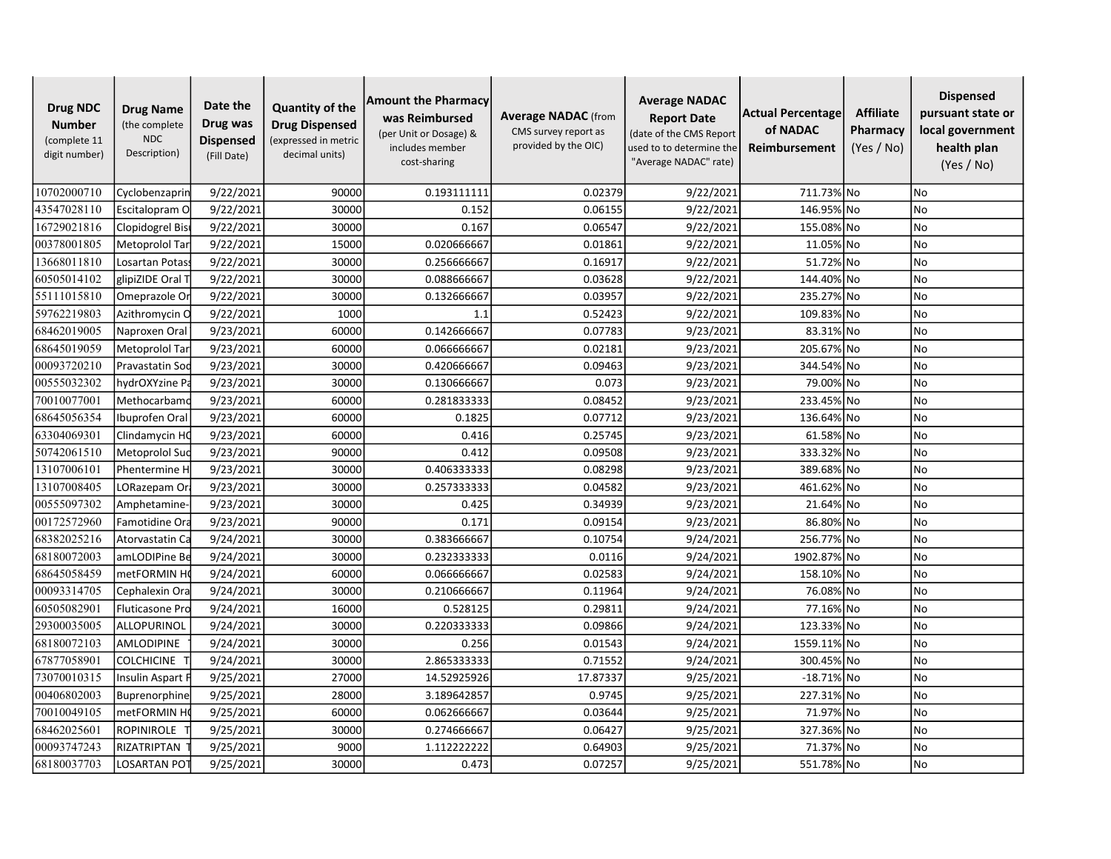| <b>Drug NDC</b><br><b>Number</b><br>(complete 11<br>digit number) | <b>Drug Name</b><br>(the complete<br><b>NDC</b><br>Description) | Date the<br>Drug was<br><b>Dispensed</b><br>(Fill Date) | <b>Quantity of the</b><br><b>Drug Dispensed</b><br>(expressed in metric<br>decimal units) | <b>Amount the Pharmacy</b><br>was Reimbursed<br>(per Unit or Dosage) &<br>includes member<br>cost-sharing | <b>Average NADAC</b> (from<br>CMS survey report as<br>provided by the OIC) | <b>Average NADAC</b><br><b>Report Date</b><br>(date of the CMS Report<br>used to to determine the<br>"Average NADAC" rate) | Actual Percentage<br>of NADAC<br>Reimbursement | <b>Affiliate</b><br>Pharmacy<br>(Yes / No) | <b>Dispensed</b><br>pursuant state or<br>local government<br>health plan<br>(Yes / No) |
|-------------------------------------------------------------------|-----------------------------------------------------------------|---------------------------------------------------------|-------------------------------------------------------------------------------------------|-----------------------------------------------------------------------------------------------------------|----------------------------------------------------------------------------|----------------------------------------------------------------------------------------------------------------------------|------------------------------------------------|--------------------------------------------|----------------------------------------------------------------------------------------|
| 10702000710                                                       | Cyclobenzaprin                                                  | 9/22/2021                                               | 90000                                                                                     | 0.193111111                                                                                               | 0.02379                                                                    | 9/22/2021                                                                                                                  | 711.73% No                                     |                                            | No                                                                                     |
| 43547028110                                                       | Escitalopram O                                                  | 9/22/2021                                               | 30000                                                                                     | 0.152                                                                                                     | 0.06155                                                                    | 9/22/2021                                                                                                                  | 146.95% No                                     |                                            | No                                                                                     |
| 16729021816                                                       | Clopidogrel Bis                                                 | 9/22/2021                                               | 30000                                                                                     | 0.167                                                                                                     | 0.06547                                                                    | 9/22/2021                                                                                                                  | 155.08% No                                     |                                            | <b>No</b>                                                                              |
| 00378001805                                                       | Metoprolol Tar                                                  | 9/22/2021                                               | 15000                                                                                     | 0.020666667                                                                                               | 0.01861                                                                    | 9/22/2021                                                                                                                  | 11.05% No                                      |                                            | <b>No</b>                                                                              |
| 13668011810                                                       | Losartan Potas                                                  | 9/22/2021                                               | 30000                                                                                     | 0.256666667                                                                                               | 0.16917                                                                    | 9/22/2021                                                                                                                  | 51.72% No                                      |                                            | <b>No</b>                                                                              |
| 60505014102                                                       | glipiZIDE Oral T                                                | 9/22/2021                                               | 30000                                                                                     | 0.088666667                                                                                               | 0.03628                                                                    | 9/22/2021                                                                                                                  | 144.40% No                                     |                                            | No                                                                                     |
| 55111015810                                                       | Omeprazole Or                                                   | 9/22/2021                                               | 30000                                                                                     | 0.132666667                                                                                               | 0.03957                                                                    | 9/22/2021                                                                                                                  | 235.27% No                                     |                                            | No                                                                                     |
| 59762219803                                                       | Azithromycin O                                                  | 9/22/2021                                               | 1000                                                                                      | 1.1                                                                                                       | 0.52423                                                                    | 9/22/2021                                                                                                                  | 109.83% No                                     |                                            | <b>No</b>                                                                              |
| 68462019005                                                       | Naproxen Oral                                                   | 9/23/2021                                               | 60000                                                                                     | 0.142666667                                                                                               | 0.07783                                                                    | 9/23/2021                                                                                                                  | 83.31% No                                      |                                            | <b>No</b>                                                                              |
| 68645019059                                                       | Metoprolol Tar                                                  | 9/23/2021                                               | 60000                                                                                     | 0.066666667                                                                                               | 0.02181                                                                    | 9/23/2021                                                                                                                  | 205.67% No                                     |                                            | No                                                                                     |
| 00093720210                                                       | Pravastatin Sod                                                 | 9/23/2021                                               | 30000                                                                                     | 0.420666667                                                                                               | 0.09463                                                                    | 9/23/2021                                                                                                                  | 344.54% No                                     |                                            | No                                                                                     |
| 00555032302                                                       | hydrOXYzine Pa                                                  | 9/23/2021                                               | 30000                                                                                     | 0.130666667                                                                                               | 0.073                                                                      | 9/23/2021                                                                                                                  | 79.00% No                                      |                                            | <b>No</b>                                                                              |
| 70010077001                                                       | Methocarbamo                                                    | 9/23/2021                                               | 60000                                                                                     | 0.281833333                                                                                               | 0.08452                                                                    | 9/23/2021                                                                                                                  | 233.45% No                                     |                                            | <b>No</b>                                                                              |
| 68645056354                                                       | Ibuprofen Oral                                                  | 9/23/2021                                               | 60000                                                                                     | 0.1825                                                                                                    | 0.07712                                                                    | 9/23/2021                                                                                                                  | 136.64% No                                     |                                            | <b>No</b>                                                                              |
| 63304069301                                                       | Clindamycin HO                                                  | 9/23/2021                                               | 60000                                                                                     | 0.416                                                                                                     | 0.25745                                                                    | 9/23/2021                                                                                                                  | 61.58% No                                      |                                            | <b>No</b>                                                                              |
| 50742061510                                                       | Metoprolol Suc                                                  | 9/23/2021                                               | 90000                                                                                     | 0.412                                                                                                     | 0.09508                                                                    | 9/23/2021                                                                                                                  | 333.32% No                                     |                                            | <b>No</b>                                                                              |
| 13107006101                                                       | Phentermine H                                                   | 9/23/2021                                               | 30000                                                                                     | 0.406333333                                                                                               | 0.08298                                                                    | 9/23/2021                                                                                                                  | 389.68% No                                     |                                            | No                                                                                     |
| 13107008405                                                       | LORazepam Ora                                                   | 9/23/2021                                               | 30000                                                                                     | 0.257333333                                                                                               | 0.04582                                                                    | 9/23/2021                                                                                                                  | 461.62% No                                     |                                            | No                                                                                     |
| 00555097302                                                       | Amphetamine-                                                    | 9/23/2021                                               | 30000                                                                                     | 0.425                                                                                                     | 0.34939                                                                    | 9/23/2021                                                                                                                  | 21.64% No                                      |                                            | <b>No</b>                                                                              |
| 00172572960                                                       | Famotidine Ora                                                  | 9/23/2021                                               | 90000                                                                                     | 0.171                                                                                                     | 0.09154                                                                    | 9/23/2021                                                                                                                  | 86.80% No                                      |                                            | <b>No</b>                                                                              |
| 68382025216                                                       | Atorvastatin Ca                                                 | 9/24/2021                                               | 30000                                                                                     | 0.383666667                                                                                               | 0.10754                                                                    | 9/24/2021                                                                                                                  | 256.77% No                                     |                                            | No                                                                                     |
| 68180072003                                                       | amLODIPine Be                                                   | 9/24/2021                                               | 30000                                                                                     | 0.232333333                                                                                               | 0.0116                                                                     | 9/24/2021                                                                                                                  | 1902.87% No                                    |                                            | No                                                                                     |
| 68645058459                                                       | metFORMIN H                                                     | 9/24/2021                                               | 60000                                                                                     | 0.066666667                                                                                               | 0.02583                                                                    | 9/24/2021                                                                                                                  | 158.10% No                                     |                                            | <b>No</b>                                                                              |
| 00093314705                                                       | Cephalexin Ora                                                  | 9/24/2021                                               | 30000                                                                                     | 0.210666667                                                                                               | 0.11964                                                                    | 9/24/2021                                                                                                                  | 76.08% No                                      |                                            | <b>No</b>                                                                              |
| 60505082901                                                       | <b>Fluticasone Pro</b>                                          | 9/24/2021                                               | 16000                                                                                     | 0.528125                                                                                                  | 0.29811                                                                    | 9/24/2021                                                                                                                  | 77.16% No                                      |                                            | <b>No</b>                                                                              |
| 29300035005                                                       | ALLOPURINOL                                                     | 9/24/2021                                               | 30000                                                                                     | 0.220333333                                                                                               | 0.09866                                                                    | 9/24/2021                                                                                                                  | 123.33% No                                     |                                            | <b>No</b>                                                                              |
| 68180072103                                                       | <b>AMLODIPINE</b>                                               | 9/24/2021                                               | 30000                                                                                     | 0.256                                                                                                     | 0.01543                                                                    | 9/24/2021                                                                                                                  | 1559.11% No                                    |                                            | <b>No</b>                                                                              |
| 67877058901                                                       | <b>COLCHICINE</b>                                               | 9/24/2021                                               | 30000                                                                                     | 2.865333333                                                                                               | 0.71552                                                                    | 9/24/2021                                                                                                                  | 300.45% No                                     |                                            | No                                                                                     |
| 73070010315                                                       | Insulin Aspart F                                                | 9/25/2021                                               | 27000                                                                                     | 14.52925926                                                                                               | 17.87337                                                                   | 9/25/2021                                                                                                                  | $-18.71\%$ No                                  |                                            | No                                                                                     |
| 00406802003                                                       | Buprenorphine                                                   | 9/25/2021                                               | 28000                                                                                     | 3.189642857                                                                                               | 0.9745                                                                     | 9/25/2021                                                                                                                  | 227.31% No                                     |                                            | <b>No</b>                                                                              |
| 70010049105                                                       | metFORMIN H                                                     | 9/25/2021                                               | 60000                                                                                     | 0.062666667                                                                                               | 0.03644                                                                    | 9/25/2021                                                                                                                  | 71.97% No                                      |                                            | <b>No</b>                                                                              |
| 68462025601                                                       | <b>ROPINIROLE</b>                                               | 9/25/2021                                               | 30000                                                                                     | 0.274666667                                                                                               | 0.06427                                                                    | 9/25/2021                                                                                                                  | 327.36% No                                     |                                            | No                                                                                     |
| 00093747243                                                       | RIZATRIPTAN                                                     | 9/25/2021                                               | 9000                                                                                      | 1.112222222                                                                                               | 0.64903                                                                    | 9/25/2021                                                                                                                  | 71.37% No                                      |                                            | <b>No</b>                                                                              |
| 68180037703                                                       | LOSARTAN PO                                                     | 9/25/2021                                               | 30000                                                                                     | 0.473                                                                                                     | 0.07257                                                                    | 9/25/2021                                                                                                                  | 551.78% No                                     |                                            | No                                                                                     |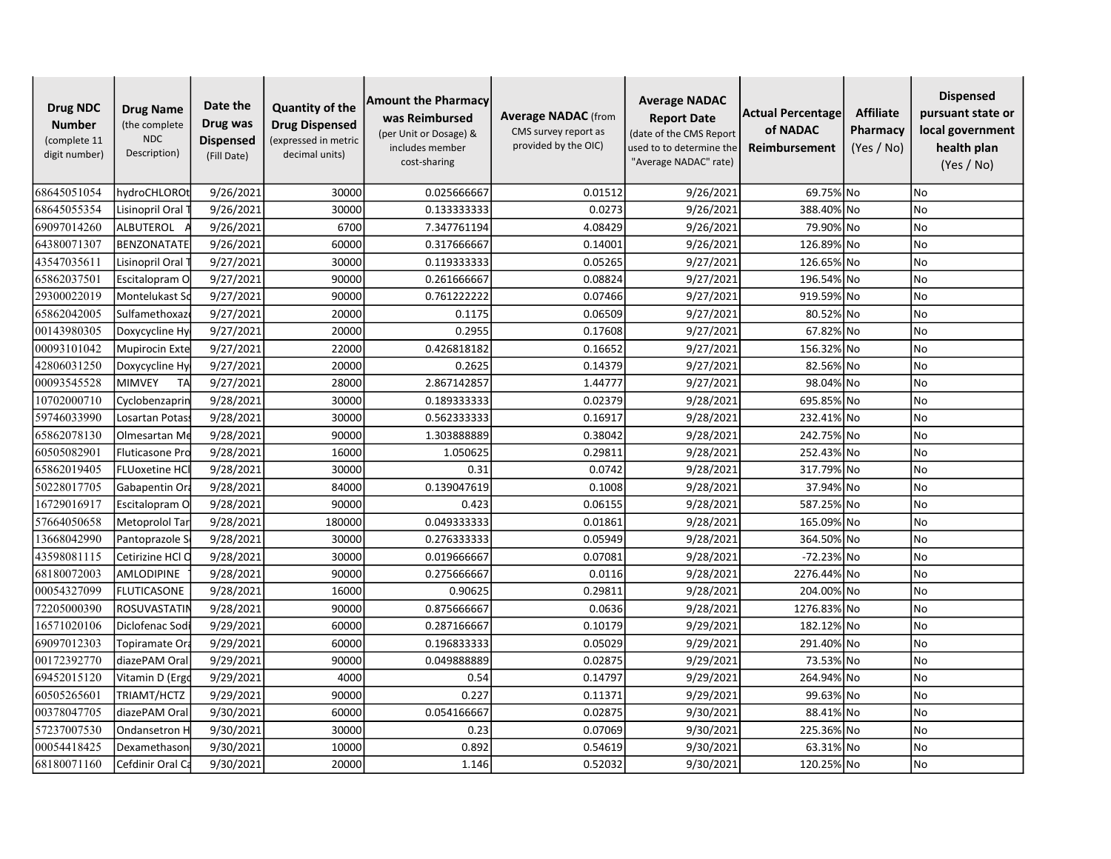| <b>Drug NDC</b><br><b>Number</b><br>(complete 11<br>digit number) | <b>Drug Name</b><br>(the complete<br><b>NDC</b><br>Description) | Date the<br>Drug was<br><b>Dispensed</b><br>(Fill Date) | <b>Quantity of the</b><br><b>Drug Dispensed</b><br>(expressed in metric<br>decimal units) | <b>Amount the Pharmacy</b><br>was Reimbursed<br>(per Unit or Dosage) &<br>includes member<br>cost-sharing | <b>Average NADAC</b> (from<br>CMS survey report as<br>provided by the OIC) | <b>Average NADAC</b><br><b>Report Date</b><br>(date of the CMS Report<br>used to to determine the<br>"Average NADAC" rate) | Actual Percentage<br>of NADAC<br>Reimbursement | <b>Affiliate</b><br>Pharmacy<br>(Yes / No) | <b>Dispensed</b><br>pursuant state or<br>local government<br>health plan<br>(Yes / No) |
|-------------------------------------------------------------------|-----------------------------------------------------------------|---------------------------------------------------------|-------------------------------------------------------------------------------------------|-----------------------------------------------------------------------------------------------------------|----------------------------------------------------------------------------|----------------------------------------------------------------------------------------------------------------------------|------------------------------------------------|--------------------------------------------|----------------------------------------------------------------------------------------|
| 68645051054                                                       | hydroCHLOROt                                                    | 9/26/2021                                               | 30000                                                                                     | 0.025666667                                                                                               | 0.01512                                                                    | 9/26/2021                                                                                                                  | 69.75% No                                      |                                            | <b>No</b>                                                                              |
| 68645055354                                                       | Lisinopril Oral <sup>-</sup>                                    | 9/26/2021                                               | 30000                                                                                     | 0.133333333                                                                                               | 0.0273                                                                     | 9/26/2021                                                                                                                  | 388.40% No                                     |                                            | No                                                                                     |
| 69097014260                                                       | ALBUTEROL                                                       | 9/26/2021                                               | 6700                                                                                      | 7.347761194                                                                                               | 4.08429                                                                    | 9/26/2021                                                                                                                  | 79.90% No                                      |                                            | <b>No</b>                                                                              |
| 64380071307                                                       | BENZONATATE                                                     | 9/26/2021                                               | 60000                                                                                     | 0.317666667                                                                                               | 0.14001                                                                    | 9/26/2021                                                                                                                  | 126.89% No                                     |                                            | <b>No</b>                                                                              |
| 43547035611                                                       | Lisinopril Oral                                                 | 9/27/2021                                               | 30000                                                                                     | 0.119333333                                                                                               | 0.05265                                                                    | 9/27/2021                                                                                                                  | 126.65% No                                     |                                            | <b>No</b>                                                                              |
| 65862037501                                                       | Escitalopram O                                                  | 9/27/2021                                               | 90000                                                                                     | 0.261666667                                                                                               | 0.08824                                                                    | 9/27/2021                                                                                                                  | 196.54% No                                     |                                            | No                                                                                     |
| 29300022019                                                       | Montelukast Sc                                                  | 9/27/2021                                               | 90000                                                                                     | 0.761222222                                                                                               | 0.07466                                                                    | 9/27/2021                                                                                                                  | 919.59% No                                     |                                            | No                                                                                     |
| 65862042005                                                       | Sulfamethoxaz                                                   | 9/27/2021                                               | 20000                                                                                     | 0.1175                                                                                                    | 0.06509                                                                    | 9/27/2021                                                                                                                  | 80.52% No                                      |                                            | <b>No</b>                                                                              |
| 00143980305                                                       | Doxycycline Hy                                                  | 9/27/2021                                               | 20000                                                                                     | 0.2955                                                                                                    | 0.17608                                                                    | 9/27/2021                                                                                                                  | 67.82% No                                      |                                            | <b>No</b>                                                                              |
| 00093101042                                                       | Mupirocin Exte                                                  | 9/27/2021                                               | 22000                                                                                     | 0.426818182                                                                                               | 0.16652                                                                    | 9/27/2021                                                                                                                  | 156.32% No                                     |                                            | No                                                                                     |
| 42806031250                                                       | Doxycycline Hy                                                  | 9/27/2021                                               | 20000                                                                                     | 0.2625                                                                                                    | 0.14379                                                                    | 9/27/2021                                                                                                                  | 82.56% No                                      |                                            | No                                                                                     |
| 00093545528                                                       | <b>MIMVEY</b><br>TA                                             | 9/27/2021                                               | 28000                                                                                     | 2.867142857                                                                                               | 1.44777                                                                    | 9/27/2021                                                                                                                  | 98.04% No                                      |                                            | <b>No</b>                                                                              |
| 10702000710                                                       | Cyclobenzaprin                                                  | 9/28/2021                                               | 30000                                                                                     | 0.189333333                                                                                               | 0.02379                                                                    | 9/28/2021                                                                                                                  | 695.85% No                                     |                                            | <b>No</b>                                                                              |
| 59746033990                                                       | Losartan Potas                                                  | 9/28/2021                                               | 30000                                                                                     | 0.562333333                                                                                               | 0.16917                                                                    | 9/28/2021                                                                                                                  | 232.41% No                                     |                                            | <b>No</b>                                                                              |
| 65862078130                                                       | Olmesartan Me                                                   | 9/28/2021                                               | 90000                                                                                     | 1.303888889                                                                                               | 0.38042                                                                    | 9/28/2021                                                                                                                  | 242.75% No                                     |                                            | <b>No</b>                                                                              |
| 60505082901                                                       | Fluticasone Pro                                                 | 9/28/2021                                               | 16000                                                                                     | 1.050625                                                                                                  | 0.29811                                                                    | 9/28/2021                                                                                                                  | 252.43% No                                     |                                            | <b>No</b>                                                                              |
| 65862019405                                                       | <b>FLUoxetine HCI</b>                                           | 9/28/2021                                               | 30000                                                                                     | 0.31                                                                                                      | 0.0742                                                                     | 9/28/2021                                                                                                                  | 317.79% No                                     |                                            | No                                                                                     |
| 50228017705                                                       | Gabapentin Or                                                   | 9/28/2021                                               | 84000                                                                                     | 0.139047619                                                                                               | 0.1008                                                                     | 9/28/2021                                                                                                                  | 37.94% No                                      |                                            | <b>No</b>                                                                              |
| 16729016917                                                       | Escitalopram O                                                  | 9/28/2021                                               | 90000                                                                                     | 0.423                                                                                                     | 0.06155                                                                    | 9/28/2021                                                                                                                  | 587.25% No                                     |                                            | <b>No</b>                                                                              |
| 57664050658                                                       | Metoprolol Tar                                                  | 9/28/2021                                               | 180000                                                                                    | 0.049333333                                                                                               | 0.01861                                                                    | 9/28/2021                                                                                                                  | 165.09% No                                     |                                            | <b>No</b>                                                                              |
| 13668042990                                                       | Pantoprazole S                                                  | 9/28/2021                                               | 30000                                                                                     | 0.276333333                                                                                               | 0.05949                                                                    | 9/28/2021                                                                                                                  | 364.50% No                                     |                                            | No                                                                                     |
| 43598081115                                                       | Cetirizine HCl C                                                | 9/28/2021                                               | 30000                                                                                     | 0.019666667                                                                                               | 0.07081                                                                    | 9/28/2021                                                                                                                  | -72.23% No                                     |                                            | No                                                                                     |
| 68180072003                                                       | AMLODIPINE                                                      | 9/28/2021                                               | 90000                                                                                     | 0.275666667                                                                                               | 0.0116                                                                     | 9/28/2021                                                                                                                  | 2276.44% No                                    |                                            | <b>No</b>                                                                              |
| 00054327099                                                       | <b>FLUTICASONE</b>                                              | 9/28/2021                                               | 16000                                                                                     | 0.90625                                                                                                   | 0.29811                                                                    | 9/28/2021                                                                                                                  | 204.00% No                                     |                                            | <b>No</b>                                                                              |
| 72205000390                                                       | <b>ROSUVASTATIN</b>                                             | 9/28/2021                                               | 90000                                                                                     | 0.875666667                                                                                               | 0.0636                                                                     | 9/28/2021                                                                                                                  | 1276.83% No                                    |                                            | <b>No</b>                                                                              |
| 16571020106                                                       | Diclofenac Sodi                                                 | 9/29/2021                                               | 60000                                                                                     | 0.287166667                                                                                               | 0.10179                                                                    | 9/29/2021                                                                                                                  | 182.12% No                                     |                                            | <b>No</b>                                                                              |
| 69097012303                                                       | Topiramate Ora                                                  | 9/29/2021                                               | 60000                                                                                     | 0.196833333                                                                                               | 0.05029                                                                    | 9/29/2021                                                                                                                  | 291.40% No                                     |                                            | <b>No</b>                                                                              |
| 00172392770                                                       | diazePAM Oral                                                   | 9/29/2021                                               | 90000                                                                                     | 0.049888889                                                                                               | 0.02875                                                                    | 9/29/2021                                                                                                                  | 73.53% No                                      |                                            | No                                                                                     |
| 69452015120                                                       | Vitamin D (Ergo                                                 | 9/29/2021                                               | 4000                                                                                      | 0.54                                                                                                      | 0.14797                                                                    | 9/29/2021                                                                                                                  | 264.94% No                                     |                                            | No                                                                                     |
| 60505265601                                                       | TRIAMT/HCTZ                                                     | 9/29/2021                                               | 90000                                                                                     | 0.227                                                                                                     | 0.11371                                                                    | 9/29/2021                                                                                                                  | 99.63% No                                      |                                            | <b>No</b>                                                                              |
| 00378047705                                                       | diazePAM Oral                                                   | 9/30/2021                                               | 60000                                                                                     | 0.054166667                                                                                               | 0.02875                                                                    | 9/30/2021                                                                                                                  | 88.41% No                                      |                                            | <b>No</b>                                                                              |
| 57237007530                                                       | Ondansetron H                                                   | 9/30/2021                                               | 30000                                                                                     | 0.23                                                                                                      | 0.07069                                                                    | 9/30/2021                                                                                                                  | 225.36% No                                     |                                            | No                                                                                     |
| 00054418425                                                       | Dexamethasor                                                    | 9/30/2021                                               | 10000                                                                                     | 0.892                                                                                                     | 0.54619                                                                    | 9/30/2021                                                                                                                  | 63.31% No                                      |                                            | <b>No</b>                                                                              |
| 68180071160                                                       | Cefdinir Oral Ca                                                | 9/30/2021                                               | 20000                                                                                     | 1.146                                                                                                     | 0.52032                                                                    | 9/30/2021                                                                                                                  | 120.25% No                                     |                                            | No                                                                                     |